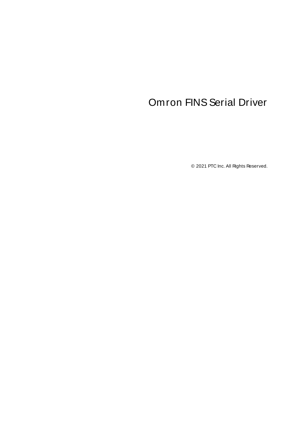# <span id="page-0-0"></span>**Omron FINS Serial Driver**

© 2021 PTC Inc. All Rights Reserved.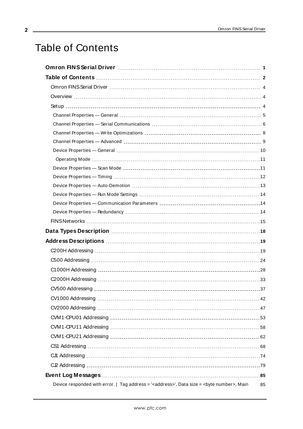## <span id="page-1-0"></span>Table of Contents

| Device responded with error.   Tag address = ' <address>', Data size = <br/>syte number&gt;, Main</address> | 85 |
|-------------------------------------------------------------------------------------------------------------|----|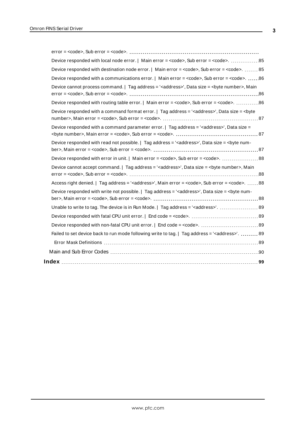| $error = con, Sub error = con.        $                                                                                                                                                                                                                                                         |  |
|-------------------------------------------------------------------------------------------------------------------------------------------------------------------------------------------------------------------------------------------------------------------------------------------------|--|
|                                                                                                                                                                                                                                                                                                 |  |
| Device responded with destination node error.   Main error = <code>, Sub error = <code>.  85</code></code>                                                                                                                                                                                      |  |
| Device responded with a communications error.   Main error = <code>, Sub error = <code>. 86</code></code>                                                                                                                                                                                       |  |
| Device cannot process command.   Tag address = ' <address>', Data size = <br/>&gt;byte number&gt;, Main<br/><math>error = <code>code&gt;</code>, Sub error = <code><code></code>. <code></code> <code></code> <code></code> <code></code> <code></code> <code>36</code></code></math></address> |  |
| Device responded with routing table error.   Main error = <code>, Sub error = <code>. 86</code></code>                                                                                                                                                                                          |  |
| Device responded with a command format error.   Tag address = ' <address>', Data size = <br/>syte</address>                                                                                                                                                                                     |  |
| Device responded with a command parameter error.   Tag address = ' <address>', Data size =</address>                                                                                                                                                                                            |  |
| Device responded with read not possible.   Tag address = ' <address>', Data size = <br/> <br/> <br/>&gt; rum-</address>                                                                                                                                                                         |  |
|                                                                                                                                                                                                                                                                                                 |  |
| Device cannot accept command.   Tag address = ' <address>', Data size = <br/> <br/> <br/> <br/> <br/>pww.manumber&gt;, Main</address>                                                                                                                                                           |  |
| Access right denied.   Tag address = ' <address>', Main error = <code>, Sub error = <code>. 88</code></code></address>                                                                                                                                                                          |  |
| Device responded with write not possible. $ $ Tag address = ' <address>', Data size = <br/>&gt;byte num-</address>                                                                                                                                                                              |  |
|                                                                                                                                                                                                                                                                                                 |  |
| Unable to write to tag. The device is in Run Mode.   Tag address = ' <address>'.  89</address>                                                                                                                                                                                                  |  |
|                                                                                                                                                                                                                                                                                                 |  |
|                                                                                                                                                                                                                                                                                                 |  |
| Failed to set device back to run mode following write to tag.   Tag address = ' <address>'.  89</address>                                                                                                                                                                                       |  |
|                                                                                                                                                                                                                                                                                                 |  |
|                                                                                                                                                                                                                                                                                                 |  |
|                                                                                                                                                                                                                                                                                                 |  |
|                                                                                                                                                                                                                                                                                                 |  |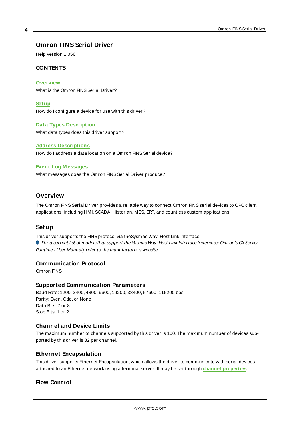## <span id="page-3-0"></span>**Omron FINS Serial Driver**

Help version 1.056

#### **CONTENTS**

**[Overview](#page-3-1)**

What is the Omron FINS Serial Driver?

**[Setup](#page-3-2)** How do I configure a device for use with this driver?

**Data Types [Description](#page-17-0)** What data types does this driver support?

## **Address [Descriptions](#page-18-0)**

How do I address a data location on a Omron FINS Serial device?

#### **Event Log [M essages](#page-84-1)**

What messages does the Omron FINS Serial Driver produce?

#### <span id="page-3-1"></span>**Overview**

The Omron FINS Serial Driver provides a reliable way to connect Omron FINS serial devices to OPC client applications; including HMI, SCADA, Historian, MES, ERP, and countless custom applications.

#### <span id="page-3-2"></span>**Setup**

This driver supports the FINSprotocol via theSysmac Way: Host Link Interface.

For a current list of models that support the Sysmac Way: Host Link Interface (reference: Omron's CX-Server Runtime - User Manual), refer to the manufacturer's website.

#### **Communication Protocol**

Omron FINS

#### **Supported Communication Parameters**

Baud Rate: 1200, 2400, 4800, 9600, 19200, 38400, 57600, 115200 bps Parity: Even, Odd, or None Data Bits: 7 or 8 Stop Bits: 1 or 2

## **Channel and Device Limits**

The maximum number of channels supported by this driver is 100. The maximum number of devices supported by this driver is 32 per channel.

#### **Ethernet Encapsulation**

This driver supports Ethernet Encapsulation, which allows the driver to communicate with serial devices attached to an Ethernet network using a terminal server. It may be set through **channel properties**.

## **Flow Control**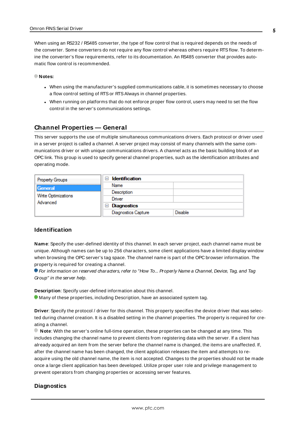When using an RS232 / RS485 converter, the type of flow control that is required depends on the needs of the converter. Some converters do not require any flow control whereas others require RTSflow. To determine the converter's flow requirements, refer to its documentation. An RS485 converter that provides automatic flow control is recommended.

#### **Notes:**

- When using the manufacturer's supplied communications cable, it is sometimes necessary to choose a flow control setting of RTSor RTS Always in channel properties.
- When running on platforms that do not enforce proper flow control, users may need to set the flow control in the server's communications settings.

#### <span id="page-4-0"></span>**Channel Properties — General**

This server supports the use of multiple simultaneous communications drivers. Each protocol or driver used in a server project is called a channel. A server project may consist of many channels with the same communications driver or with unique communications drivers. A channel acts as the basic building block of an OPC link. This group is used to specify general channel properties, such as the identification attributes and operating mode.

| <b>Property Groups</b>          | <b>Identification</b><br>$\blacksquare$ |                |
|---------------------------------|-----------------------------------------|----------------|
| General                         | Name                                    |                |
|                                 | Description                             |                |
| Write Optimizations<br>Advanced | Driver                                  |                |
|                                 | $\Box$ Diagnostics                      |                |
|                                 | <b>Diagnostics Capture</b>              | <b>Disable</b> |

#### **Identification**

**Name**: Specify the user-defined identity of this channel. In each server project, each channel name must be unique. Although names can be up to 256 characters, some client applications have a limited display window when browsing the OPC server's tag space. The channel name is part of the OPC browser information. The property is required for creating a channel.

For information on reserved characters, refer to "How To... Properly Name a Channel, Device, Tag, and Tag Group" in the server help.

**Description**: Specify user-defined information about this channel.

**Many of these properties, including Description, have an associated system tag.** 

**Driver**: Specify the protocol / driver for this channel. This property specifies the device driver that was selected during channel creation. It is a disabled setting in the channel properties. The property is required for creating a channel.

**Note**: With the server's online full-time operation, these properties can be changed at any time. This includes changing the channel name to prevent clients from registering data with the server. If a client has already acquired an item from the server before the channel name is changed, the items are unaffected. If, after the channel name has been changed, the client application releases the item and attempts to reacquire using the old channel name, the item is not accepted. Changes to the properties should not be made once a large client application has been developed. Utilize proper user role and privilege management to prevent operators from changing properties or accessing server features.

#### **Diagnostics**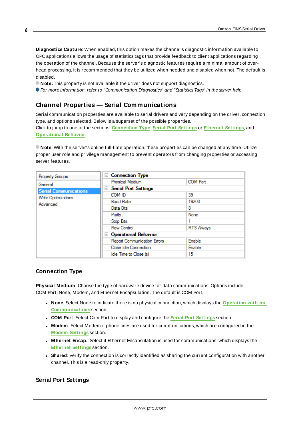**Diagnostics Capture**: When enabled, this option makes the channel's diagnostic information available to OPC applications allows the usage of statistics tags that provide feedback to client applications regarding the operation of the channel. Because the server's diagnostic features require a minimal amount of overhead processing, it is recommended that they be utilized when needed and disabled when not. The default is disabled.

**Note:** This property is not available if the driver does not support diagnostics.

<span id="page-5-0"></span>For more information, refer to "Communication Diagnostics" and "Statistics Tags" in the server help.

## **Channel Properties — Serial Communications**

Serial communication properties are available to serial drivers and vary depending on the driver, connection type, and options selected. Below is a superset of the possible properties.

Click to jump to one of the sections: **[Connection](#page-5-1) Type**, **Serial Port [Settings](#page-5-2)** or **[Ethernet](#page-6-0) Settings**, and **[Operational](#page-6-1) Behavior**.

**Note**: With the server's online full-time operation, these properties can be changed at any time. Utilize proper user role and privilege management to prevent operators from changing properties or accessing server features.

| Property Groups              | $\Box$ Connection Type             |                   |  |
|------------------------------|------------------------------------|-------------------|--|
| General                      | Physical Medium                    | <b>COM Port</b>   |  |
| <b>Serial Communications</b> | <b>Serial Port Settings</b><br>$=$ |                   |  |
| Write Optimizations          | COM ID                             | 39                |  |
| Advanced                     | <b>Baud Rate</b>                   | 19200             |  |
|                              | Data Bits                          | 8                 |  |
|                              | Parity                             | None              |  |
|                              | Stop Bits                          |                   |  |
|                              | <b>Flow Control</b>                | <b>RTS Always</b> |  |
|                              | □ Operational Behavior             |                   |  |
|                              | <b>Report Communication Errors</b> | Enable            |  |
|                              | Close Idle Connection              | Enable            |  |
|                              | Idle Time to Close (s)             | 15                |  |

## <span id="page-5-1"></span>**Connection Type**

**Physical Medium**: Choose the type of hardware device for data communications. Options include COM Port, None, Modem, and Ethernet Encapsulation. The default is COM Port.

- <sup>l</sup> **None**: Select None to indicate there is no physical connection, which displays the **[Operation](#page-7-1) with no [Communications](#page-7-1)** section.
- <sup>l</sup> **COM Port**: Select Com Port to display and configure the **Serial Port [Settings](#page-5-2)** section.
- **Modem**: Select Modem if phone lines are used for communications, which are configured in the **Modem [Settings](#page-7-2)** section.
- **Ethernet Encap.**: Select if Ethernet Encapsulation is used for communications, which displays the **[Ethernet](#page-6-0) Settings** section.
- Shared: Verify the connection is correctly identified as sharing the current configuration with another channel. This is a read-only property.

## <span id="page-5-2"></span>**Serial Port Settings**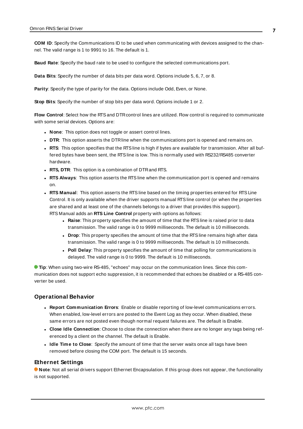**COM ID**: Specify the Communications ID to be used when communicating with devices assigned to the channel. The valid range is 1 to 9991 to 16. The default is 1.

**Baud Rate**: Specify the baud rate to be used to configure the selected communications port.

**Data Bits**: Specify the number of data bits per data word. Options include 5, 6, 7, or 8.

**Parity**: Specify the type of parity for the data. Options include Odd, Even, or None.

**Stop Bits**: Specify the number of stop bits per data word. Options include 1 or 2.

**Flow Control**: Select how the RTSand DTRcontrol lines are utilized. Flow control is required to communicate with some serial devices. Options are:

- **None**: This option does not toggle or assert control lines.
- **DTR:** This option asserts the DTR line when the communications port is opened and remains on.
- RTS: This option specifies that the RTS line is high if bytes are available for transmission. After all buffered bytes have been sent, the RTSline is low. This is normally used with RS232/RS485 converter hardware.
- **RTS, DTR:** This option is a combination of DTR and RTS.
- <sup>l</sup> **RTS Always**: This option asserts the RTSline when the communication port is opened and remains on.
- <sup>l</sup> **RTS Manual**: This option asserts the RTSline based on the timing properties entered for RTSLine Control. It is only available when the driver supports manual RTSline control (or when the properties are shared and at least one of the channels belongs to a driver that provides this support). RTS Manual adds an **RTS Line Control** property with options as follows:
	- **Raise**: This property specifies the amount of time that the RTS line is raised prior to data transmission. The valid range is 0 to 9999 milliseconds. The default is 10 milliseconds.
	- **Drop**: This property specifies the amount of time that the RTS line remains high after data transmission. The valid range is 0 to 9999 milliseconds. The default is 10 milliseconds.
	- **Poll Delay**: This property specifies the amount of time that polling for communications is delayed. The valid range is 0 to 9999. The default is 10 milliseconds.

**Tip**: When using two-wire RS-485, "echoes" may occur on the communication lines. Since this communication does not support echo suppression, it is recommended that echoes be disabled or a RS-485 converter be used.

#### <span id="page-6-1"></span>**Operational Behavior**

- <sup>l</sup> **Report Communication Errors**: Enable or disable reporting of low-level communications errors. When enabled, low-level errors are posted to the Event Log as they occur. When disabled, these same errors are not posted even though normal request failures are. The default is Enable.
- <sup>l</sup> **Close Idle Connection**: Choose to close the connection when there are no longer any tags being referenced by a client on the channel. The default is Enable.
- <sup>l</sup> **Idle Time to Close**: Specify the amount of time that the server waits once all tags have been removed before closing the COM port. The default is 15 seconds.

#### <span id="page-6-0"></span>**Ethernet Settings**

**Note**: Not all serial drivers support Ethernet Encapsulation. If this group does not appear, the functionality is not supported.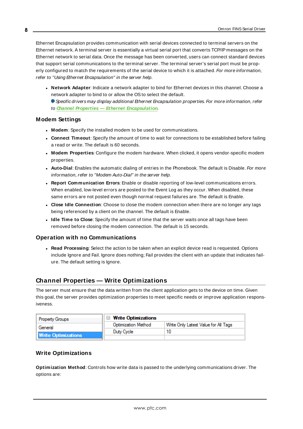Ethernet Encapsulation provides communication with serial devices connected to terminal servers on the Ethernet network. A terminal server is essentially a virtual serial port that converts TCP/IP messages on the Ethernet network to serial data. Once the message has been converted, users can connect standard devices that support serial communications to the terminal server. The terminal server's serial port must be properly configured to match the requirements of the serial device to which it is attached. For more information, refer to "Using Ethernet Encapsulation" in the server help.

- **Network Adapter**: Indicate a network adapter to bind for Ethernet devices in this channel. Choose a network adapter to bind to or allow the OSto select the default.
	- Specific drivers may display additional Ethernet Encapsulation properties. For more information, refer to **Channel Properties — Ethernet Encapsulation**.

#### <span id="page-7-2"></span>**Modem Settings**

- **Modem**: Specify the installed modem to be used for communications.
- **Connect Timeout**: Specify the amount of time to wait for connections to be established before failing a read or write. The default is 60 seconds.
- <sup>l</sup> **Modem Properties**: Configure the modem hardware. When clicked, it opens vendor-specific modem properties.
- **Auto-Dial**: Enables the automatic dialing of entries in the Phonebook. The default is Disable. For more information, refer to "Modem Auto-Dial" in the server help.
- <sup>l</sup> **Report Communication Errors**: Enable or disable reporting of low-level communications errors. When enabled, low-level errors are posted to the Event Log as they occur. When disabled, these same errors are not posted even though normal request failures are. The default is Enable.
- **Close Idle Connection**: Choose to close the modem connection when there are no longer any tags being referenced by a client on the channel. The default is Enable.
- **.** Idle Time to Close: Specify the amount of time that the server waits once all tags have been removed before closing the modem connection. The default is 15 seconds.

#### <span id="page-7-1"></span>**Operation with no Communications**

**Read Processing**: Select the action to be taken when an explicit device read is requested. Options include Ignore and Fail. Ignore does nothing; Fail provides the client with an update that indicates failure. The default setting is Ignore.

## <span id="page-7-0"></span>**Channel Properties — Write Optimizations**

The server must ensure that the data written from the client application gets to the device on time. Given this goal, the server provides optimization properties to meet specific needs or improve application responsiveness.

| <b>Property Groups</b>     | $\Box$ Write Optimizations |                                      |
|----------------------------|----------------------------|--------------------------------------|
| General                    | Optimization Method        | Write Only Latest Value for All Tags |
|                            | Duty Cycle                 |                                      |
| <b>Write Optimizations</b> |                            |                                      |

#### **Write Optimizations**

**Optimization Method**: Controls how write data is passed to the underlying communications driver. The options are: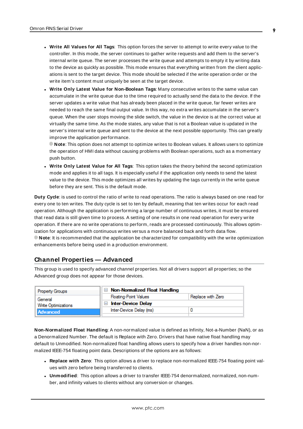- <sup>l</sup> **Write All Values for All Tags**: This option forces the server to attempt to write every value to the controller. In this mode, the server continues to gather write requests and add them to the server's internal write queue. The server processes the write queue and attempts to empty it by writing data to the device as quickly as possible. This mode ensures that everything written from the client applications is sent to the target device. This mode should be selected if the write operation order or the write item's content must uniquely be seen at the target device.
- <sup>l</sup> **Write Only Latest Value for Non-Boolean Tags**: Many consecutive writes to the same value can accumulate in the write queue due to the time required to actually send the data to the device. If the server updates a write value that has already been placed in the write queue, far fewer writes are needed to reach the same final output value. In this way, no extra writes accumulate in the server's queue. When the user stops moving the slide switch, the value in the device is at the correct value at virtually the same time. As the mode states, any value that is not a Boolean value is updated in the server's internal write queue and sent to the device at the next possible opportunity. This can greatly improve the application performance.

**Note**: This option does not attempt to optimize writes to Boolean values. It allows users to optimize the operation of HMI data without causing problems with Boolean operations, such as a momentary push button.

<sup>l</sup> **Write Only Latest Value for All Tags**: This option takes the theory behind the second optimization mode and applies it to all tags. It is especially useful if the application only needs to send the latest value to the device. This mode optimizes all writes by updating the tags currently in the write queue before they are sent. This is the default mode.

**Duty Cycle**: is used to control the ratio of write to read operations. The ratio is always based on one read for every one to ten writes. The duty cycle is set to ten by default, meaning that ten writes occur for each read operation. Although the application is performing a large number of continuous writes, it must be ensured that read data is still given time to process. A setting of one results in one read operation for every write operation. If there are no write operations to perform, reads are processed continuously. This allows optimization for applications with continuous writes versus a more balanced back and forth data flow. **Note**: It is recommended that the application be characterized for compatibility with the write optimization enhancements before being used in a production environment.

## <span id="page-8-0"></span>**Channel Properties — Advanced**

This group is used to specify advanced channel properties. Not all drivers support all properties; so the Advanced group does not appear for those devices.

| <b>Property Groups</b>     | $\Box$ Non-Normalized Float Handling |                   |
|----------------------------|--------------------------------------|-------------------|
| General                    | <b>Floating-Point Values</b>         | Replace with Zero |
| <b>Write Optimizations</b> | <b>Inter-Device Delay</b>            |                   |
| Advanced                   | Inter-Device Delay (ms)              |                   |
|                            |                                      |                   |

**Non-Normalized Float Handling**: A non-normalized value is defined as Infinity, Not-a-Number (NaN), or as a Denormalized Number. The default is Replace with Zero. Drivers that have native float handling may default to Unmodified. Non-normalized float handling allows users to specify how a driver handles non-normalized IEEE-754 floating point data. Descriptions of the options are as follows:

- <sup>l</sup> **Replace with Zero**: This option allows a driver to replace non-normalized IEEE-754 floating point values with zero before being transferred to clients.
- <sup>l</sup> **Unmodified**: This option allows a driver to transfer IEEE-754 denormalized, normalized, non-number, and infinity values to clients without any conversion or changes.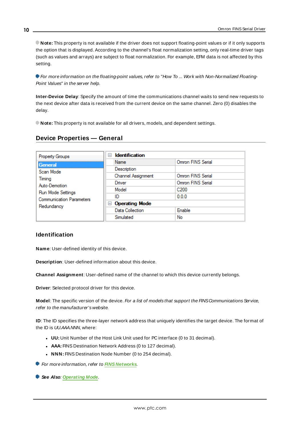**Note:** This property is not available if the driver does not support floating-point values or if it only supports the option that is displayed. According to the channel's float normalization setting, only real-time driver tags (such as values and arrays) are subject to float normalization. For example, EFM data is not affected by this setting.

For more information on the floating-point values, refer to "How To ... Work with Non-Normalized Floating-Point Values" in the server help.

**Inter-Device Delay**: Specify the amount of time the communications channel waits to send new requests to the next device after data is received from the current device on the same channel. Zero (0) disables the delay.

<span id="page-9-0"></span>**Note:** This property is not available for all drivers, models, and dependent settings.

|  | Device Properties - General |
|--|-----------------------------|
|  |                             |

| Property Groups                               | <b>Identification</b><br>$\overline{\phantom{0}}$ |                   |
|-----------------------------------------------|---------------------------------------------------|-------------------|
| General                                       | Name                                              | Omron FINS Serial |
| Scan Mode                                     | Description                                       |                   |
| Timina                                        | Channel Assignment                                | Omron FINS Serial |
| Auto-Demotion                                 | Driver                                            | Omron FINS Serial |
| Run Mode Settings                             | Model                                             | C <sub>200</sub>  |
| <b>Communication Parameters</b><br>Redundancy | ID                                                | 0.0.0             |
|                                               | <b>Operating Mode</b><br>$\equiv$                 |                   |
|                                               | Data Collection                                   | Enable            |
|                                               | Simulated                                         | No                |

#### **Identification**

**Name**: User-defined identity of this device.

**Description**: User-defined information about this device.

**Channel Assignment**: User-defined name of the channel to which this device currently belongs.

**Driver**: Selected protocol driver for this device.

Model: The specific version of the device. For a list of models that support the FINS Communications Service, refer to the manufacturer's website.

**ID**: The ID specifies the three-layer network address that uniquely identifies the target device. The format of the ID is UU.AAA.NNN, where:

- **UU:** Unit Number of the Host Link Unit used for PC interface (0 to 31 decimal).
- **AAA:** FINS Destination Network Address (0 to 127 decimal).
- **NNN:** FINS Destination Node Number (0 to 254 decimal).

**For more information, refer to HNS [Networks](#page-14-0).** 

**See Also**: **[Operating](#page-10-0) Mode**.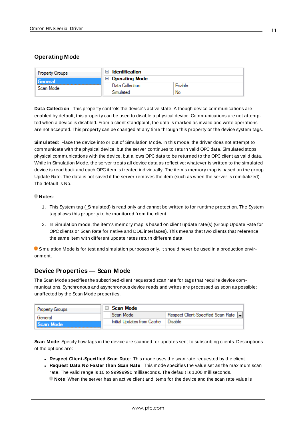## <span id="page-10-0"></span>**Operating Mode**

| <b>Property Groups</b> | Identification             |        |
|------------------------|----------------------------|--------|
| <b>General</b>         | <b>Operating Mode</b><br>Ξ |        |
| Scan Mode              | Data Collection            | Enable |
|                        | Simulated                  | No     |

**Data Collection**: This property controls the device's active state. Although device communications are enabled by default, this property can be used to disable a physical device. Communications are not attempted when a device is disabled. From a client standpoint, the data is marked as invalid and write operations are not accepted. This property can be changed at any time through this property or the device system tags.

**Simulated**: Place the device into or out of Simulation Mode. In this mode, the driver does not attempt to communicate with the physical device, but the server continues to return valid OPC data. Simulated stops physical communications with the device, but allows OPC data to be returned to the OPC client as valid data. While in Simulation Mode, the server treats all device data as reflective: whatever is written to the simulated device is read back and each OPC item is treated individually. The item's memory map is based on the group Update Rate. The data is not saved if the server removes the item (such as when the server is reinitialized). The default is No.

#### **Notes:**

- 1. This System tag (\_Simulated) is read only and cannot be written to for runtime protection. The System tag allows this property to be monitored from the client.
- 2. In Simulation mode, the item's memory map is based on client update rate(s) (Group Update Rate for OPC clients or Scan Rate for native and DDEinterfaces). This means that two clients that reference the same item with different update rates return different data.

 Simulation Mode is for test and simulation purposes only. It should never be used in a production environment.

## <span id="page-10-1"></span>**Device Properties — Scan Mode**

The Scan Mode specifies the subscribed-client requested scan rate for tags that require device communications. Synchronous and asynchronous device reads and writes are processed as soon as possible; unaffected by the Scan Mode properties.

| <b>Property Groups</b> | $\Box$ Scan Mode           |                                    |
|------------------------|----------------------------|------------------------------------|
| General                | Scan Mode                  | Respect Client-Specified Scan Rate |
| Scan Mode              | Initial Updates from Cache | <sup>1</sup> Disable               |
|                        |                            |                                    |

**Scan Mode**: Specify how tags in the device are scanned for updates sent to subscribing clients. Descriptions of the options are:

- <sup>l</sup> **Respect Client-Specified Scan Rate**: This mode uses the scan rate requested by the client.
- <sup>l</sup> **Request Data No Faster than Scan Rate**: This mode specifies the value set as the maximum scan rate. The valid range is 10 to 99999990 milliseconds. The default is 1000 milliseconds.

**Note**: When the server has an active client and items for the device and the scan rate value is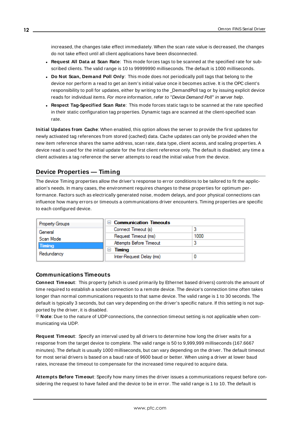increased, the changes take effect immediately. When the scan rate value is decreased, the changes do not take effect until all client applications have been disconnected.

- <sup>l</sup> **Request All Data at Scan Rate**: This mode forces tags to be scanned at the specified rate for subscribed clients. The valid range is 10 to 99999990 milliseconds. The default is 1000 milliseconds.
- <sup>l</sup> **Do Not Scan, Demand Poll Only**: This mode does not periodically poll tags that belong to the device nor perform a read to get an item's initial value once it becomes active. It is the OPC client's responsibility to poll for updates, either by writing to the \_DemandPoll tag or by issuing explicit device reads for individual items. For more information, refer to "Device Demand Poll" in server help.
- <sup>l</sup> **Respect Tag-Specified Scan Rate**: This mode forces static tags to be scanned at the rate specified in their static configuration tag properties. Dynamic tags are scanned at the client-specified scan rate.

**Initial Updates from Cache**: When enabled, this option allows the server to provide the first updates for newly activated tag references from stored (cached) data. Cache updates can only be provided when the new item reference shares the same address, scan rate, data type, client access, and scaling properties. A device read is used for the initial update for the first client reference only. The default is disabled; any time a client activates a tag reference the server attempts to read the initial value from the device.

## <span id="page-11-0"></span>**Device Properties — Timing**

The device Timing properties allow the driver's response to error conditions to be tailored to fit the application's needs. In many cases, the environment requires changes to these properties for optimum performance. Factors such as electrically generated noise, modem delays, and poor physical connections can influence how many errors or timeouts a communications driver encounters. Timing properties are specific to each configured device.

| <b>Property Groups</b> | $\Box$ Communication Timeouts |      |
|------------------------|-------------------------------|------|
| General                | Connect Timeout (s)           |      |
| Scan Mode              | Request Timeout (ms)          | 1000 |
| <b>Timing</b>          | Attempts Before Timeout       |      |
| Redundancy             | Timing<br>н                   |      |
|                        | Inter-Request Delay (ms)      |      |

## **Communications Timeouts**

**Connect Timeout**: This property (which is used primarily by Ethernet based drivers) controls the amount of time required to establish a socket connection to a remote device. The device's connection time often takes longer than normal communications requests to that same device. The valid range is 1 to 30 seconds. The default is typically 3 seconds, but can vary depending on the driver's specific nature. If this setting is not supported by the driver, it is disabled.

**Note:** Due to the nature of UDP connections, the connection timeout setting is not applicable when communicating via UDP.

**Request Timeout**: Specify an interval used by all drivers to determine how long the driver waits for a response from the target device to complete. The valid range is 50 to 9,999,999 milliseconds (167.6667 minutes). The default is usually 1000 milliseconds, but can vary depending on the driver. The default timeout for most serial drivers is based on a baud rate of 9600 baud or better. When using a driver at lower baud rates, increase the timeout to compensate for the increased time required to acquire data.

**Attempts Before Timeout**: Specify how many times the driver issues a communications request before considering the request to have failed and the device to be in error. The valid range is 1 to 10. The default is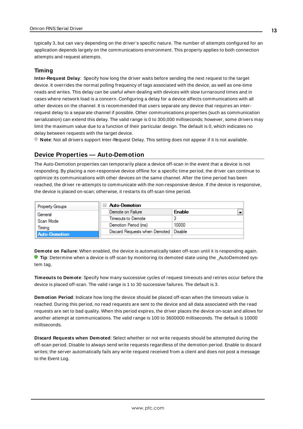typically 3, but can vary depending on the driver's specific nature. The number of attempts configured for an application depends largely on the communications environment. This property applies to both connection attempts and request attempts.

#### **Timing**

**Inter-Request Delay**: Specify how long the driver waits before sending the next request to the target device. It overrides the normal polling frequency of tags associated with the device, as well as one-time reads and writes. This delay can be useful when dealing with devices with slow turnaround times and in cases where network load is a concern. Configuring a delay for a device affects communications with all other devices on the channel. It is recommended that users separate any device that requires an interrequest delay to a separate channel if possible. Other communications properties (such as communication serialization) can extend this delay. The valid range is 0 to 300,000 milliseconds; however, some drivers may limit the maximum value due to a function of their particular design. The default is 0, which indicates no delay between requests with the target device.

<span id="page-12-0"></span>**Note**: Not all drivers support Inter-Request Delay. This setting does not appear if it is not available.

## **Device Properties — Auto-Demotion**

The Auto-Demotion properties can temporarily place a device off-scan in the event that a device is not responding. By placing a non-responsive device offline for a specific time period, the driver can continue to optimize its communications with other devices on the same channel. After the time period has been reached, the driver re-attempts to communicate with the non-responsive device. If the device is responsive, the device is placed on-scan; otherwise, it restarts its off-scan time period.

| <b>Property Groups</b> | <b>Auto-Demotion</b>                    |               |
|------------------------|-----------------------------------------|---------------|
| General                | Demote on Failure                       | <b>Enable</b> |
| Scan Mode              | Timeouts to Demote                      |               |
| Timina                 | Demotion Period (ms)                    | 10000         |
| <b>Auto-Demotion</b>   | Discard Requests when Demoted   Disable |               |
|                        |                                         |               |

**Demote on Failure**: When enabled, the device is automatically taken off-scan until it is responding again. **Tip:** Determine when a device is off-scan by monitoring its demoted state using the \_AutoDemoted system tag.

**Timeouts to Demote**: Specify how many successive cycles of request timeouts and retries occur before the device is placed off-scan. The valid range is 1 to 30 successive failures. The default is 3.

**Demotion Period**: Indicate how long the device should be placed off-scan when the timeouts value is reached. During this period, no read requests are sent to the device and all data associated with the read requests are set to bad quality. When this period expires, the driver places the device on-scan and allows for another attempt at communications. The valid range is 100 to 3600000 milliseconds. The default is 10000 milliseconds.

**Discard Requests when Demoted**: Select whether or not write requests should be attempted during the off-scan period. Disable to always send write requests regardless of the demotion period. Enable to discard writes; the server automatically fails any write request received from a client and does not post a message to the Event Log.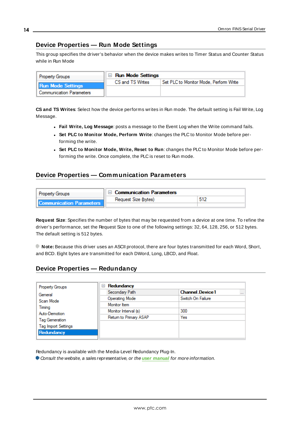## <span id="page-13-0"></span>**Device Properties — Run Mode Settings**

This group specifies the driver's behavior when the device makes writes to Timer Status and Counter Status while in Run Mode

| <b>Property Groups</b>          | $\Box$ Run Mode Settings |                                        |
|---------------------------------|--------------------------|----------------------------------------|
| <b>Run Mode Settings</b>        | CS and TS Writes         | Set PLC to Monitor Mode, Perform Write |
| <b>Communication Parameters</b> |                          |                                        |

**CS and TS Writes**: Select how the device performs writes in Run mode. The default setting is Fail Write, Log Message.

- <sup>l</sup> **Fail Write, Log Message**: posts a message to the Event Log when the Write command fails.
- <sup>l</sup> **Set PLC to Monitor Mode, Perform Write**: changes the PLC to Monitor Mode before performing the write.
- <sup>l</sup> **Set PLC to Monitor Mode, Write, Reset to Run**: changes the PLC to Monitor Mode before performing the write. Once complete, the PLC is reset to Run mode.

## <span id="page-13-1"></span>**Device Properties — Communication Parameters**

| <b>Property Groups</b>          | □ Communication Parameters |  |
|---------------------------------|----------------------------|--|
| <b>Communication Parameters</b> | Request Size (bytes)       |  |

**Request Size**: Specifies the number of bytes that may be requested from a device at one time. To refine the driver's performance, set the Request Size to one of the following settings: 32, 64, 128, 256, or 512 bytes. The default setting is 512 bytes.

**Note:** Because this driver uses an ASCII protocol, there are four bytes transmitted for each Word, Short, and BCD. Eight bytes are transmitted for each DWord, Long, LBCD, and Float.

## <span id="page-13-2"></span>**Device Properties — Redundancy**

| <b>Property Groups</b>     | Redundancy<br>$=$      |                                    |
|----------------------------|------------------------|------------------------------------|
| General                    | Secondary Path         | <b>Channel Device1</b><br>$\cdots$ |
| Scan Mode                  | <b>Operating Mode</b>  | Switch On Failure                  |
| Timing                     | Monitor Item           |                                    |
| Auto-Demotion              | Monitor Interval (s)   | 300                                |
| Tag Generation             | Return to Primary ASAP | Yes                                |
|                            |                        |                                    |
| <b>Tag Import Settings</b> |                        |                                    |
| Redundancy                 |                        |                                    |

Redundancy is available with the Media-Level Redundancy Plug-In.

Consult the website, a sales representative, or the **user [manual](https://www.kepware.com/getattachment/35461efd-b53a-4219-a109-a89fad20b230/media-level-redundancy-manual.pdf)** for more information.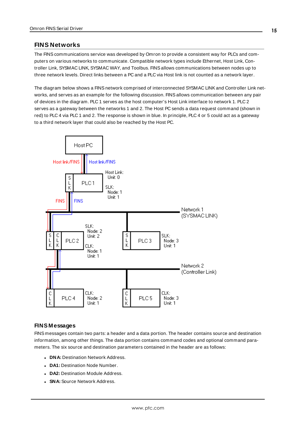## <span id="page-14-0"></span>**FINS Networks**

The FINScommunications service was developed by Omron to provide a consistent way for PLCs and computers on various networks to communicate. Compatible network types include Ethernet, Host Link, Controller Link, SYSMAC LINK, SYSMAC WAY, and Toolbus. FINSallows communications between nodes up to three network levels. Direct links between a PC and a PLC via Host link is not counted as a network layer.

The diagram below shows a FINS network comprised of interconnected SYSMAC LINK and Controller Link networks, and serves as an example for the following discussion. FINSallows communication between any pair of devices in the diagram. PLC 1 serves as the host computer's Host Link interface to network 1. PLC 2 serves as a gateway between the networks 1 and 2. The Host PC sends a data request command (shown in red) to PLC 4 via PLC 1 and 2. The response is shown in blue. In principle, PLC 4 or 5 could act as a gateway to a third network layer that could also be reached by the Host PC.



#### **FINS Messages**

FINS messages contain two parts: a header and a data portion. The header contains source and destination information, among other things. The data portion contains command codes and optional command parameters. The six source and destination parameters contained in the header are as follows:

- **. DNA: Destination Network Address.**
- **DA1: Destination Node Number.**
- **DA2: Destination Module Address.**
- **SNA: Source Network Address.**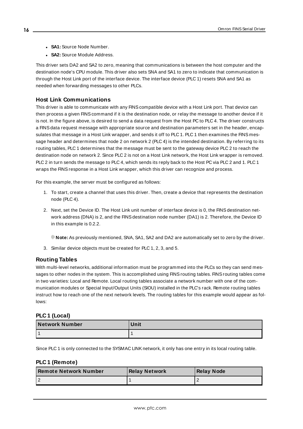- **SA1: Source Node Number.**
- **SA2:** Source Module Address.

This driver sets DA2 and SA2 to zero, meaning that communications is between the host computer and the destination node's CPU module. This driver also sets SNA and SA1 to zero to indicate that communication is through the Host Link port of the interface device. The interface device (PLC 1) resets SNA and SA1 as needed when forwarding messages to other PLCs.

#### **Host Link Communications**

This driver is able to communicate with any FINScompatible device with a Host Link port. That device can then process a given FINScommand if it is the destination node, or relay the message to another device if it is not. In the figure above, is desired to send a data request from the Host PC to PLC 4. The driver constructs a FINSdata request message with appropriate source and destination parameters set in the header, encapsulates that message in a Host Link wrapper, and sends it off to PLC 1. PLC 1 then examines the FINS message header and determines that node 2 on network 2 (PLC 4) is the intended destination. By referring to its routing tables, PLC 1 determines that the message must be sent to the gateway device PLC 2 to reach the destination node on network 2. Since PLC 2 is not on a Host Link network, the Host Link wrapper is removed. PLC 2 in turn sends the message to PLC 4, which sends its reply back to the Host PC via PLC 2 and 1. PLC 1 wraps the FINSresponse in a Host Link wrapper, which this driver can recognize and process.

For this example, the server must be configured as follows:

- 1. To start, create a channel that uses this driver. Then, create a device that represents the destination node (PLC 4).
- 2. Next, set the Device ID. The Host Link unit number of interface device is 0, the FINS destination network address (DNA) is 2, and the FINS destination node number (DA1) is 2. Therefore, the Device ID in this example is 0.2.2.

**Note:** As previously mentioned, SNA, SA1, SA2 and DA2 are automatically set to zero by the driver.

3. Similar device objects must be created for PLC 1, 2, 3, and 5.

#### **Routing Tables**

With multi-level networks, additional information must be programmed into the PLCs so they can send messages to other nodes in the system. This is accomplished using FINS routing tables. FINS routing tables come in two varieties: Local and Remote. Local routing tables associate a network number with one of the communication modules or Special Input/Output Units (SIOU) installed in the PLC's rack. Remote routing tables instruct how to reach one of the next network levels. The routing tables for this example would appear as follows:

#### **PLC 1 (Local)**

| Network Number | Unit |
|----------------|------|
|                |      |

Since PLC 1 is only connected to the SYSMAC LINKnetwork, it only has one entry in its local routing table.

## **PLC 1 (Remote)**

| Remote Network Number | <b>Relay Network</b> | <b>Relay Node</b> |
|-----------------------|----------------------|-------------------|
|                       |                      |                   |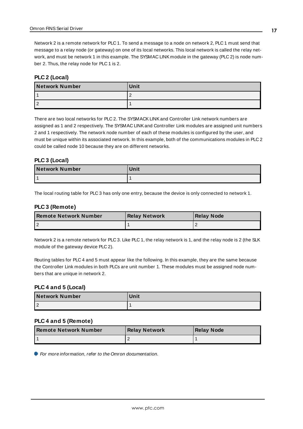Network 2 is a remote network for PLC 1. To send a message to a node on network 2, PLC 1 must send that message to a relay node (or gateway) on one of its local networks. This local network is called the relay network, and must be network 1 in this example. The SYSMAC LINK module in the gateway (PLC 2) is node number 2. Thus, the relay node for PLC 1 is 2.

#### **PLC 2 (Local)**

| <b>Network Number</b> | Unit |
|-----------------------|------|
|                       |      |
|                       |      |

There are two local networks for PLC 2. The SYSMACK LINK and Controller Link network numbers are assigned as 1 and 2 respectively. The SYSMAC LINKand Controller Link modules are assigned unit numbers 2 and 1 respectively. The network node number of each of these modules is configured by the user, and must be unique within its associated network. In this example, both of the communications modules in PLC 2 could be called node 10 because they are on different networks.

#### **PLC 3 (Local)**

| Network Number | Unit |
|----------------|------|
|                |      |

The local routing table for PLC 3 has only one entry, because the device is only connected to network 1.

#### **PLC 3 (Remote)**

| <b>I Remote Network Number</b> | <b>Relay Network</b> | Relay Node |
|--------------------------------|----------------------|------------|
|                                |                      |            |

Network 2 is a remote network for PLC 3. Like PLC 1, the relay network is 1, and the relay node is 2 (the SLK module of the gateway device PLC 2).

Routing tables for PLC 4 and 5 must appear like the following. In this example, they are the same because the Controller Link modules in both PLCs are unit number 1. These modules must be assigned node numbers that are unique in network 2.

#### **PLC 4 and 5 (Local)**

| <b>Network Number</b> | Unit |
|-----------------------|------|
|                       |      |

#### **PLC 4 and 5 (Remote)**

| <b>I Remote Network Number</b> | <b>Relay Network</b> | Relay Node |
|--------------------------------|----------------------|------------|
|                                |                      |            |

For more information, refer to the Omron documentation.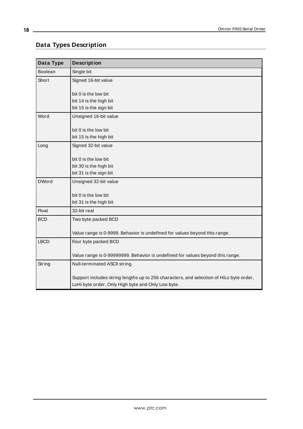## <span id="page-17-0"></span>**Data Types Description**

| Data Type    | <b>Description</b>                                                                      |
|--------------|-----------------------------------------------------------------------------------------|
| Boolean      | Single bit                                                                              |
| Short        | Signed 16-bit value                                                                     |
|              |                                                                                         |
|              | bit 0 is the low bit                                                                    |
|              | bit 14 is the high bit<br>bit 15 is the sign bit                                        |
|              |                                                                                         |
| Word         | Unsigned 16-bit value                                                                   |
|              | bit 0 is the low bit                                                                    |
|              | bit 15 is the high bit                                                                  |
| Long         | Signed 32-bit value                                                                     |
|              |                                                                                         |
|              | bit 0 is the low bit                                                                    |
|              | bit 30 is the high bit                                                                  |
|              | bit 31 is the sign bit                                                                  |
| <b>DWord</b> | Unsigned 32-bit value                                                                   |
|              | bit 0 is the low bit                                                                    |
|              | bit 31 is the high bit                                                                  |
| <b>Float</b> | 32-bit real                                                                             |
| <b>BCD</b>   | Two byte packed BCD                                                                     |
|              |                                                                                         |
|              | Value range is 0-9999. Behavior is undefined for values beyond this range.              |
| <b>LBCD</b>  | Four byte packed BCD                                                                    |
|              |                                                                                         |
|              | Value range is 0-99999999. Behavior is undefined for values beyond this range.          |
| String       | Null-terminated ASCII string.                                                           |
|              | Support includes string lengths up to 256 characters, and selection of HiLo byte order, |
|              |                                                                                         |
|              | LoHi byte order, Only High byte and Only Low byte.                                      |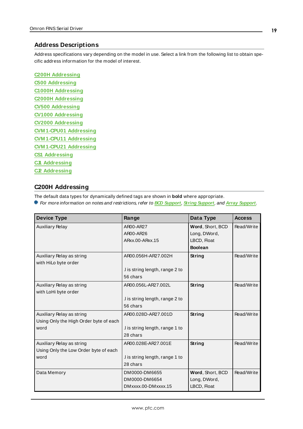#### <span id="page-18-0"></span>**Address Descriptions**

Address specifications vary depending on the model in use. Select a link from the following list to obtain specific address information for the model of interest.

**C200H [Addressing](#page-18-1) C500 [Addressing](#page-23-0) C1000H [Addressing](#page-27-0) C2000H [Addressing](#page-32-0) CV500 [Addressing](#page-36-0) CV1000 [Addressing](#page-41-0) CV2000 [Addressing](#page-46-0) [CVM 1-CPU01](#page-52-0) Addressing [CVM 1-CPU11](#page-57-0) Addressing [CVM 1-CPU21](#page-61-0) Addressing CS1 [Addressing](#page-67-0) CJ1 [Addressing](#page-73-0) CJ2 [Addressing](#page-78-0)**

## <span id="page-18-1"></span>**C200H Addressing**

The default data types for dynamically defined tags are shown in **bold** where appropriate.

For more information on notes and restrictions, refer to **BCD [Support](#page-22-0)**, **String [Support](#page-22-1)**, and **Array [Support](#page-23-1)**.

| <b>Device Type</b>                     | Range                          | Data Type        | <b>Access</b> |
|----------------------------------------|--------------------------------|------------------|---------------|
| <b>Auxiliary Relay</b>                 | AR00-AR27                      | Word, Short, BCD | Read/Write    |
|                                        | AR00-AR26                      | Long, DWord,     |               |
|                                        | ARxx.00-ARxx.15                | LBCD, Float      |               |
|                                        |                                | <b>Boolean</b>   |               |
| Auxiliary Relay as string              | AR00.056H-AR27.002H            | String           | Read/Write    |
| with HiLo byte order                   |                                |                  |               |
|                                        | I is string length, range 2 to |                  |               |
|                                        | 56 chars                       |                  |               |
| Auxiliary Relay as string              | AR00.056L-AR27.002L            | String           | Read/Write    |
| with LoHi byte order                   |                                |                  |               |
|                                        | I is string length, range 2 to |                  |               |
|                                        | 56 chars                       |                  |               |
| Auxiliary Relay as string              | AR00.028D-AR27.001D            | String           | Read/Write    |
| Using Only the High Order byte of each |                                |                  |               |
| word                                   | I is string length, range 1 to |                  |               |
|                                        | 28 chars                       |                  |               |
| Auxiliary Relay as string              | AR00.028E-AR27.001E            | String           | Read/Write    |
| Using Only the Low Order byte of each  |                                |                  |               |
| word                                   | I is string length, range 1 to |                  |               |
|                                        | 28 chars                       |                  |               |
| Data Memory                            | DM0000-DM6655                  | Word, Short, BCD | Read/Write    |
|                                        | DM0000-DM6654                  | Long, DWord,     |               |
|                                        | DMxxxx.00-DMxxxx.15            | LBCD, Float      |               |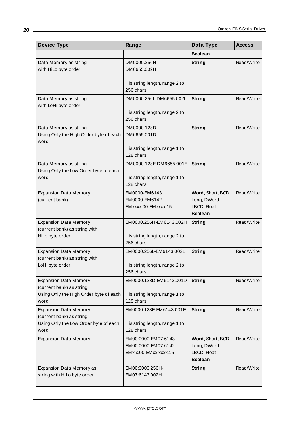| <b>Device Type</b>                                                      | Range                                                               | Data Type                                                         | <b>Access</b> |
|-------------------------------------------------------------------------|---------------------------------------------------------------------|-------------------------------------------------------------------|---------------|
|                                                                         |                                                                     | <b>Boolean</b>                                                    |               |
| Data Memory as string<br>with HiLo byte order                           | DM0000.256H-<br>DM6655.002H                                         | <b>String</b>                                                     | Read/Write    |
|                                                                         | .I is string length, range 2 to<br>256 chars                        |                                                                   |               |
| Data Memory as string<br>with LoHi byte order                           | DM0000.256L-DM6655.002L                                             | <b>String</b>                                                     | Read/Write    |
|                                                                         | .I is string length, range 2 to<br>256 chars                        |                                                                   |               |
| Data Memory as string<br>Using Only the High Order byte of each<br>word | DM0000.128D-<br>DM6655.001D                                         | <b>String</b>                                                     | Read/Write    |
|                                                                         | .I is string length, range 1 to<br>128 chars                        |                                                                   |               |
| Data Memory as string<br>Using Only the Low Order byte of each          | DM0000.128E-DM6655.001E                                             | String                                                            | Read/Write    |
| word                                                                    | .I is string length, range 1 to<br>128 chars                        |                                                                   |               |
| <b>Expansion Data Memory</b><br>(current bank)                          | EM0000-EM6143<br>EM0000-EM6142<br>EMxxxx.00-EMxxxx.15               | Word, Short, BCD<br>Long, DWord,<br>LBCD, Float<br><b>Boolean</b> | Read/Write    |
| <b>Expansion Data Memory</b>                                            | EM0000.256H-EM6143.002H                                             | <b>String</b>                                                     | Read/Write    |
| (current bank) as string with<br>HiLo byte order                        | .I is string length, range 2 to<br>256 chars                        |                                                                   |               |
| <b>Expansion Data Memory</b>                                            | EM0000.256L-EM6143.002L                                             | <b>String</b>                                                     | Read/Write    |
| (current bank) as string with<br>LoHi byte order                        | .I is string length, range 2 to<br>256 chars                        |                                                                   |               |
| <b>Expansion Data Memory</b><br>(current bank) as string                | EM0000.128D-EM6143.001D                                             | <b>String</b>                                                     | Read/Write    |
| Using Only the High Order byte of each<br>word                          | .I is string length, range 1 to<br>128 chars                        |                                                                   |               |
| <b>Expansion Data Memory</b><br>(current bank) as string                | EM0000.128E-EM6143.001E                                             | <b>String</b>                                                     | Read/Write    |
| Using Only the Low Order byte of each<br>word                           | I is string length, range 1 to<br>128 chars                         |                                                                   |               |
| <b>Expansion Data Memory</b>                                            | EM00:0000-EM07:6143<br>EM00:0000-EM07:6142<br>EMx:x.00-EMxx:xxxx.15 | Word, Short, BCD<br>Long, DWord,<br>LBCD, Float<br><b>Boolean</b> | Read/Write    |
| Expansion Data Memory as<br>string with HiLo byte order                 | EM00:0000.256H-<br>EM07:6143.002H                                   | <b>String</b>                                                     | Read/Write    |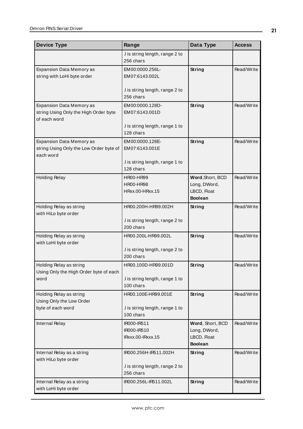| <b>Device Type</b>                                                | Range                                        | Data Type                        | <b>Access</b> |
|-------------------------------------------------------------------|----------------------------------------------|----------------------------------|---------------|
|                                                                   | .I is string length, range 2 to              |                                  |               |
|                                                                   | 256 chars                                    |                                  |               |
| Expansion Data Memory as                                          | EM00:0000.256L-                              | <b>String</b>                    | Read/Write    |
| string with LoHi byte order                                       | EM07:6143.002L                               |                                  |               |
|                                                                   |                                              |                                  |               |
|                                                                   | .I is string length, range 2 to<br>256 chars |                                  |               |
| <b>Expansion Data Memory as</b>                                   | EM00:0000.128D-                              | <b>String</b>                    | Read/Write    |
| string Using Only the High Order byte                             | EM07:6143.001D                               |                                  |               |
| of each word                                                      |                                              |                                  |               |
|                                                                   | .I is string length, range 1 to              |                                  |               |
|                                                                   | 128 chars                                    |                                  |               |
| Expansion Data Memory as                                          | EM00:0000.128E-                              | <b>String</b>                    | Read/Write    |
| string Using Only the Low Order byte of                           | EM07:6143.001E                               |                                  |               |
| each word                                                         |                                              |                                  |               |
|                                                                   | .I is string length, range 1 to<br>128 chars |                                  |               |
|                                                                   |                                              |                                  |               |
| <b>Holding Relay</b>                                              | <b>HR00-HR99</b><br><b>HR00-HR98</b>         | Word, Short, BCD<br>Long, DWord, | Read/Write    |
|                                                                   | HRxx.00-HRxx.15                              | LBCD, Float                      |               |
|                                                                   |                                              | <b>Boolean</b>                   |               |
| Holding Relay as string                                           | HR00.200H-HR99.002H                          | String                           | Read/Write    |
| with HiLo byte order                                              |                                              |                                  |               |
|                                                                   | .I is string length, range 2 to              |                                  |               |
|                                                                   | 200 chars                                    |                                  |               |
| Holding Relay as string                                           | HR00.200L-HR99.002L                          | String                           | Read/Write    |
| with LoHi byte order                                              |                                              |                                  |               |
|                                                                   | .I is string length, range 2 to<br>200 chars |                                  |               |
|                                                                   |                                              |                                  |               |
| Holding Relay as string<br>Using Only the High Order byte of each | HR00.100D-HR99.001D                          | String                           | Read/Write    |
| word                                                              | I is string length, range 1 to               |                                  |               |
|                                                                   | 100 chars                                    |                                  |               |
| Holding Relay as string                                           | HR00.100E-HR99.001E                          | <b>String</b>                    | Read/Write    |
| Using Only the Low Order                                          |                                              |                                  |               |
| byte of each word                                                 | .I is string length, range 1 to              |                                  |               |
|                                                                   | 100 chars                                    |                                  |               |
| Internal Relay                                                    | IR000-IR511                                  | Word, Short, BCD                 | Read/Write    |
|                                                                   | IR000-IR510                                  | Long, DWord,                     |               |
|                                                                   | IRxxx.00-IRxxx.15                            | LBCD, Float<br><b>Boolean</b>    |               |
|                                                                   |                                              |                                  | Read/Write    |
| Internal Relay as a string<br>with HiLo byte order                | IR000.256H-IR511.002H                        | <b>String</b>                    |               |
|                                                                   | .I is string length, range 2 to              |                                  |               |
|                                                                   | 256 chars                                    |                                  |               |
| Internal Relay as a string                                        | IR000.256L-IR511.002L                        | <b>String</b>                    | Read/Write    |
| with LoHi byte order                                              |                                              |                                  |               |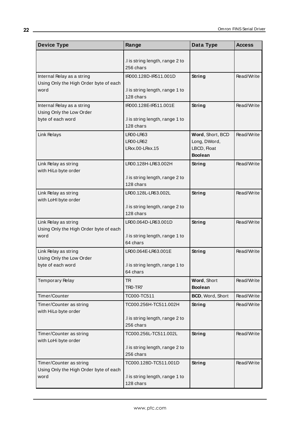| <b>Device Type</b>                                                   | Range                                            | Data Type                                                         | <b>Access</b> |
|----------------------------------------------------------------------|--------------------------------------------------|-------------------------------------------------------------------|---------------|
|                                                                      | .I is string length, range 2 to<br>256 chars     |                                                                   |               |
| Internal Relay as a string<br>Using Only the High Order byte of each | IR000.128D-IR511.001D                            | String                                                            | Read/Write    |
| word                                                                 | .I is string length, range 1 to<br>128 chars     |                                                                   |               |
| Internal Relay as a string<br>Using Only the Low Order               | IR000.128E-IR511.001E                            | <b>String</b>                                                     | Read/Write    |
| byte of each word                                                    | .I is string length, range 1 to<br>128 chars     |                                                                   |               |
| Link Relays                                                          | LR00-LR63<br><b>LR00-LR62</b><br>LRxx.00-LRxx.15 | Word, Short, BCD<br>Long, DWord,<br>LBCD, Float<br><b>Boolean</b> | Read/Write    |
| Link Relay as string<br>with HiLo byte order                         | LR00.128H-LR63.002H                              | <b>String</b>                                                     | Read/Write    |
|                                                                      | .I is string length, range 2 to<br>128 chars     |                                                                   |               |
| Link Relay as string<br>with LoHI byte order                         | LR00.128L-LR63.002L                              | String                                                            | Read/Write    |
|                                                                      | .I is string length, range 2 to<br>128 chars     |                                                                   |               |
| Link Relay as string<br>Using Only the High Order byte of each       | LR00.064D-LR63.001D                              | <b>String</b>                                                     | Read/Write    |
| word                                                                 | .I is string length, range 1 to<br>64 chars      |                                                                   |               |
| Link Relay as string<br>Using Only the Low Order                     | LR00.064E-LR63.001E                              | <b>String</b>                                                     | Read/Write    |
| byte of each word                                                    | .I is string length, range 1 to<br>64 chars      |                                                                   |               |
| <b>Temporary Relay</b>                                               | <b>TR</b><br>TRO-TR7                             | Word, Short<br><b>Boolean</b>                                     | Read/Write    |
| Timer/Counter                                                        | TC000-TC511                                      | BCD, Word, Short                                                  | Read/Write    |
| Timer/Counter as string<br>with HiLo byte order                      | TC000.256H-TC511.002H                            | <b>String</b>                                                     | Read/Write    |
|                                                                      | I is string length, range 2 to<br>256 chars      |                                                                   |               |
| Timer/Counter as string<br>with LoHi byte order                      | TC000.256L-TC511.002L                            | <b>String</b>                                                     | Read/Write    |
|                                                                      | .I is string length, range 2 to<br>256 chars     |                                                                   |               |
| Timer/Counter as string<br>Using Only the High Order byte of each    | TC000.128D-TC511.001D                            | <b>String</b>                                                     | Read/Write    |
| word                                                                 | .I is string length, range 1 to<br>128 chars     |                                                                   |               |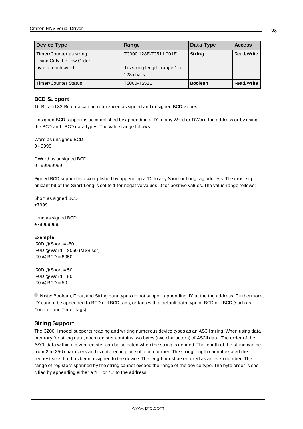| <b>Device Type</b>       | Range                          | Data Type      | <b>Access</b> |
|--------------------------|--------------------------------|----------------|---------------|
| Timer/Counter as string  | TC000.128E-TC511.001E          | String         | Read/Write    |
| Using Only the Low Order |                                |                |               |
| byte of each word        | I is string length, range 1 to |                |               |
|                          | 128 chars                      |                |               |
| Timer/Counter Status     | TS000-TS511                    | <b>Boolean</b> | Read/Write    |

## <span id="page-22-0"></span>**BCD Support**

16-Bit and 32-Bit data can be referenced as signed and unsigned BCD values.

Unsigned BCD support is accomplished by appending a 'D' to any Word or DWord tag address or by using the BCD and LBCD data types. The value range follows:

Word as unsigned BCD 0 - 9999

DWord as unsigned BCD 0 - 99999999

Signed BCD support is accomplished by appending a 'D' to any Short or Long tag address. The most significant bit of the Short/Long is set to 1 for negative values, 0 for positive values. The value range follows:

Short as signed BCD ±7999

Long as signed BCD ±79999999

#### **Example**

 $\text{I} \text{ROD} \text{ @ Short} = -50$ IR0D @Word = 8050 (MSB set) IR0 @BCD = 8050

 $\text{IROD} \otimes \text{Short} = 50$  $\text{ROD} \text{ @Word} = 50$  $IR0 @ BCD = 50$ 

<span id="page-22-1"></span>**Note:** Boolean, Float, and String data types do not support appending 'D' to the tag address. Furthermore, 'D' cannot be appended to BCD or LBCD tags, or tags with a default data type of BCD or LBCD (such as Counter and Timer tags).

## **String Support**

The C200H model supports reading and writing numerous device types as an ASCII string. When using data memory for string data, each register contains two bytes (two characters) of ASCII data. The order of the ASCII data within a given register can be selected when the string is defined. The length of the string can be from 2 to 256 characters and is entered in place of a bit number. The string length cannot exceed the request size that has been assigned to the device. The length must be entered as an even number. The range of registers spanned by the string cannot exceed the range of the device type. The byte order is specified by appending either a "H" or "L" to the address.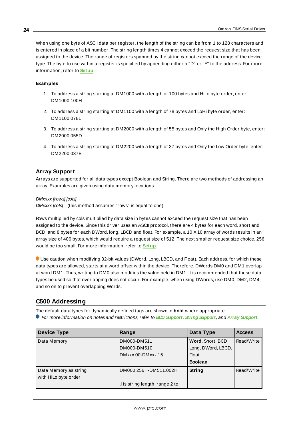When using one byte of ASCII data per register, the length of the string can be from 1 to 128 characters and is entered in place of a bit number. The string length times 4 cannot exceed the request size that has been assigned to the device. The range of registers spanned by the string cannot exceed the range of the device type. The byte to use within a register is specified by appending either a "D" or "E" to the address. For more information, refer to **[Setup](#page-3-2)**.

#### **Examples**

- 1. To address a string starting at DM1000 with a length of 100 bytes and HiLo byte order, enter: DM1000.100H
- 2. To address a string starting at DM1100 with a length of 78 bytes and LoHi byte order, enter: DM1100.078L
- 3. To address a string starting at DM2000 with a length of 55 bytes and Only the High Order byte, enter: DM2000.055D
- <span id="page-23-1"></span>4. To address a string starting at DM2200 with a length of 37 bytes and Only the Low Order byte, enter: DM2200.037E

#### **Array Support**

Arrays are supported for all data types except Boolean and String. There are two methods of addressing an array. Examples are given using data memory locations.

DMxxxx [rows] [cols]

DMxxxx [cols] – (this method assumes "rows" is equal to one)

Rows multiplied by cols multiplied by data size in bytes cannot exceed the request size that has been assigned to the device. Since this driver uses an ASCII protocol, there are 4 bytes for each word, short and BCD, and 8 bytes for each DWord, long, LBCD and float. For example, a 10 X10 array of words results in an array size of 400 bytes, which would require a request size of 512. The next smaller request size choice, 256, would be too small. For more information, refer to **[Setup](#page-3-2)**.

Use caution when modifying 32-bit values (DWord, Long, LBCD, and Float). Each address, for which these data types are allowed, starts at a word offset within the device. Therefore, DWords DM0 and DM1 overlap at word DM1. Thus, writing to DM0 also modifies the value held in DM1. It is recommended that these data types be used so that overlapping does not occur. For example, when using DWords, use DM0, DM2, DM4, and so on to prevent overlapping Words.

## <span id="page-23-0"></span>**C500 Addressing**

The default data types for dynamically defined tags are shown in **bold** where appropriate.

For more information on notes and restrictions, refer to **BCD [Support](#page-26-0)**, **String [Support](#page-26-1)**, and **Array [Support](#page-27-1)**.

| <b>Device Type</b>                            | Range                          | Data Type                              | <b>Access</b> |
|-----------------------------------------------|--------------------------------|----------------------------------------|---------------|
| Data Memory                                   | DM000-DM511<br>DM000-DM510     | Word, Short, BCD<br>Long, DWord, LBCD, | Read/Write    |
|                                               | DMxxx.00-DMxxx.15              | <b>Float</b><br><b>Boolean</b>         |               |
| Data Memory as string<br>with HiLo byte order | DM000.256H-DM511.002H          | String                                 | Read/Write    |
|                                               | I is string length, range 2 to |                                        |               |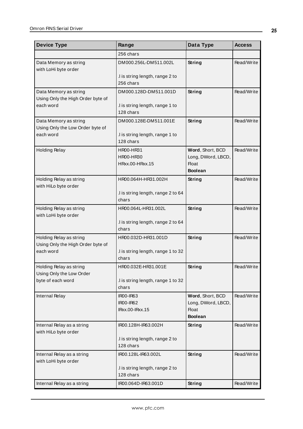| <b>Device Type</b>                                           | Range                                        | Data Type                                                                | <b>Access</b> |
|--------------------------------------------------------------|----------------------------------------------|--------------------------------------------------------------------------|---------------|
|                                                              | 256 chars                                    |                                                                          |               |
| Data Memory as string<br>with LoHi byte order                | DM000.256L-DM511.002L                        | String                                                                   | Read/Write    |
|                                                              | I is string length, range 2 to<br>256 chars  |                                                                          |               |
| Data Memory as string                                        | DM000.128D-DM511.001D                        | String                                                                   | Read/Write    |
| Using Only the High Order byte of<br>each word               | I is string length, range 1 to<br>128 chars  |                                                                          |               |
| Data Memory as string<br>Using Only the Low Order byte of    | DM000.128E-DM511.001E                        | String                                                                   | Read/Write    |
| each word                                                    | .I is string length, range 1 to<br>128 chars |                                                                          |               |
| <b>Holding Relay</b>                                         | HR00-HR31<br>HR00-HR30<br>HRxx.00-HRxx.15    | Word, Short, BCD<br>Long, DWord, LBCD,<br><b>Float</b><br><b>Boolean</b> | Read/Write    |
| Holding Relay as string<br>with HiLo byte order              | HR00.064H-HR31.002H                          | <b>String</b>                                                            | Read/Write    |
|                                                              | .I is string length, range 2 to 64<br>chars  |                                                                          |               |
| Holding Relay as string<br>with LoHi byte order              | HR00.064L-HR31.002L                          | <b>String</b>                                                            | Read/Write    |
|                                                              | .I is string length, range 2 to 64<br>chars  |                                                                          |               |
| Holding Relay as string<br>Using Only the High Order byte of | HR00.032D-HR31.001D                          | String                                                                   | Read/Write    |
| each word                                                    | I is string length, range 1 to 32.<br>chars  |                                                                          |               |
| Holding Relay as string<br>Using Only the Low Order          | HR00.032E-HR31.001E                          | <b>String</b>                                                            | Read/Write    |
| byte of each word                                            | I is string length, range 1 to 32.<br>chars  |                                                                          |               |
| Internal Relay                                               | <b>IR00-IR63</b><br><b>IR00-IR62</b>         | Word, Short, BCD<br>Long, DWord, LBCD,                                   | Read/Write    |
|                                                              | IRxx.00-IRxx.15                              | <b>Float</b><br><b>Boolean</b>                                           |               |
| Internal Relay as a string<br>with HiLo byte order           | IR00.128H-IR63.002H                          | <b>String</b>                                                            | Read/Write    |
|                                                              | .I is string length, range 2 to<br>128 chars |                                                                          |               |
| Internal Relay as a string<br>with LoHi byte order           | IR00.128L-IR63.002L                          | String                                                                   | Read/Write    |
|                                                              | .I is string length, range 2 to<br>128 chars |                                                                          |               |
| Internal Relay as a string                                   | IR00.064D-IR63.001D                          | <b>String</b>                                                            | Read/Write    |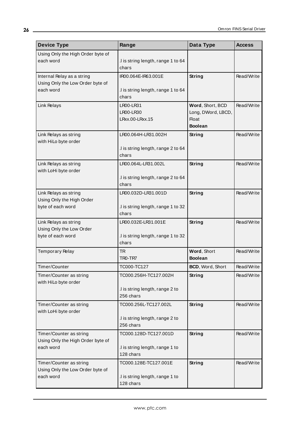| <b>Device Type</b>                                             | Range                                       | Data Type                      | <b>Access</b> |
|----------------------------------------------------------------|---------------------------------------------|--------------------------------|---------------|
| Using Only the High Order byte of                              |                                             |                                |               |
| each word                                                      | .I is string length, range 1 to 64          |                                |               |
|                                                                | chars                                       |                                |               |
| Internal Relay as a string<br>Using Only the Low Order byte of | IR00.064E-IR63.001E                         | String                         | Read/Write    |
| each word                                                      | .I is string length, range 1 to 64          |                                |               |
|                                                                | chars                                       |                                |               |
| Link Relays                                                    | LR00-LR31                                   | Word, Short, BCD               | Read/Write    |
|                                                                | LR00-LR30                                   | Long, DWord, LBCD,             |               |
|                                                                | LRxx.00-LRxx.15                             | <b>Float</b><br><b>Boolean</b> |               |
| Link Relays as string                                          | LR00.064H-LR31.002H                         | String                         | Read/Write    |
| with HiLo byte order                                           |                                             |                                |               |
|                                                                | .I is string length, range 2 to 64          |                                |               |
|                                                                | chars                                       |                                |               |
| Link Relays as string<br>with LoHi byte order                  | LR00.064L-LR31.002L                         | String                         | Read/Write    |
|                                                                | .I is string length, range 2 to 64          |                                |               |
|                                                                | chars                                       |                                |               |
| Link Relays as string                                          | LR00.032D-LR31.001D                         | String                         | Read/Write    |
| Using Only the High Order                                      |                                             |                                |               |
| byte of each word                                              | .I is string length, range 1 to 32<br>chars |                                |               |
|                                                                | LR00.032E-LR31.001E                         |                                | Read/Write    |
| Link Relays as string<br>Using Only the Low Order              |                                             | String                         |               |
| byte of each word                                              | .I is string length, range 1 to 32          |                                |               |
|                                                                | chars                                       |                                |               |
| <b>Temporary Relay</b>                                         | <b>TR</b>                                   | Word, Short                    | Read/Write    |
|                                                                | TR <sub>0</sub> -TR <sub>7</sub>            | <b>Boolean</b>                 |               |
| Timer/Counter                                                  | TC000-TC127                                 | BCD, Word, Short               | Read/Write    |
| Timer/Counter as string                                        | TC000.256H-TC127.002H                       | String                         | Read/Write    |
| with HiLo byte order                                           | .I is string length, range 2 to             |                                |               |
|                                                                | 256 chars                                   |                                |               |
| Timer/Counter as string                                        | TC000.256L-TC127.002L                       | String                         | Read/Write    |
| with LoHi byte order                                           |                                             |                                |               |
|                                                                | .I is string length, range 2 to             |                                |               |
|                                                                | 256 chars                                   |                                |               |
| Timer/Counter as string<br>Using Only the High Order byte of   | TC000.128D-TC127.001D                       | String                         | Read/Write    |
| each word                                                      | .I is string length, range 1 to             |                                |               |
|                                                                | 128 chars                                   |                                |               |
| Timer/Counter as string                                        | TC000.128E-TC127.001E                       | String                         | Read/Write    |
| Using Only the Low Order byte of                               |                                             |                                |               |
| each word                                                      | .I is string length, range 1 to             |                                |               |
|                                                                | 128 chars                                   |                                |               |

<u> 1989 - Johann Barn, mars eta bainar eta bainar eta baina eta baina eta baina eta baina eta baina eta baina e</u>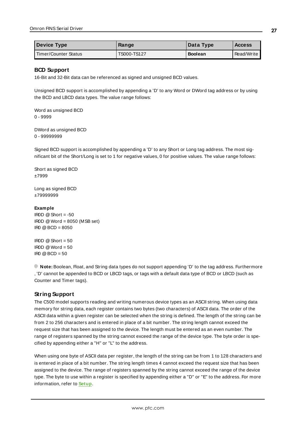<span id="page-26-0"></span>

| <b>Device Type</b>   | Range       | Data Type      | <b>Access</b> |
|----------------------|-------------|----------------|---------------|
| Timer/Counter Status | TS000-TS127 | <b>Boolean</b> | Read/Write I  |

#### **BCD Support**

16-Bit and 32-Bit data can be referenced as signed and unsigned BCD values.

Unsigned BCD support is accomplished by appending a 'D' to any Word or DWord tag address or by using the BCD and LBCD data types. The value range follows:

Word as unsigned BCD 0 - 9999

DWord as unsigned BCD 0 - 99999999

Signed BCD support is accomplished by appending a 'D' to any Short or Long tag address. The most significant bit of the Short/Long is set to 1 for negative values, 0 for positive values. The value range follows:

Short as signed BCD ±7999

Long as signed BCD ±79999999

#### **Example**

 $\text{IROD} \ @ \text{Short} = -50$ IR0D @Word = 8050 (MSB set)  $IRO @ BCD = 8050$ 

 $ROD @ Short = 50$  $\text{IROD} \otimes \text{Word} = 50$  $IR0 @ BCD = 50$ 

<span id="page-26-1"></span>**Note:** Boolean, Float, and String data types do not support appending 'D' to the tag address. Furthermore , 'D' cannot be appended to BCD or LBCD tags, or tags with a default data type of BCD or LBCD (such as Counter and Timer tags).

#### **String Support**

The C500 model supports reading and writing numerous device types as an ASCII string. When using data memory for string data, each register contains two bytes (two characters) of ASCII data. The order of the ASCII data within a given register can be selected when the string is defined. The length of the string can be from 2 to 256 characters and is entered in place of a bit number. The string length cannot exceed the request size that has been assigned to the device. The length must be entered as an even number. The range of registers spanned by the string cannot exceed the range of the device type. The byte order is specified by appending either a "H" or "L" to the address.

When using one byte of ASCII data per register, the length of the string can be from 1 to 128 characters and is entered in place of a bit number. The string length times 4 cannot exceed the request size that has been assigned to the device. The range of registers spanned by the string cannot exceed the range of the device type. The byte to use within a register is specified by appending either a "D" or "E" to the address. For more information, refer to **[Setup](#page-3-2)**.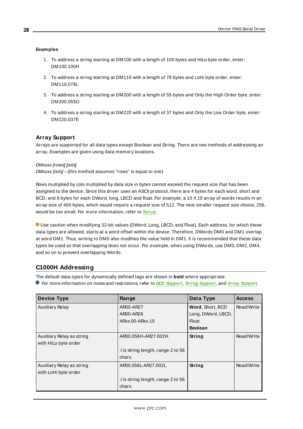#### **Examples**

- 1. To address a string starting at DM100 with a length of 100 bytes and HiLo byte order, enter: DM100.100H
- 2. To address a string starting at DM110 with a length of 78 bytes and LoHi byte order, enter: DM110.078L
- 3. To address a string starting at DM200 with a length of 55 bytes and Only the High Order byte, enter: DM200.055D
- <span id="page-27-1"></span>4. To address a string starting at DM220 with a length of 37 bytes and Only the Low Order byte, enter: DM220.037E

## **Array Support**

Arrays are supported for all data types except Boolean and String. There are two methods of addressing an array. Examples are given using data memory locations.

#### DMxxxx [rows] [cols]

DMxxxx [cols] – (this method assumes "rows" is equal to one)

Rows multiplied by cols multiplied by data size in bytes cannot exceed the request size that has been assigned to the device. Since this driver uses an ASCII protocol, there are 4 bytes for each word, short and BCD, and 8 bytes for each DWord, long, LBCD and float. For example, a 10 X10 array of words results in an array size of 400 bytes, which would require a request size of 512. The next smaller request size choice, 256, would be too small. For more information, refer to **[Setup](#page-3-2)**.

Use caution when modifying 32-bit values (DWord, Long, LBCD, and Float). Each address, for which these data types are allowed, starts at a word offset within the device. Therefore, DWords DM0 and DM1 overlap at word DM1. Thus, writing to DM0 also modifies the value held in DM1. It is recommended that these data types be used so that overlapping does not occur. For example, when using DWords, use DM0, DM2, DM4, and so on to prevent overlapping Words.

## <span id="page-27-0"></span>**C1000H Addressing**

The default data types for dynamically defined tags are shown in **bold** where appropriate.

For more information on notes and restrictions, refer to **BCD [Support](#page-30-0)**, **String [Support](#page-31-0)**, and **Array [Support](#page-31-1)**.

| <b>Device Type</b>        | Range                              | Data Type          | <b>Access</b> |
|---------------------------|------------------------------------|--------------------|---------------|
| <b>Auxiliary Relay</b>    | AR00-AR27                          | Word, Short, BCD   | Read/Write    |
|                           | AR00-AR26                          | Long, DWord, LBCD, |               |
|                           | ARxx.00-ARxx.15                    | Float              |               |
|                           |                                    | <b>Boolean</b>     |               |
| Auxiliary Relay as string | AR00.056H-AR27.002H                | String             | Read/Write    |
| with HiLo byte order      |                                    |                    |               |
|                           | I is string length, range 2 to 56. |                    |               |
|                           | chars                              |                    |               |
| Auxiliary Relay as string | AR00.056L-AR27.002L                | String             | Read/Write    |
| with LoHi byte order      |                                    |                    |               |
|                           | I is string length, range 2 to 56  |                    |               |
|                           | chars                              |                    |               |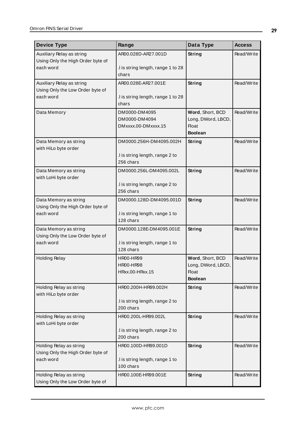| <b>Device Type</b>                                           | Range                                        | Data Type                          | <b>Access</b> |
|--------------------------------------------------------------|----------------------------------------------|------------------------------------|---------------|
| Auxiliary Relay as string                                    | AR00.028D-AR27.001D                          | <b>String</b>                      | Read/Write    |
| Using Only the High Order byte of<br>each word               | I is string length, range 1 to 28            |                                    |               |
|                                                              | chars                                        |                                    |               |
| Auxiliary Relay as string                                    | AR00.028E-AR27.001E                          | <b>String</b>                      | Read/Write    |
| Using Only the Low Order byte of<br>each word                | I is string length, range 1 to 28            |                                    |               |
|                                                              | chars                                        |                                    |               |
| Data Memory                                                  | DM0000-DM4095                                | Word, Short, BCD                   | Read/Write    |
|                                                              | DM0000-DM4094<br>DMxxxx.00-DMxxxx.15         | Long, DWord, LBCD,<br><b>Float</b> |               |
|                                                              |                                              | <b>Boolean</b>                     |               |
| Data Memory as string                                        | DM0000.256H-DM4095.002H                      | String                             | Read/Write    |
| with HiLo byte order                                         |                                              |                                    |               |
|                                                              | I is string length, range 2 to<br>256 chars  |                                    |               |
| Data Memory as string                                        | DM0000.256L-DM4095.002L                      | String                             | Read/Write    |
| with LoHi byte order                                         |                                              |                                    |               |
|                                                              | .I is string length, range 2 to<br>256 chars |                                    |               |
| Data Memory as string                                        | DM0000.128D-DM4095.001D                      | String                             | Read/Write    |
| Using Only the High Order byte of                            |                                              |                                    |               |
| each word                                                    | .I is string length, range 1 to<br>128 chars |                                    |               |
| Data Memory as string                                        | DM0000.128E-DM4095.001E                      | String                             | Read/Write    |
| Using Only the Low Order byte of                             |                                              |                                    |               |
| each word                                                    | I is string length, range 1 to<br>128 chars  |                                    |               |
| <b>Holding Relay</b>                                         | <b>HR00-HR99</b>                             | Word, Short, BCD                   | Read/Write    |
|                                                              | <b>HR00-HR98</b>                             | Long, DWord, LBCD,                 |               |
|                                                              | HRxx.00-HRxx.15                              | <b>Float</b><br><b>Boolean</b>     |               |
| Holding Relay as string                                      | HR00.200H-HR99.002H                          | <b>String</b>                      | Read/Write    |
| with HiLo byte order                                         |                                              |                                    |               |
|                                                              | .I is string length, range 2 to              |                                    |               |
|                                                              | 200 chars                                    |                                    |               |
| Holding Relay as string<br>with LoHi byte order              | HR00.200L-HR99.002L                          | String                             | Read/Write    |
|                                                              | .I is string length, range 2 to              |                                    |               |
|                                                              | 200 chars                                    |                                    |               |
| Holding Relay as string<br>Using Only the High Order byte of | HR00.100D-HR99.001D                          | <b>String</b>                      | Read/Write    |
| each word                                                    | .I is string length, range 1 to              |                                    |               |
|                                                              | 100 chars                                    |                                    |               |
| Holding Relay as string                                      | HR00.100E-HR99.001E                          | <b>String</b>                      | Read/Write    |
| Using Only the Low Order byte of                             |                                              |                                    |               |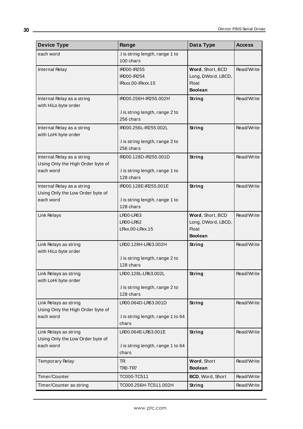| <b>Device Type</b>                                                           | Range                                                                 | Data Type                                                                | <b>Access</b> |
|------------------------------------------------------------------------------|-----------------------------------------------------------------------|--------------------------------------------------------------------------|---------------|
| each word                                                                    | .I is string length, range 1 to<br>100 chars                          |                                                                          |               |
| Internal Relay                                                               | IR000-IR255<br>IR000-IR254<br>IRxxx.00-IRxxx.15                       | Word, Short, BCD<br>Long, DWord, LBCD,<br><b>Float</b><br><b>Boolean</b> | Read/Write    |
| Internal Relay as a string<br>with HiLo byte order                           | IR000.256H-IR255.002H<br>I is string length, range 2 to<br>256 chars  | <b>String</b>                                                            | Read/Write    |
| Internal Relay as a string<br>with LoHi byte order                           | IR000.256L-IR255.002L<br>.I is string length, range 2 to<br>256 chars | <b>String</b>                                                            | Read/Write    |
| Internal Relay as a string<br>Using Only the High Order byte of<br>each word | IR000.128D-IR255.001D<br>.I is string length, range 1 to<br>128 chars | <b>String</b>                                                            | Read/Write    |
| Internal Relay as a string<br>Using Only the Low Order byte of<br>each word  | IR000.128E-IR255.001E<br>.I is string length, range 1 to<br>128 chars | <b>String</b>                                                            | Read/Write    |
| Link Relays                                                                  | LR00-LR63<br><b>LR00-LR62</b><br>LRxx.00-LRxx.15                      | Word, Short, BCD<br>Long, DWord, LBCD,<br><b>Float</b><br><b>Boolean</b> | Read/Write    |
| Link Relays as string<br>with HiLo byte order                                | LR00.128H-LR63.002H<br>I is string length, range 2 to<br>128 chars    | String                                                                   | Read/Write    |
| Link Relays as string<br>with LoHi byte order                                | LR00.128L-LR63.002L<br>.I is string length, range 2 to<br>128 chars   | <b>String</b>                                                            | Read/Write    |
| Link Relays as string<br>Using Only the High Order byte of<br>each word      | LR00.064D-LR63.001D<br>.I is string length, range 1 to 64<br>chars    | <b>String</b>                                                            | Read/Write    |
| Link Relays as string<br>Using Only the Low Order byte of<br>each word       | LR00.064E-LR63.001E<br>.I is string length, range 1 to 64<br>chars    | String                                                                   | Read/Write    |
| Temporary Relay                                                              | <b>TR</b><br>TRO-TR7                                                  | Word, Short<br><b>Boolean</b>                                            | Read/Write    |
| Timer/Counter                                                                | TC000-TC511                                                           | BCD, Word, Short                                                         | Read/Write    |
| Timer/Counter as string                                                      | TC000.256H-TC511.002H                                                 | <b>String</b>                                                            | Read/Write    |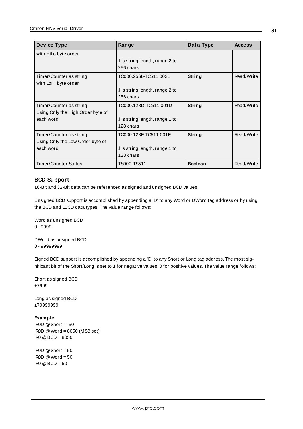| <b>Device Type</b>                                                        | Range                                                                | Data Type      | <b>Access</b> |
|---------------------------------------------------------------------------|----------------------------------------------------------------------|----------------|---------------|
| with HiLo byte order                                                      | I is string length, range 2 to<br>256 chars                          |                |               |
| Timer/Counter as string<br>with LoHi byte order                           | TC000.256L-TC511.002L<br>I is string length, range 2 to<br>256 chars | String         | Read/Write    |
| Timer/Counter as string<br>Using Only the High Order byte of<br>each word | TC000.128D-TC511.001D<br>I is string length, range 1 to<br>128 chars | <b>String</b>  | Read/Write    |
| Timer/Counter as string<br>Using Only the Low Order byte of<br>each word  | TC000.128E-TC511.001E<br>I is string length, range 1 to<br>128 chars | String         | Read/Write    |
| <b>Timer/Counter Status</b>                                               | TS000-TS511                                                          | <b>Boolean</b> | Read/Write    |

## <span id="page-30-0"></span>**BCD Support**

16-Bit and 32-Bit data can be referenced as signed and unsigned BCD values.

Unsigned BCD support is accomplished by appending a 'D' to any Word or DWord tag address or by using the BCD and LBCD data types. The value range follows:

Word as unsigned BCD 0 - 9999

DWord as unsigned BCD 0 - 99999999

Signed BCD support is accomplished by appending a 'D' to any Short or Long tag address. The most significant bit of the Short/Long is set to 1 for negative values, 0 for positive values. The value range follows:

Short as signed BCD ±7999

Long as signed BCD ±79999999

#### **Example**

```
IR0D @ Short = -50
IR0D @Word = 8050 (MSB set)
IR0 @BCD = 8050
```
 $IBOD @ Short = 50$  $\text{I} \text{ROD} \text{ @Word} = 50$  $\text{IRO} \otimes \text{BCD} = 50$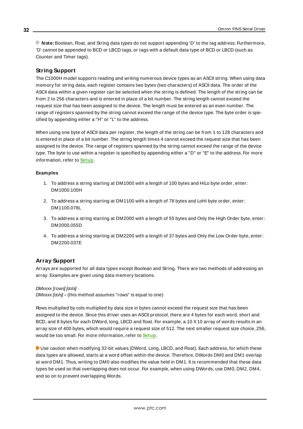<span id="page-31-0"></span>**Note:** Boolean, Float, and String data types do not support appending 'D' to the tag address. Furthermore, 'D' cannot be appended to BCD or LBCD tags, or tags with a default data type of BCD or LBCD (such as Counter and Timer tags).

## **String Support**

The C1000H model supports reading and writing numerous device types as an ASCII string. When using data memory for string data, each register contains two bytes (two characters) of ASCII data. The order of the ASCII data within a given register can be selected when the string is defined. The length of the string can be from 2 to 256 characters and is entered in place of a bit number. The string length cannot exceed the request size that has been assigned to the device. The length must be entered as an even number. The range of registers spanned by the string cannot exceed the range of the device type. The byte order is specified by appending either a "H" or "L" to the address.

When using one byte of ASCII data per register, the length of the string can be from 1 to 128 characters and is entered in place of a bit number. The string length times 4 cannot exceed the request size that has been assigned to the device. The range of registers spanned by the string cannot exceed the range of the device type. The byte to use within a register is specified by appending either a "D" or "E" to the address. For more information, refer to **[Setup](#page-3-2)**.

#### **Examples**

- 1. To address a string starting at DM1000 with a length of 100 bytes and HiLo byte order, enter: DM1000.100H
- 2. To address a string starting at DM1100 with a length of 78 bytes and LoHi byte order, enter: DM1100.078L
- 3. To address a string starting at DM2000 with a length of 55 bytes and Only the High Order byte, enter: DM2000.055D
- <span id="page-31-1"></span>4. To address a string starting at DM2200 with a length of 37 bytes and Only the Low Order byte, enter: DM2200.037E

## **Array Support**

Arrays are supported for all data types except Boolean and String. There are two methods of addressing an array. Examples are given using data memory locations.

#### DMxxxx [rows] [cols]

 $DMxxxx$   $[cols] -$  (this method assumes "rows" is equal to one)

Rows multiplied by cols multiplied by data size in bytes cannot exceed the request size that has been assigned to the device. Since this driver uses an ASCII protocol, there are 4 bytes for each word, short and BCD, and 8 bytes for each DWord, long, LBCD and float. For example, a 10 X10 array of words results in an array size of 400 bytes, which would require a request size of 512. The next smaller request size choice, 256, would be too small. For more information, refer to **[Setup](#page-3-2)**.

Use caution when modifying 32-bit values (DWord, Long, LBCD, and Float). Each address, for which these data types are allowed, starts at a word offset within the device. Therefore, DWords DM0 and DM1 overlap at word DM1. Thus, writing to DM0 also modifies the value held in DM1. It is recommended that these data types be used so that overlapping does not occur. For example, when using DWords, use DM0, DM2, DM4, and so on to prevent overlapping Words.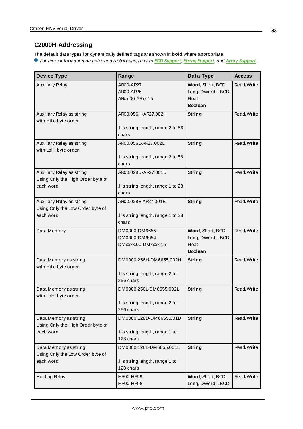## <span id="page-32-0"></span>**C2000H Addressing**

The default data types for dynamically defined tags are shown in **bold** where appropriate. For more information on notes and restrictions, refer to **BCD [Support](#page-34-0)**, **String [Support](#page-35-0)**, and **Array [Support](#page-35-1)**.

| <b>Device Type</b>                                                          | Range                                                                   | Data Type                                                                | <b>Access</b> |
|-----------------------------------------------------------------------------|-------------------------------------------------------------------------|--------------------------------------------------------------------------|---------------|
| <b>Auxiliary Relay</b>                                                      | AR00-AR27<br>AR00-AR26<br>ARxx.00-ARxx.15                               | Word, Short, BCD<br>Long, DWord, LBCD,<br><b>Float</b><br><b>Boolean</b> | Read/Write    |
| Auxiliary Relay as string<br>with HiLo byte order                           | AR00.056H-AR27.002H<br>.I is string length, range 2 to 56<br>chars      | <b>String</b>                                                            | Read/Write    |
| Auxiliary Relay as string<br>with LoHi byte order                           | AR00.056L-AR27.002L<br>.I is string length, range 2 to 56<br>chars      | String                                                                   | Read/Write    |
| Auxiliary Relay as string<br>Using Only the High Order byte of<br>each word | AR00.028D-AR27.001D<br>I is string length, range 1 to 28<br>chars       | <b>String</b>                                                            | Read/Write    |
| Auxiliary Relay as string<br>Using Only the Low Order byte of<br>each word  | AR00.028E-AR27.001E<br>I is string length, range 1 to 28<br>chars       | <b>String</b>                                                            | Read/Write    |
| Data Memory                                                                 | DM0000-DM6655<br>DM0000-DM6654<br>DMxxxx.00-DMxxxx.15                   | Word, Short, BCD<br>Long, DWord, LBCD,<br><b>Float</b><br><b>Boolean</b> | Read/Write    |
| Data Memory as string<br>with HiLo byte order                               | DM0000.256H-DM6655.002H<br>.I is string length, range 2 to<br>256 chars | <b>String</b>                                                            | Read/Write    |
| Data Memory as string<br>with LoHi byte order                               | DM0000.256L-DM6655.002L<br>I is string length, range 2 to<br>256 chars  | <b>String</b>                                                            | Read/Write    |
| Data Memory as string<br>Using Only the High Order byte of<br>each word     | DM0000.128D-DM6655.001D<br>.I is string length, range 1 to<br>128 chars | <b>String</b>                                                            | Read/Write    |
| Data Memory as string<br>Using Only the Low Order byte of<br>each word      | DM0000.128E-DM6655.001E<br>.I is string length, range 1 to<br>128 chars | <b>String</b>                                                            | Read/Write    |
| <b>Holding Relay</b>                                                        | HR00-HR99<br>HR00-HR98                                                  | Word, Short, BCD<br>Long, DWord, LBCD,                                   | Read/Write    |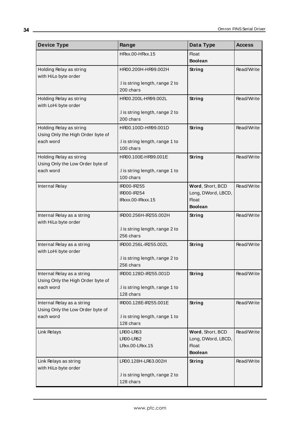| <b>Device Type</b>                                              | Range                                        | Data Type                              | <b>Access</b> |
|-----------------------------------------------------------------|----------------------------------------------|----------------------------------------|---------------|
|                                                                 | HRxx.00-HRxx.15                              | <b>Float</b><br><b>Boolean</b>         |               |
| Holding Relay as string<br>with HiLo byte order                 | HR00.200H-HR99.002H                          | <b>String</b>                          | Read/Write    |
|                                                                 | .I is string length, range 2 to<br>200 chars |                                        |               |
| Holding Relay as string<br>with LoHi byte order                 | HR00.200L-HR99.002L                          | <b>String</b>                          | Read/Write    |
|                                                                 | I is string length, range 2 to<br>200 chars  |                                        |               |
| Holding Relay as string<br>Using Only the High Order byte of    | HR00.100D-HR99.001D                          | <b>String</b>                          | Read/Write    |
| each word                                                       | .I is string length, range 1 to<br>100 chars |                                        |               |
| Holding Relay as string<br>Using Only the Low Order byte of     | HR00.100E-HR99.001E                          | <b>String</b>                          | Read/Write    |
| each word                                                       | .I is string length, range 1 to<br>100 chars |                                        |               |
| Internal Relay                                                  | IR000-IR255<br>IR000-IR254                   | Word, Short, BCD<br>Long, DWord, LBCD, | Read/Write    |
|                                                                 | IRxxx.00-IRxxx.15                            | <b>Float</b><br><b>Boolean</b>         |               |
| Internal Relay as a string<br>with HiLo byte order              | IR000.256H-IR255.002H                        | String                                 | Read/Write    |
|                                                                 | .I is string length, range 2 to<br>256 chars |                                        |               |
| Internal Relay as a string<br>with LoHi byte order              | IR000.256L-IR255.002L                        | String                                 | Read/Write    |
|                                                                 | .I is string length, range 2 to<br>256 chars |                                        |               |
| Internal Relay as a string<br>Using Only the High Order byte of | IR000.128D-IR255.001D                        | <b>String</b>                          | Read/Write    |
| each word                                                       | .I is string length, range 1 to<br>128 chars |                                        |               |
| Internal Relay as a string<br>Using Only the Low Order byte of  | IR000.128E-IR255.001E                        | <b>String</b>                          | Read/Write    |
| each word                                                       | .I is string length, range 1 to<br>128 chars |                                        |               |
| Link Relays                                                     | LR00-LR63<br>LR00-LR62                       | Word, Short, BCD<br>Long, DWord, LBCD, | Read/Write    |
|                                                                 | LRxx.00-LRxx.15                              | <b>Float</b><br><b>Boolean</b>         |               |
| Link Relays as string<br>with HiLo byte order                   | LR00.128H-LR63.002H                          | <b>String</b>                          | Read/Write    |
|                                                                 | .I is string length, range 2 to<br>128 chars |                                        |               |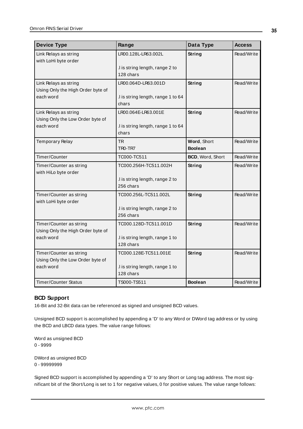| <b>Device Type</b>                | Range                              | Data Type        | <b>Access</b> |
|-----------------------------------|------------------------------------|------------------|---------------|
| Link Relays as string             | LR00.128L-LR63.002L                | String           | Read/Write    |
| with LoHi byte order              |                                    |                  |               |
|                                   | I is string length, range 2 to     |                  |               |
|                                   | 128 chars                          |                  |               |
| Link Relays as string             | LR00.064D-LR63.001D                | <b>String</b>    | Read/Write    |
| Using Only the High Order byte of |                                    |                  |               |
| each word                         | .I is string length, range 1 to 64 |                  |               |
|                                   | chars                              |                  |               |
| Link Relays as string             | LR00.064E-LR63.001E                | <b>String</b>    | Read/Write    |
| Using Only the Low Order byte of  |                                    |                  |               |
| each word                         | .I is string length, range 1 to 64 |                  |               |
|                                   | chars                              |                  |               |
| Temporary Relay                   | <b>TR</b>                          | Word, Short      | Read/Write    |
|                                   | TRO-TR7                            | <b>Boolean</b>   |               |
| Timer/Counter                     | TC000-TC511                        | BCD, Word, Short | Read/Write    |
| Timer/Counter as string           | TC000.256H-TC511.002H              | String           | Read/Write    |
| with HiLo byte order              |                                    |                  |               |
|                                   | .I is string length, range 2 to    |                  |               |
|                                   | 256 chars                          |                  |               |
| Timer/Counter as string           | TC000.256L-TC511.002L              | <b>String</b>    | Read/Write    |
| with LoHi byte order              |                                    |                  |               |
|                                   | I is string length, range 2 to     |                  |               |
|                                   | 256 chars                          |                  |               |
| Timer/Counter as string           | TC000.128D-TC511.001D              | String           | Read/Write    |
| Using Only the High Order byte of |                                    |                  |               |
| each word                         | .I is string length, range 1 to    |                  |               |
|                                   | 128 chars                          |                  |               |
| Timer/Counter as string           | TC000.128E-TC511.001E              | String           | Read/Write    |
| Using Only the Low Order byte of  |                                    |                  |               |
| each word                         | I is string length, range 1 to     |                  |               |
|                                   | 128 chars                          |                  |               |
| <b>Timer/Counter Status</b>       | TS000-TS511                        | <b>Boolean</b>   | Read/Write    |

## <span id="page-34-0"></span>**BCD Support**

16-Bit and 32-Bit data can be referenced as signed and unsigned BCD values.

Unsigned BCD support is accomplished by appending a 'D' to any Word or DWord tag address or by using the BCD and LBCD data types. The value range follows:

Word as unsigned BCD 0 - 9999

DWord as unsigned BCD 0 - 99999999

Signed BCD support is accomplished by appending a 'D' to any Short or Long tag address. The most significant bit of the Short/Long is set to 1 for negative values, 0 for positive values. The value range follows: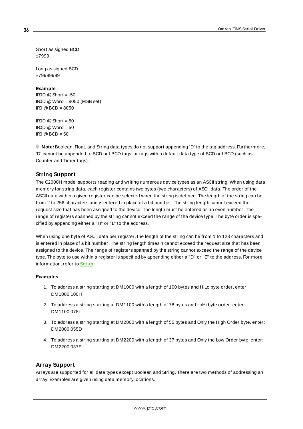Short as signed BCD ±7999

Long as signed BCD ±79999999

#### **Example**

IROD  $@$  Short = -50  $IROD @Word = 8050 (MSB set)$ IR0 @BCD = 8050

 $ROD @ Short = 50$  $IROD @Word = 50$  $IR0 @ BCD = 50$ 

<span id="page-35-0"></span>**Note:** Boolean, Float, and String data types do not support appending 'D' to the tag address. Furthermore, 'D' cannot be appended to BCD or LBCD tags, or tags with a default data type of BCD or LBCD (such as Counter and Timer tags).

## **String Support**

The C2000H model supports reading and writing numerous device types as an ASCII string. When using data memory for string data, each register contains two bytes (two characters) of ASCII data. The order of the ASCII data within a given register can be selected when the string is defined. The length of the string can be from 2 to 256 characters and is entered in place of a bit number. The string length cannot exceed the request size that has been assigned to the device. The length must be entered as an even number. The range of registers spanned by the string cannot exceed the range of the device type. The byte order is specified by appending either a "H" or "L" to the address.

When using one byte of ASCII data per register, the length of the string can be from 1 to 128 characters and is entered in place of a bit number. The string length times 4 cannot exceed the request size that has been assigned to the device. The range of registers spanned by the string cannot exceed the range of the device type. The byte to use within a register is specified by appending either a "D" or "E" to the address. For more information, refer to **[Setup](#page-3-2)**.

#### **Examples**

- 1. To address a string starting at DM1000 with a length of 100 bytes and HiLo byte order, enter: DM1000.100H
- 2. To address a string starting at DM1100 with a length of 78 bytes and LoHi byte order, enter: DM1100.078L
- 3. To address a string starting at DM2000 with a length of 55 bytes and Only the High Order byte, enter: DM2000.055D
- <span id="page-35-1"></span>4. To address a string starting at DM2200 with a length of 37 bytes and Only the Low Order byte, enter: DM2200.037E

#### **Array Support**

Arrays are supported for all data types except Boolean and String. There are two methods of addressing an array. Examples are given using data memory locations.

**36**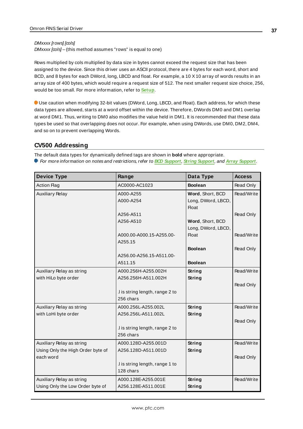#### DMxxxx [rows] [cols]

 $DMxxxx [cos] -$ (this method assumes "rows" is equal to one)

Rows multiplied by cols multiplied by data size in bytes cannot exceed the request size that has been assigned to the device. Since this driver uses an ASCII protocol, there are 4 bytes for each word, short and BCD, and 8 bytes for each DWord, long, LBCD and float. For example, a 10 X10 array of words results in an array size of 400 bytes, which would require a request size of 512. The next smaller request size choice, 256, would be too small. For more information, refer to **[Setup](#page-3-0)**.

Use caution when modifying 32-bit values (DWord, Long, LBCD, and Float). Each address, for which these data types are allowed, starts at a word offset within the device. Therefore, DWords DM0 and DM1 overlap at word DM1. Thus, writing to DM0 also modifies the value held in DM1. It is recommended that these data types be used so that overlapping does not occur. For example, when using DWords, use DM0, DM2, DM4, and so on to prevent overlapping Words.

## **CV500 Addressing**

The default data types for dynamically defined tags are shown in **bold** where appropriate. For more information on notes and restrictions, refer to **BCD [Support](#page-39-0)**, **String [Support](#page-40-0)**, and **Array [Support](#page-40-1)**.

| <b>Device Type</b>                | Range                           | Data Type          | <b>Access</b> |
|-----------------------------------|---------------------------------|--------------------|---------------|
| <b>Action Flag</b>                | AC0000-AC1023                   | <b>Boolean</b>     | Read Only     |
| <b>Auxiliary Relay</b>            | A000-A255                       | Word, Short, BCD   | Read/Write    |
|                                   | A000-A254                       | Long, DWord, LBCD, |               |
|                                   |                                 | <b>Float</b>       |               |
|                                   | A256-A511                       |                    | Read Only     |
|                                   | A256-A510                       | Word, Short, BCD   |               |
|                                   |                                 | Long, DWord, LBCD, |               |
|                                   | A000.00-A000.15-A255.00-        | <b>Float</b>       | Read/Write    |
|                                   | A255.15                         |                    |               |
|                                   |                                 | <b>Boolean</b>     | Read Only     |
|                                   | A256.00-A256.15-A511.00-        |                    |               |
|                                   | A511.15                         | <b>Boolean</b>     |               |
| Auxiliary Relay as string         | A000.256H-A255.002H             | <b>String</b>      | Read/Write    |
| with HiLo byte order              | A256.256H-A511.002H             | String             |               |
|                                   |                                 |                    | Read Only     |
|                                   | .I is string length, range 2 to |                    |               |
|                                   | 256 chars                       |                    |               |
| Auxiliary Relay as string         | A000.256L-A255.002L             | String             | Read/Write    |
| with LoHi byte order              | A256.256L-A511.002L             | String             |               |
|                                   |                                 |                    | Read Only     |
|                                   | I is string length, range 2 to  |                    |               |
|                                   | 256 chars                       |                    |               |
| Auxiliary Relay as string         | A000.128D-A255.001D             | String             | Read/Write    |
| Using Only the High Order byte of | A256.128D-A511.001D             | <b>String</b>      |               |
| each word                         |                                 |                    | Read Only     |
|                                   | .I is string length, range 1 to |                    |               |
|                                   | 128 chars                       |                    |               |
| Auxiliary Relay as string         | A000.128E-A255.001E             | String             | Read/Write    |
| Using Only the Low Order byte of  | A256.128E-A511.001E             | <b>String</b>      |               |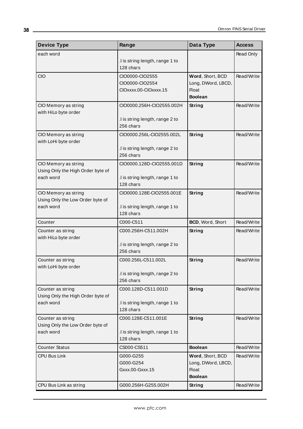| <b>Device Type</b>                                    | Range                                                       | Data Type                                                                | <b>Access</b> |
|-------------------------------------------------------|-------------------------------------------------------------|--------------------------------------------------------------------------|---------------|
| each word                                             |                                                             |                                                                          | Read Only     |
|                                                       | .I is string length, range 1 to<br>128 chars                |                                                                          |               |
| CIO                                                   | CIO0000-CIO2555<br>CIO0000-CIO2554<br>CIOxxxx.00-CIOxxxx.15 | Word, Short, BCD<br>Long, DWord, LBCD,<br>Float                          | Read/Write    |
|                                                       |                                                             | <b>Boolean</b>                                                           |               |
| CIO Memory as string<br>with HiLo byte order          | CIO0000.256H-CIO2555.002H                                   | String                                                                   | Read/Write    |
|                                                       | .I is string length, range 2 to<br>256 chars                |                                                                          |               |
| CIO Memory as string                                  | CIO0000.256L-CIO2555.002L                                   | String                                                                   | Read/Write    |
| with LoHi byte order                                  | I is string length, range 2 to<br>256 chars                 |                                                                          |               |
| CIO Memory as string                                  | CIO0000.128D-CIO2555.001D                                   | String                                                                   | Read/Write    |
| Using Only the High Order byte of<br>each word        | I is string length, range 1 to<br>128 chars                 |                                                                          |               |
| CIO Memory as string                                  | CIO0000.128E-CIO2555.001E                                   | String                                                                   | Read/Write    |
| Using Only the Low Order byte of<br>each word         | .I is string length, range 1 to<br>128 chars                |                                                                          |               |
| Counter                                               | C000-C511                                                   | BCD, Word, Short                                                         | Read/Write    |
| Counter as string<br>with HiLo byte order             | C000.256H-C511.002H                                         | String                                                                   | Read/Write    |
|                                                       | .I is string length, range 2 to<br>256 chars                |                                                                          |               |
| Counter as string<br>with LoHi byte order             | C000.256L-C511.002L                                         | String                                                                   | Read/Write    |
|                                                       | .I is string length, range 2 to<br>256 chars                |                                                                          |               |
| Counter as string                                     | C000.128D-C511.001D                                         | String                                                                   | Read/Write    |
| Using Only the High Order byte of<br>each word        | .I is string length, range 1 to<br>128 chars                |                                                                          |               |
| Counter as string<br>Using Only the Low Order byte of | C000.128E-C511.001E                                         | String                                                                   | Read/Write    |
| each word                                             | .I is string length, range 1 to<br>128 chars                |                                                                          |               |
| <b>Counter Status</b>                                 | CS000-CS511                                                 | <b>Boolean</b>                                                           | Read/Write    |
| <b>CPU Bus Link</b>                                   | G000-G255<br>G000-G254<br>Gxxx.00-Gxxx.15                   | Word, Short, BCD<br>Long, DWord, LBCD,<br><b>Float</b><br><b>Boolean</b> | Read/Write    |
| CPU Bus Link as string                                | G000.256H-G255.002H                                         | <b>String</b>                                                            | Read/Write    |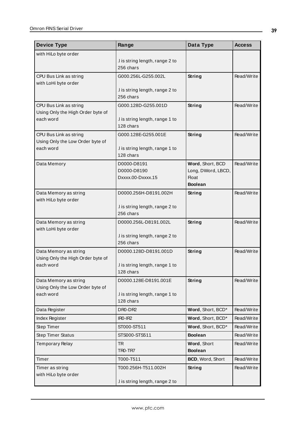| <b>Device Type</b>                             | Range                                           | Data Type                                                                | <b>Access</b> |
|------------------------------------------------|-------------------------------------------------|--------------------------------------------------------------------------|---------------|
| with HiLo byte order                           |                                                 |                                                                          |               |
|                                                | .I is string length, range 2 to<br>256 chars    |                                                                          |               |
| CPU Bus Link as string                         | G000.256L-G255.002L                             | String                                                                   | Read/Write    |
| with LoHi byte order                           | .I is string length, range 2 to<br>256 chars    |                                                                          |               |
| CPU Bus Link as string                         | G000.128D-G255.001D                             | <b>String</b>                                                            | Read/Write    |
| Using Only the High Order byte of<br>each word | .I is string length, range 1 to<br>128 chars    |                                                                          |               |
| CPU Bus Link as string                         | G000.128E-G255.001E                             | <b>String</b>                                                            | Read/Write    |
| Using Only the Low Order byte of<br>each word  | I is string length, range 1 to<br>128 chars     |                                                                          |               |
| Data Memory                                    | D0000-D8191<br>D0000-D8190<br>Dxxxx.00-Dxxxx.15 | Word, Short, BCD<br>Long, DWord, LBCD,<br><b>Float</b><br><b>Boolean</b> | Read/Write    |
| Data Memory as string<br>with HiLo byte order  | D0000.256H-D8191.002H                           | <b>String</b>                                                            | Read/Write    |
|                                                | .I is string length, range 2 to<br>256 chars    |                                                                          |               |
| Data Memory as string                          | D0000.256L-D8191.002L                           | String                                                                   | Read/Write    |
| with LoHi byte order                           | .I is string length, range 2 to<br>256 chars    |                                                                          |               |
| Data Memory as string                          | D0000.128D-D8191.001D                           | <b>String</b>                                                            | Read/Write    |
| Using Only the High Order byte of<br>each word | I is string length, range 1 to<br>128 chars     |                                                                          |               |
| Data Memory as string                          | D0000.128E-D8191.001E                           | String                                                                   | Read/Write    |
| Using Only the Low Order byte of<br>each word  | .I is string length, range 1 to<br>128 chars    |                                                                          |               |
| Data Register                                  | DR0-DR2                                         | Word, Short, BCD*                                                        | Read/Write    |
| Index Register                                 | $IRO-IR2$                                       | Word, Short, BCD*                                                        | Read/Write    |
| Step Timer                                     | ST000-ST511                                     | Word, Short, BCD*                                                        | Read/Write    |
| <b>Step Timer Status</b>                       | STS000-STS511                                   | <b>Boolean</b>                                                           | Read/Write    |
| <b>Temporary Relay</b>                         | <b>TR</b><br>TRO-TR7                            | Word, Short<br><b>Boolean</b>                                            | Read/Write    |
| Timer                                          | T000-T511                                       | BCD, Word, Short                                                         | Read/Write    |
| Timer as string<br>with HiLo byte order        | T000.256H-T511.002H                             | String                                                                   | Read/Write    |
|                                                | .I is string length, range 2 to                 |                                                                          |               |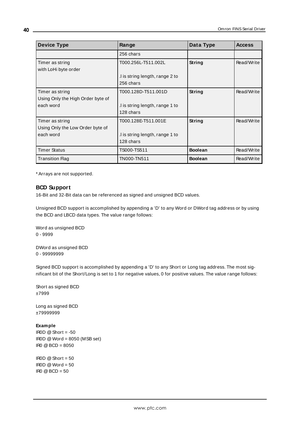| <b>Device Type</b>                | Range                           | Data Type      | <b>Access</b> |
|-----------------------------------|---------------------------------|----------------|---------------|
|                                   | 256 chars                       |                |               |
| Timer as string                   | T000.256L-T511.002L             | String         | Read/Write    |
| with LoHi byte order              |                                 |                |               |
|                                   | .I is string length, range 2 to |                |               |
|                                   | 256 chars                       |                |               |
| Timer as string                   | T000.128D-T511.001D             | <b>String</b>  | Read/Write    |
| Using Only the High Order byte of |                                 |                |               |
| each word                         | I is string length, range 1 to  |                |               |
|                                   | 128 chars                       |                |               |
| Timer as string                   | T000.128E-T511.001E             | String         | Read/Write    |
| Using Only the Low Order byte of  |                                 |                |               |
| each word                         | I is string length, range 1 to  |                |               |
|                                   | 128 chars                       |                |               |
| Timer Status                      | TS000-TS511                     | <b>Boolean</b> | Read/Write    |
| <b>Transition Flag</b>            | TN000-TN511                     | <b>Boolean</b> | Read/Write    |

## <span id="page-39-0"></span>**BCD Support**

16-Bit and 32-Bit data can be referenced as signed and unsigned BCD values.

Unsigned BCD support is accomplished by appending a 'D' to any Word or DWord tag address or by using the BCD and LBCD data types. The value range follows:

Word as unsigned BCD 0 - 9999

DWord as unsigned BCD 0 - 99999999

Signed BCD support is accomplished by appending a 'D' to any Short or Long tag address. The most significant bit of the Short/Long is set to 1 for negative values, 0 for positive values. The value range follows:

Short as signed BCD ±7999

Long as signed BCD ±79999999

### **Example**

IROD  $\textcircled{a}$  Short = -50 IR0D @Word = 8050 (MSB set) IR0 @BCD = 8050

IROD  $@$  Short = 50  $\text{IROD} \otimes \text{Word} = 50$  $\text{IRO} \textcircled{B} \text{BCD} = 50$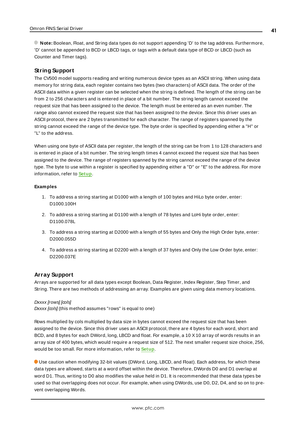<span id="page-40-0"></span>**Note:** Boolean, Float, and String data types do not support appending 'D' to the tag address. Furthermore, 'D' cannot be appended to BCD or LBCD tags, or tags with a default data type of BCD or LBCD (such as Counter and Timer tags).

#### **String Support**

The CV500 model supports reading and writing numerous device types as an ASCII string. When using data memory for string data, each register contains two bytes (two characters) of ASCII data. The order of the ASCII data within a given register can be selected when the string is defined. The length of the string can be from 2 to 256 characters and is entered in place of a bit number. The string length cannot exceed the request size that has been assigned to the device. The length must be entered as an even number. The range also cannot exceed the request size that has been assigned to the device. Since this driver uses an ASCII protocol, there are 2 bytes transmitted for each character. The range of registers spanned by the string cannot exceed the range of the device type. The byte order is specified by appending either a "H" or "L" to the address.

When using one byte of ASCII data per register, the length of the string can be from 1 to 128 characters and is entered in place of a bit number. The string length times 4 cannot exceed the request size that has been assigned to the device. The range of registers spanned by the string cannot exceed the range of the device type. The byte to use within a register is specified by appending either a "D" or "E" to the address. For more information, refer to **[Setup](#page-3-0)**.

#### **Examples**

- 1. To address a string starting at D1000 with a length of 100 bytes and HiLo byte order, enter: D1000.100H
- 2. To address a string starting at D1100 with a length of 78 bytes and LoHi byte order, enter: D1100.078L
- 3. To address a string starting at D2000 with a length of 55 bytes and Only the High Order byte, enter: D2000.055D
- <span id="page-40-1"></span>4. To address a string starting at D2200 with a length of 37 bytes and Only the Low Order byte, enter: D2200.037E

#### **Array Support**

Arrays are supported for all data types except Boolean, Data Register, Index Register, Step Timer, and String. There are two methods of addressing an array. Examples are given using data memory locations.

#### Dxxxx [rows] [cols]

 $Dxxxx$   $[cols]$  (this method assumes "rows" is equal to one)

Rows multiplied by cols multiplied by data size in bytes cannot exceed the request size that has been assigned to the device. Since this driver uses an ASCII protocol, there are 4 bytes for each word, short and BCD, and 8 bytes for each DWord, long, LBCD and float. For example, a 10 X10 array of words results in an array size of 400 bytes, which would require a request size of 512. The next smaller request size choice, 256, would be too small. For more information, refer to **[Setup](#page-3-0)**.

Use caution when modifying 32-bit values (DWord, Long, LBCD, and Float). Each address, for which these data types are allowed, starts at a word offset within the device. Therefore, DWords D0 and D1 overlap at word D1. Thus, writing to D0 also modifies the value held in D1. It is recommended that these data types be used so that overlapping does not occur. For example, when using DWords, use D0, D2, D4, and so on to prevent overlapping Words.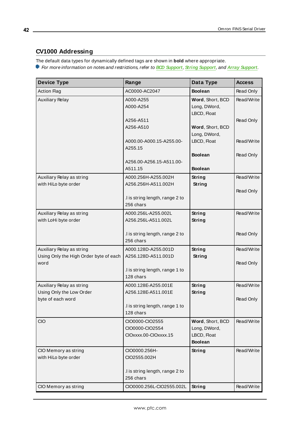# **CV1000 Addressing**

The default data types for dynamically defined tags are shown in **bold** where appropriate.

For more information on notes and restrictions, refer to **BCD [Support](#page-45-0)**, **String [Support](#page-45-1)**, and **Array [Support](#page-46-0)**.

| <b>Device Type</b>                                                          | Range                                                       | Data Type                                                         | <b>Access</b>           |
|-----------------------------------------------------------------------------|-------------------------------------------------------------|-------------------------------------------------------------------|-------------------------|
| <b>Action Flag</b>                                                          | AC0000-AC2047                                               | <b>Boolean</b>                                                    | Read Only               |
| <b>Auxiliary Relay</b>                                                      | A000-A255<br>A000-A254                                      | Word, Short, BCD<br>Long, DWord,<br>LBCD, Float                   | Read/Write              |
|                                                                             | A256-A511<br>A256-A510                                      | Word, Short, BCD<br>Long, DWord,                                  | Read Only               |
|                                                                             | A000.00-A000.15-A255.00-<br>A255.15                         | LBCD, Float                                                       | Read/Write              |
|                                                                             |                                                             | <b>Boolean</b>                                                    | Read Only               |
|                                                                             | A256.00-A256.15-A511.00-<br>A511.15                         | <b>Boolean</b>                                                    |                         |
| Auxiliary Relay as string<br>with HiLo byte order                           | A000.256H-A255.002H<br>A256.256H-A511.002H                  | <b>String</b><br><b>String</b>                                    | Read/Write              |
|                                                                             | .I is string length, range 2 to<br>256 chars                |                                                                   | Read Only               |
| Auxiliary Relay as string<br>with LoHi byte order                           | A000.256L-A255.002L<br>A256.256L-A511.002L                  | <b>String</b><br><b>String</b>                                    | Read/Write              |
|                                                                             | .I is string length, range 2 to<br>256 chars                |                                                                   | Read Only               |
| Auxiliary Relay as string<br>Using Only the High Order byte of each<br>word | A000.128D-A255.001D<br>A256.128D-A511.001D                  | <b>String</b><br><b>String</b>                                    | Read/Write<br>Read Only |
|                                                                             | .I is string length, range 1 to<br>128 chars                |                                                                   |                         |
| Auxiliary Relay as string<br>Using Only the Low Order                       | A000.128E-A255.001E<br>A256.128E-A511.001E                  | <b>String</b><br>String                                           | Read/Write              |
| byte of each word                                                           | I is string length, range 1 to<br>128 chars                 |                                                                   | Read Only               |
| CIO                                                                         | CIO0000-CIO2555<br>CIO0000-CIO2554<br>CIOxxxx.00-CIOxxxx.15 | Word, Short, BCD<br>Long, DWord,<br>LBCD, Float<br><b>Boolean</b> | Read/Write              |
| CIO Memory as string<br>with HiLo byte order                                | CIO0000.256H-<br>CIO2555.002H                               | <b>String</b>                                                     | Read/Write              |
|                                                                             | .I is string length, range 2 to<br>256 chars                |                                                                   |                         |
| CIO Memory as string                                                        | CIO0000.256L-CIO2555.002L                                   | String                                                            | Read/Write              |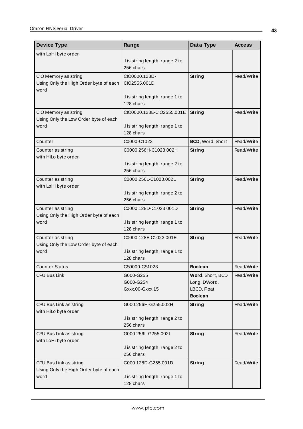| <b>Device Type</b>                                               | Range                                        | Data Type                   | <b>Access</b> |
|------------------------------------------------------------------|----------------------------------------------|-----------------------------|---------------|
| with LoHi byte order                                             |                                              |                             |               |
|                                                                  | .I is string length, range 2 to<br>256 chars |                             |               |
| CIO Memory as string                                             | CIO0000.128D-                                | String                      | Read/Write    |
| Using Only the High Order byte of each<br>word                   | CIO2555.001D                                 |                             |               |
|                                                                  | .I is string length, range 1 to<br>128 chars |                             |               |
| CIO Memory as string                                             | CIO0000.128E-CIO2555.001E                    | String                      | Read/Write    |
| Using Only the Low Order byte of each<br>word                    | .I is string length, range 1 to<br>128 chars |                             |               |
| Counter                                                          | C0000-C1023                                  | BCD, Word, Short            | Read/Write    |
| Counter as string<br>with HiLo byte order                        | C0000.256H-C1023.002H                        | String                      | Read/Write    |
|                                                                  | .I is string length, range 2 to<br>256 chars |                             |               |
| Counter as string<br>with LoHi byte order                        | C0000.256L-C1023.002L                        | String                      | Read/Write    |
|                                                                  | .I is string length, range 2 to<br>256 chars |                             |               |
| Counter as string                                                | C0000.128D-C1023.001D                        | String                      | Read/Write    |
| Using Only the High Order byte of each<br>word                   | .I is string length, range 1 to<br>128 chars |                             |               |
| Counter as string<br>Using Only the Low Order byte of each       | C0000.128E-C1023.001E                        | String                      | Read/Write    |
| word                                                             | .I is string length, range 1 to<br>128 chars |                             |               |
| <b>Counter Status</b>                                            | CS0000-CS1023                                | <b>Boolean</b>              | Read/Write    |
| CPU Bus Link                                                     | G000-G255                                    | Word, Short, BCD            | Read/Write    |
|                                                                  | G000-G254<br>Gxxx.00-Gxxx.15                 | Long, DWord,<br>LBCD, Float |               |
|                                                                  |                                              | <b>Boolean</b>              |               |
| CPU Bus Link as string<br>with HiLo byte order                   | G000.256H-G255.002H                          | String                      | Read/Write    |
|                                                                  | .I is string length, range 2 to<br>256 chars |                             |               |
| CPU Bus Link as string<br>with LoHi byte order                   | G000.256L-G255.002L                          | <b>String</b>               | Read/Write    |
|                                                                  | .I is string length, range 2 to<br>256 chars |                             |               |
| CPU Bus Link as string<br>Using Only the High Order byte of each | G000.128D-G255.001D                          | String                      | Read/Write    |
| word                                                             | .I is string length, range 1 to<br>128 chars |                             |               |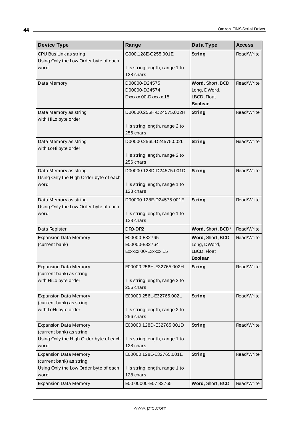| <b>Device Type</b>                                       | Range                                        | Data Type                        | <b>Access</b> |
|----------------------------------------------------------|----------------------------------------------|----------------------------------|---------------|
| CPU Bus Link as string                                   | G000.128E-G255.001E                          | <b>String</b>                    | Read/Write    |
| Using Only the Low Order byte of each                    |                                              |                                  |               |
| word                                                     | .I is string length, range 1 to<br>128 chars |                                  |               |
|                                                          |                                              |                                  |               |
| Data Memory                                              | D00000-D24575<br>D00000-D24574               | Word, Short, BCD<br>Long, DWord, | Read/Write    |
|                                                          | Dxxxxx.00-Dxxxxx.15                          | LBCD, Float                      |               |
|                                                          |                                              | <b>Boolean</b>                   |               |
| Data Memory as string                                    | D00000.256H-D24575.002H                      | String                           | Read/Write    |
| with HiLo byte order                                     |                                              |                                  |               |
|                                                          | .I is string length, range 2 to              |                                  |               |
|                                                          | 256 chars                                    |                                  |               |
| Data Memory as string                                    | D00000.256L-D24575.002L                      | <b>String</b>                    | Read/Write    |
| with LoHi byte order                                     | I is string length, range 2 to               |                                  |               |
|                                                          | 256 chars                                    |                                  |               |
| Data Memory as string                                    | D00000.128D-D24575.001D                      | <b>String</b>                    | Read/Write    |
| Using Only the High Order byte of each                   |                                              |                                  |               |
| word                                                     | I is string length, range 1 to               |                                  |               |
|                                                          | 128 chars                                    |                                  |               |
| Data Memory as string                                    | D00000.128E-D24575.001E                      | String                           | Read/Write    |
| Using Only the Low Order byte of each                    |                                              |                                  |               |
| word                                                     | I is string length, range 1 to<br>128 chars  |                                  |               |
| Data Register                                            | DR0-DR2                                      | Word, Short, BCD*                | Read/Write    |
| <b>Expansion Data Memory</b>                             | E00000-E32765                                | Word, Short, BCD                 | Read/Write    |
| (current bank)                                           | E00000-E32764                                | Long, DWord,                     |               |
|                                                          | Exxxxx.00-Exxxxx.15                          | LBCD, Float                      |               |
|                                                          |                                              | <b>Boolean</b>                   |               |
| <b>Expansion Data Memory</b>                             | E00000.256H-E32765.002H                      | String                           | Read/Write    |
| (current bank) as string                                 |                                              |                                  |               |
| with HiLo byte order                                     | .I is string length, range 2 to              |                                  |               |
|                                                          | 256 chars                                    |                                  |               |
| <b>Expansion Data Memory</b><br>(current bank) as string | E00000.256L-E32765.002L                      | <b>String</b>                    | Read/Write    |
| with LoHi byte order                                     | .I is string length, range 2 to              |                                  |               |
|                                                          | 256 chars                                    |                                  |               |
| <b>Expansion Data Memory</b>                             | E00000.128D-E32765.001D                      | <b>String</b>                    | Read/Write    |
| (current bank) as string                                 |                                              |                                  |               |
| Using Only the High Order byte of each                   | .I is string length, range 1 to              |                                  |               |
| word                                                     | 128 chars                                    |                                  |               |
| <b>Expansion Data Memory</b>                             | E00000.128E-E32765.001E                      | <b>String</b>                    | Read/Write    |
| (current bank) as string                                 |                                              |                                  |               |
| Using Only the Low Order byte of each<br>word            | .I is string length, range 1 to<br>128 chars |                                  |               |
| <b>Expansion Data Memory</b>                             | E00:00000-E07:32765                          | Word, Short, BCD                 | Read/Write    |
|                                                          |                                              |                                  |               |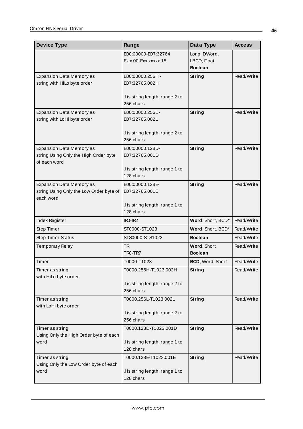| <b>Device Type</b>                                                                       | Range                                                                 | Data Type                                     | <b>Access</b> |
|------------------------------------------------------------------------------------------|-----------------------------------------------------------------------|-----------------------------------------------|---------------|
|                                                                                          | E00:00000-E07:32764<br>Ex:x.00-Exx:xxxxx.15                           | Long, DWord,<br>LBCD, Float<br><b>Boolean</b> |               |
| Expansion Data Memory as<br>string with HiLo byte order                                  | E00:00000.256H -<br>E07:32765.002H<br>.I is string length, range 2 to | <b>String</b>                                 | Read/Write    |
| <b>Expansion Data Memory as</b><br>string with LoHi byte order                           | 256 chars<br>E00:00000.256L-<br>E07:32765.002L                        | String                                        | Read/Write    |
|                                                                                          | .I is string length, range 2 to<br>256 chars                          |                                               |               |
| <b>Expansion Data Memory as</b><br>string Using Only the High Order byte<br>of each word | E00:00000.128D-<br>E07:32765.001D                                     | String                                        | Read/Write    |
|                                                                                          | I is string length, range 1 to<br>128 chars                           |                                               |               |
| Expansion Data Memory as<br>string Using Only the Low Order byte of<br>each word         | E00:00000.128E-<br>E07:32765.001E                                     | String                                        | Read/Write    |
|                                                                                          | .I is string length, range 1 to<br>128 chars                          |                                               |               |
| Index Register                                                                           | $IRO-IR2$                                                             | Word, Short, BCD*                             | Read/Write    |
| Step Timer                                                                               | ST0000-ST1023                                                         | Word, Short, BCD*                             | Read/Write    |
| <b>Step Timer Status</b>                                                                 | STS0000-STS1023                                                       | <b>Boolean</b>                                | Read/Write    |
| <b>Temporary Relay</b>                                                                   | <b>TR</b><br>TRO-TR7                                                  | Word, Short<br><b>Boolean</b>                 | Read/Write    |
| Timer                                                                                    | T0000-T1023                                                           | <b>BCD, Word, Short</b>                       | Read/Write    |
| Timer as string<br>with HiLo byte order                                                  | T0000.256H-T1023.002H<br>I is string length, range 2 to<br>256 chars  | String                                        | Read/Write    |
| Timer as string<br>with LoHi byte order                                                  | T0000.256L-T1023.002L<br>.I is string length, range 2 to<br>256 chars | <b>String</b>                                 | Read/Write    |
| Timer as string<br>Using Only the High Order byte of each<br>word                        | T0000.128D-T1023.001D<br>.I is string length, range 1 to<br>128 chars | String                                        | Read/Write    |
| Timer as string<br>Using Only the Low Order byte of each<br>word                         | T0000.128E-T1023.001E<br>.I is string length, range 1 to<br>128 chars | <b>String</b>                                 | Read/Write    |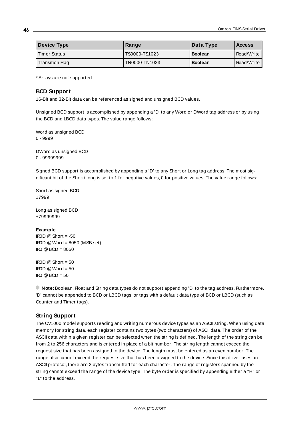| <b>Device Type</b>     | Range         | Data Type      | <b>Access</b> |
|------------------------|---------------|----------------|---------------|
| <b>Timer Status</b>    | TS0000-TS1023 | <b>Boolean</b> | Read/Write    |
| <b>Transition Flag</b> | TN0000-TN1023 | <b>Boolean</b> | Read/Write    |

### <span id="page-45-0"></span>**BCD Support**

16-Bit and 32-Bit data can be referenced as signed and unsigned BCD values.

Unsigned BCD support is accomplished by appending a 'D' to any Word or DWord tag address or by using the BCD and LBCD data types. The value range follows:

Word as unsigned BCD 0 - 9999

DWord as unsigned BCD 0 - 99999999

Signed BCD support is accomplished by appending a 'D' to any Short or Long tag address. The most significant bit of the Short/Long is set to 1 for negative values, 0 for positive values. The value range follows:

Short as signed BCD ±7999

Long as signed BCD ±79999999

#### **Example**

IROD  $@$  Short = -50  $IROD \& Word = 8050$  (MSB set)  $IRO$   $@$   $RCD = 8050$ 

 $IBOD @ Short = 50$  $\text{I} \text{ROD} \text{ } @$  Word = 50 IR0  $@$  BCD = 50

<span id="page-45-1"></span>**Note:** Boolean, Float and String data types do not support appending 'D' to the tag address. Furthermore, 'D' cannot be appended to BCD or LBCD tags, or tags with a default data type of BCD or LBCD (such as Counter and Timer tags).

### **String Support**

The CV1000 model supports reading and writing numerous device types as an ASCII string. When using data memory for string data, each register contains two bytes (two characters) of ASCII data. The order of the ASCII data within a given register can be selected when the string is defined. The length of the string can be from 2 to 256 characters and is entered in place of a bit number. The string length cannot exceed the request size that has been assigned to the device. The length must be entered as an even number. The range also cannot exceed the request size that has been assigned to the device. Since this driver uses an ASCII protocol, there are 2 bytes transmitted for each character. The range of registers spanned by the string cannot exceed the range of the device type. The byte order is specified by appending either a "H" or "L" to the address.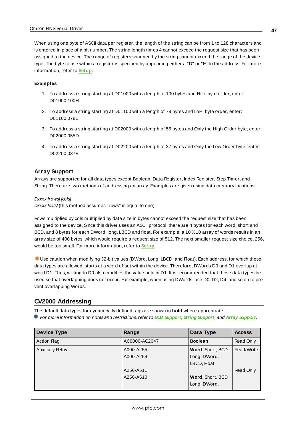When using one byte of ASCII data per register, the length of the string can be from 1 to 128 characters and is entered in place of a bit number. The string length times 4 cannot exceed the request size that has been assigned to the device. The range of registers spanned by the string cannot exceed the range of the device type. The byte to use within a register is specified by appending either a "D" or "E" to the address. For more information, refer to **[Setup](#page-3-0)**.

#### **Examples**

- 1. To address a string starting at D01000 with a length of 100 bytes and HiLo byte order, enter: D01000.100H
- 2. To address a string starting at D01100 with a length of 78 bytes and LoHi byte order, enter: D01100.078L
- 3. To address a string starting at D02000 with a length of 55 bytes and Only the High Order byte, enter: D02000.055D
- <span id="page-46-0"></span>4. To address a string starting at D02200 with a length of 37 bytes and Only the Low Order byte, enter: D02200.037E

### **Array Support**

Arrays are supported for all data types except Boolean, Data Register, Index Register, Step Timer, and String. There are two methods of addressing an array. Examples are given using data memory locations.

Dxxxx [rows] [cols]

 $Dxxxx$  [ $\infty$ Is] (this method assumes "rows" is equal to one)

Rows multiplied by cols multiplied by data size in bytes cannot exceed the request size that has been assigned to the device. Since this driver uses an ASCII protocol, there are 4 bytes for each word, short and BCD, and 8 bytes for each DWord, long, LBCD and float. For example, a 10 X10 array of words results in an array size of 400 bytes, which would require a request size of 512. The next smaller request size choice, 256, would be too small. For more information, refer to **[Setup](#page-3-0)**.

Use caution when modifying 32-bit values (DWord, Long, LBCD, and Float). Each address, for which these data types are allowed, starts at a word offset within the device. Therefore, DWords D0 and D1 overlap at word D1. Thus, writing to D0 also modifies the value held in D1. It is recommended that these data types be used so that overlapping does not occur. For example, when using DWords, use D0, D2, D4, and so on to prevent overlapping Words.

## **CV2000 Addressing**

The default data types for dynamically defined tags are shown in **bold** where appropriate.

For more information on notes and restrictions, refer to **BCD [Support](#page-50-0)**, **String [Support](#page-51-0)**, and **Array [Support](#page-52-0)**.

| <b>Device Type</b>     | Range                  | Data Type                        | <b>Access</b> |
|------------------------|------------------------|----------------------------------|---------------|
| <b>Action Flag</b>     | AC0000-AC2047          | <b>Boolean</b>                   | Read Only     |
| <b>Auxiliary Relay</b> | A000-A255<br>A000-A254 | Word, Short, BCD<br>Long, DWord, | Read/Write    |
|                        | A256-A511              | LBCD, Float                      | Read Only     |
|                        | A256-A510              | Word, Short, BCD<br>Long, DWord, |               |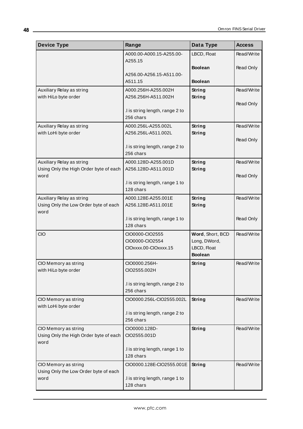| <b>Device Type</b>                                             | Range                                        | Data Type                     | <b>Access</b> |
|----------------------------------------------------------------|----------------------------------------------|-------------------------------|---------------|
|                                                                | A000.00-A000.15-A255.00-                     | LBCD, Float                   | Read/Write    |
|                                                                | A255.15                                      | <b>Boolean</b>                | Read Only     |
|                                                                | A256.00-A256.15-A511.00-                     |                               |               |
|                                                                | A511.15                                      | <b>Boolean</b>                |               |
| Auxiliary Relay as string                                      | A000.256H-A255.002H                          | String                        | Read/Write    |
| with HiLo byte order                                           | A256.256H-A511.002H                          | String                        |               |
|                                                                | .I is string length, range 2 to              |                               | Read Only     |
|                                                                | 256 chars                                    |                               |               |
| Auxiliary Relay as string                                      | A000.256L-A255.002L                          | String                        | Read/Write    |
| with LoHi byte order                                           | A256.256L-A511.002L                          | String                        |               |
|                                                                |                                              |                               | Read Only     |
|                                                                | .I is string length, range 2 to              |                               |               |
|                                                                | 256 chars                                    |                               |               |
| Auxiliary Relay as string                                      | A000.128D-A255.001D                          | <b>String</b>                 | Read/Write    |
| Using Only the High Order byte of each                         | A256.128D-A511.001D                          | String                        |               |
| word                                                           | .I is string length, range 1 to              |                               | Read Only     |
|                                                                | 128 chars                                    |                               |               |
| Auxiliary Relay as string                                      | A000.128E-A255.001E                          | String                        | Read/Write    |
| Using Only the Low Order byte of each                          | A256.128E-A511.001E                          | String                        |               |
| word                                                           |                                              |                               |               |
|                                                                | .I is string length, range 1 to              |                               | Read Only     |
|                                                                | 128 chars                                    |                               |               |
| CIO                                                            | CIO0000-CIO2555                              | Word, Short, BCD              | Read/Write    |
|                                                                | CIO0000-CIO2554                              | Long, DWord,                  |               |
|                                                                | CIOxxxx.00-CIOxxxx.15                        | LBCD, Float<br><b>Boolean</b> |               |
| CIO Memory as string                                           | CIO0000.256H-                                | String                        | Read/Write    |
| with HiLo byte order                                           | CIO2555.002H                                 |                               |               |
|                                                                |                                              |                               |               |
|                                                                | .I is string length, range 2 to              |                               |               |
|                                                                | 256 chars                                    |                               |               |
| CIO Memory as string                                           | CIO0000.256L-CIO2555.002L                    | String                        | Read/Write    |
| with LoHi byte order                                           |                                              |                               |               |
|                                                                | .I is string length, range 2 to<br>256 chars |                               |               |
|                                                                |                                              |                               |               |
| CIO Memory as string<br>Using Only the High Order byte of each | CIO0000.128D-<br>CIO2555.001D                | String                        | Read/Write    |
| word                                                           |                                              |                               |               |
|                                                                | .I is string length, range 1 to              |                               |               |
|                                                                | 128 chars                                    |                               |               |
| CIO Memory as string                                           | CIO0000.128E-CIO2555.001E                    | String                        | Read/Write    |
| Using Only the Low Order byte of each                          |                                              |                               |               |
| word                                                           | .I is string length, range 1 to              |                               |               |
|                                                                | 128 chars                                    |                               |               |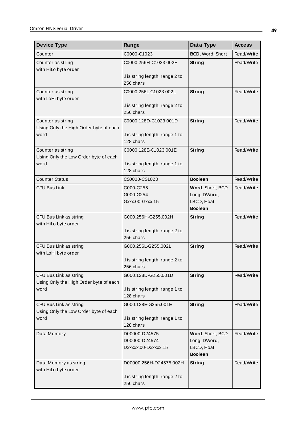| <b>Device Type</b>                                               | Range                                                 | Data Type                                                         | <b>Access</b> |
|------------------------------------------------------------------|-------------------------------------------------------|-------------------------------------------------------------------|---------------|
| Counter                                                          | C0000-C1023                                           | BCD, Word, Short                                                  | Read/Write    |
| Counter as string<br>with HiLo byte order                        | C0000.256H-C1023.002H                                 | String                                                            | Read/Write    |
|                                                                  | .I is string length, range 2 to<br>256 chars          |                                                                   |               |
| Counter as string<br>with LoHi byte order                        | C0000.256L-C1023.002L                                 | String                                                            | Read/Write    |
|                                                                  | .I is string length, range 2 to<br>256 chars          |                                                                   |               |
| Counter as string<br>Using Only the High Order byte of each      | C0000.128D-C1023.001D                                 | String                                                            | Read/Write    |
| word                                                             | .I is string length, range 1 to<br>128 chars          |                                                                   |               |
| Counter as string<br>Using Only the Low Order byte of each       | C0000.128E-C1023.001E                                 | String                                                            | Read/Write    |
| word                                                             | .I is string length, range 1 to<br>128 chars          |                                                                   |               |
| <b>Counter Status</b>                                            | CS0000-CS1023                                         | <b>Boolean</b>                                                    | Read/Write    |
| <b>CPU Bus Link</b>                                              | G000-G255<br>G000-G254<br>Gxxx.00-Gxxx.15             | Word, Short, BCD<br>Long, DWord,<br>LBCD, Float<br><b>Boolean</b> | Read/Write    |
| CPU Bus Link as string<br>with HiLo byte order                   | G000.256H-G255.002H                                   | <b>String</b>                                                     | Read/Write    |
|                                                                  | .I is string length, range 2 to<br>256 chars          |                                                                   |               |
| CPU Bus Link as string<br>with LoHi byte order                   | G000.256L-G255.002L                                   | String                                                            | Read/Write    |
|                                                                  | I is string length, range 2 to<br>256 chars           |                                                                   |               |
| CPU Bus Link as string<br>Using Only the High Order byte of each | G000.128D-G255.001D                                   | String                                                            | Read/Write    |
| word                                                             | I is string length, range 1 to<br>128 chars           |                                                                   |               |
| CPU Bus Link as string<br>Using Only the Low Order byte of each  | G000.128E-G255.001E                                   | String                                                            | Read/Write    |
| word                                                             | .I is string length, range 1 to<br>128 chars          |                                                                   |               |
| Data Memory                                                      | D00000-D24575<br>D00000-D24574<br>Dxxxxx.00-Dxxxxx.15 | Word, Short, BCD<br>Long, DWord,<br>LBCD, Float<br><b>Boolean</b> | Read/Write    |
| Data Memory as string<br>with HiLo byte order                    | D00000.256H-D24575.002H                               | String                                                            | Read/Write    |
|                                                                  | .I is string length, range 2 to<br>256 chars          |                                                                   |               |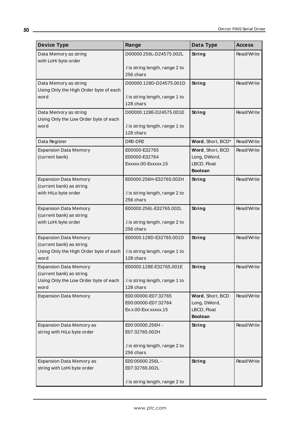| <b>Device Type</b>                                                 | Range                                                              | Data Type                                                         | <b>Access</b> |
|--------------------------------------------------------------------|--------------------------------------------------------------------|-------------------------------------------------------------------|---------------|
| Data Memory as string<br>with LoHi byte order                      | D00000.256L-D24575.002L                                            | <b>String</b>                                                     | Read/Write    |
|                                                                    | I is string length, range 2 to<br>256 chars                        |                                                                   |               |
| Data Memory as string<br>Using Only the High Order byte of each    | D00000.128D-D24575.001D                                            | String                                                            | Read/Write    |
| word                                                               | .I is string length, range 1 to<br>128 chars                       |                                                                   |               |
| Data Memory as string<br>Using Only the Low Order byte of each     | D00000.128E-D24575.001E                                            | <b>String</b>                                                     | Read/Write    |
| word                                                               | .I is string length, range 1 to<br>128 chars                       |                                                                   |               |
| Data Register                                                      | DR0-DR2                                                            | Word, Short, BCD*                                                 | Read/Write    |
| <b>Expansion Data Memory</b><br>(current bank)                     | E00000-E32765<br>E00000-E32764<br>Exxxxx.00-Exxxxx.15              | Word, Short, BCD<br>Long, DWord,<br>LBCD, Float<br><b>Boolean</b> | Read/Write    |
| <b>Expansion Data Memory</b>                                       | E00000.256H-E32765.002H                                            | String                                                            | Read/Write    |
| (current bank) as string<br>with HiLo byte order                   | .I is string length, range 2 to<br>256 chars                       |                                                                   |               |
| <b>Expansion Data Memory</b>                                       | E00000.256L-E32765.002L                                            | String                                                            | Read/Write    |
| (current bank) as string<br>with LoHi byte order                   | .I is string length, range 2 to<br>256 chars                       |                                                                   |               |
| <b>Expansion Data Memory</b>                                       | E00000.128D-E32765.001D                                            | String                                                            | Read/Write    |
| (current bank) as string<br>Using Only the High Order byte of each | .I is string length, range 1 to                                    |                                                                   |               |
| word                                                               | 128 chars                                                          |                                                                   |               |
| <b>Expansion Data Memory</b><br>(current bank) as string           | E00000.128E-E32765.001E                                            | String                                                            | Read/Write    |
| Using Only the Low Order byte of each                              | I is string length, range 1 to                                     |                                                                   |               |
| word                                                               | 128 chars                                                          |                                                                   |               |
| <b>Expansion Data Memory</b>                                       | E00:00000-E07:32765<br>E00:00000-E07:32764<br>Ex:x.00-Exx:xxxxx.15 | Word, Short, BCD<br>Long, DWord,<br>LBCD, Float                   | Read/Write    |
|                                                                    |                                                                    | <b>Boolean</b>                                                    |               |
| Expansion Data Memory as<br>string with HiLo byte order            | E00:00000.256H -<br>E07:32765.002H                                 | <b>String</b>                                                     | Read/Write    |
|                                                                    | .I is string length, range 2 to<br>256 chars                       |                                                                   |               |
| Expansion Data Memory as                                           | E00:00000.256L-                                                    | String                                                            | Read/Write    |
| string with LoHi byte order                                        | E07:32765.002L                                                     |                                                                   |               |
|                                                                    | .I is string length, range 2 to                                    |                                                                   |               |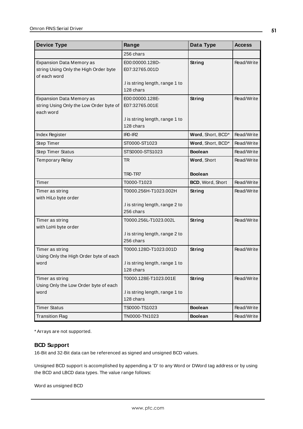| <b>Device Type</b>                                                                | Range                                                                            | Data Type         | <b>Access</b> |
|-----------------------------------------------------------------------------------|----------------------------------------------------------------------------------|-------------------|---------------|
|                                                                                   | 256 chars                                                                        |                   |               |
| Expansion Data Memory as<br>string Using Only the High Order byte<br>of each word | E00:00000.128D-<br>E07:32765.001D                                                | String            | Read/Write    |
|                                                                                   | .I is string length, range 1 to<br>128 chars                                     |                   |               |
| Expansion Data Memory as<br>string Using Only the Low Order byte of<br>each word  | E00:00000.128E-<br>E07:32765.001E<br>I is string length, range 1 to<br>128 chars | String            | Read/Write    |
| Index Register                                                                    | $IRO-IR2$                                                                        | Word, Short, BCD* | Read/Write    |
| Step Timer                                                                        | ST0000-ST1023                                                                    | Word, Short, BCD* | Read/Write    |
| <b>Step Timer Status</b>                                                          | STS0000-STS1023                                                                  | <b>Boolean</b>    | Read/Write    |
| <b>Temporary Relay</b>                                                            | <b>TR</b>                                                                        | Word, Short       | Read/Write    |
|                                                                                   | TR <sub>0</sub> -TR <sub>7</sub>                                                 | <b>Boolean</b>    |               |
| Timer                                                                             | T0000-T1023                                                                      | BCD, Word, Short  | Read/Write    |
| Timer as string<br>with HiLo byte order                                           | T0000.256H-T1023.002H                                                            | String            | Read/Write    |
|                                                                                   | .I is string length, range 2 to<br>256 chars                                     |                   |               |
| Timer as string                                                                   | T0000.256L-T1023.002L                                                            | String            | Read/Write    |
| with LoHi byte order                                                              | .I is string length, range 2 to<br>256 chars                                     |                   |               |
| Timer as string                                                                   | T0000.128D-T1023.001D                                                            | String            | Read/Write    |
| Using Only the High Order byte of each<br>word                                    | .I is string length, range 1 to<br>128 chars                                     |                   |               |
| Timer as string                                                                   | T0000.128E-T1023.001E                                                            | <b>String</b>     | Read/Write    |
| Using Only the Low Order byte of each                                             |                                                                                  |                   |               |
| word                                                                              | I is string length, range 1 to<br>128 chars                                      |                   |               |
| <b>Timer Status</b>                                                               | TS0000-TS1023                                                                    | <b>Boolean</b>    | Read/Write    |
| <b>Transition Flag</b>                                                            | TN0000-TN1023                                                                    | <b>Boolean</b>    | Read/Write    |

## <span id="page-50-0"></span>**BCD Support**

16-Bit and 32-Bit data can be referenced as signed and unsigned BCD values.

Unsigned BCD support is accomplished by appending a 'D' to any Word or DWord tag address or by using the BCD and LBCD data types. The value range follows:

Word as unsigned BCD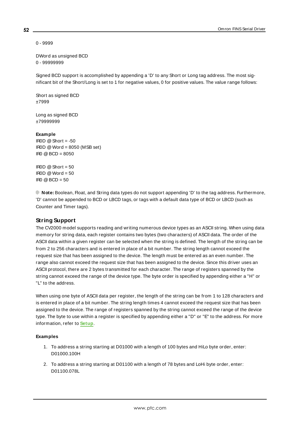0 - 9999

DWord as unsigned BCD 0 - 99999999

Signed BCD support is accomplished by appending a 'D' to any Short or Long tag address. The most significant bit of the Short/Long is set to 1 for negative values, 0 for positive values. The value range follows:

Short as signed BCD ±7999

Long as signed BCD ±79999999

#### **Example**

IROD  $@$  Short = -50 IR0D @Word = 8050 (MSB set) IR0 @BCD = 8050

IROD  $@$  Short = 50  $IROD @Word = 50$  $\text{IRO} \text{ } @ \text{BCD} = 50$ 

<span id="page-51-0"></span>**Note:** Boolean, Float, and String data types do not support appending 'D' to the tag address. Furthermore, 'D' cannot be appended to BCD or LBCD tags, or tags with a default data type of BCD or LBCD (such as Counter and Timer tags).

## **String Support**

The CV2000 model supports reading and writing numerous device types as an ASCII string. When using data memory for string data, each register contains two bytes (two characters) of ASCII data. The order of the ASCII data within a given register can be selected when the string is defined. The length of the string can be from 2 to 256 characters and is entered in place of a bit number. The string length cannot exceed the request size that has been assigned to the device. The length must be entered as an even number. The range also cannot exceed the request size that has been assigned to the device. Since this driver uses an ASCII protocol, there are 2 bytes transmitted for each character. The range of registers spanned by the string cannot exceed the range of the device type. The byte order is specified by appending either a "H" or "L" to the address.

When using one byte of ASCII data per register, the length of the string can be from 1 to 128 characters and is entered in place of a bit number. The string length times 4 cannot exceed the request size that has been assigned to the device. The range of registers spanned by the string cannot exceed the range of the device type. The byte to use within a register is specified by appending either a "D" or "E" to the address. For more information, refer to **[Setup](#page-3-0)**.

#### **Examples**

- 1. To address a string starting at D01000 with a length of 100 bytes and HiLo byte order, enter: D01000.100H
- 2. To address a string starting at D01100 with a length of 78 bytes and LoHi byte order, enter: D01100.078L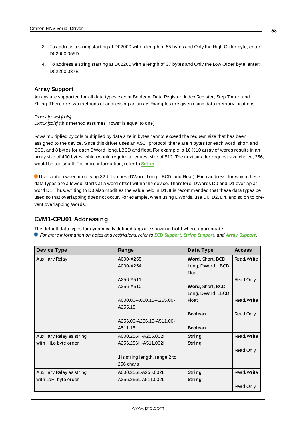- 3. To address a string starting at D02000 with a length of 55 bytes and Only the High Order byte, enter: D02000.055D
- <span id="page-52-0"></span>4. To address a string starting at D02200 with a length of 37 bytes and Only the Low Order byte, enter: D02200.037E

### **Array Support**

Arrays are supported for all data types except Boolean, Data Register, Index Register, Step Timer, and String. There are two methods of addressing an array. Examples are given using data memory locations.

Dxxxx [rows] [cols]

 $Dxxxx$  [ $\infty$ Is] (this method assumes "rows" is equal to one)

Rows multiplied by cols multiplied by data size in bytes cannot exceed the request size that has been assigned to the device. Since this driver uses an ASCII protocol, there are 4 bytes for each word, short and BCD, and 8 bytes for each DWord, long, LBCD and float. For example, a 10 X10 array of words results in an array size of 400 bytes, which would require a request size of 512. The next smaller request size choice, 256, would be too small. For more information, refer to **[Setup](#page-3-0)**.

Use caution when modifying 32-bit values (DWord, Long, LBCD, and Float). Each address, for which these data types are allowed, starts at a word offset within the device. Therefore, DWords D0 and D1 overlap at word D1. Thus, writing to D0 also modifies the value held in D1. It is recommended that these data types be used so that overlapping does not occur. For example, when using DWords, use D0, D2, D4, and so on to prevent overlapping Words.

## **CVM1-CPU01 Addressing**

The default data types for dynamically defined tags are shown in **bold** where appropriate. For more information on notes and restrictions, refer to **BCD [Support](#page-55-0)**, **String [Support](#page-56-0)**, and **Array [Support](#page-56-1)**.

| <b>Device Type</b>        | Range                          | Data Type          | <b>Access</b>    |
|---------------------------|--------------------------------|--------------------|------------------|
| <b>Auxiliary Relay</b>    | A000-A255                      | Word, Short, BCD   | Read/Write       |
|                           | A000-A254                      | Long, DWord, LBCD, |                  |
|                           |                                | <b>Float</b>       |                  |
|                           | A256-A511                      |                    | Read Only        |
|                           | A256-A510                      | Word, Short, BCD   |                  |
|                           |                                | Long, DWord, LBCD, |                  |
|                           | A000.00-A000.15-A255.00-       | <b>Float</b>       | Read/Write       |
|                           | A255.15                        |                    |                  |
|                           |                                | <b>Boolean</b>     | Read Only        |
|                           | A256.00-A256.15-A511.00-       |                    |                  |
|                           | A511.15                        | <b>Boolean</b>     |                  |
| Auxiliary Relay as string | A000.256H-A255.002H            | String             | Read/Write       |
| with HiLo byte order      | A256.256H-A511.002H            | String             |                  |
|                           |                                |                    | Read Only        |
|                           | I is string length, range 2 to |                    |                  |
|                           | 256 chars                      |                    |                  |
| Auxiliary Relay as string | A000.256L-A255.002L            | <b>String</b>      | Read/Write       |
| with LoHi byte order      | A256.256L-A511.002L            | String             |                  |
|                           |                                |                    | <b>Read Only</b> |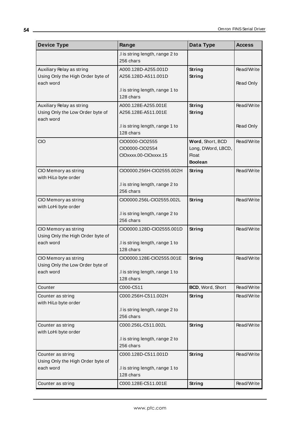| <b>Device Type</b>                                                         | Range                                                       | Data Type                                                                | <b>Access</b> |
|----------------------------------------------------------------------------|-------------------------------------------------------------|--------------------------------------------------------------------------|---------------|
|                                                                            | .I is string length, range 2 to<br>256 chars                |                                                                          |               |
| Auxiliary Relay as string<br>Using Only the High Order byte of             | A000.128D-A255.001D<br>A256.128D-A511.001D                  | String<br><b>String</b>                                                  | Read/Write    |
| each word                                                                  | .I is string length, range 1 to                             |                                                                          | Read Only     |
|                                                                            | 128 chars                                                   |                                                                          |               |
| Auxiliary Relay as string<br>Using Only the Low Order byte of<br>each word | A000.128E-A255.001E<br>A256.128E-A511.001E                  | String<br>String                                                         | Read/Write    |
|                                                                            | .I is string length, range 1 to<br>128 chars                |                                                                          | Read Only     |
| CIO                                                                        | CIO0000-CIO2555<br>CIO0000-CIO2554<br>CIOXXXX.00-CIOXXXX.15 | Word, Short, BCD<br>Long, DWord, LBCD,<br><b>Float</b><br><b>Boolean</b> | Read/Write    |
| CIO Memory as string<br>with HiLo byte order                               | CIO0000.256H-CIO2555.002H                                   | String                                                                   | Read/Write    |
|                                                                            | I is string length, range 2 to<br>256 chars                 |                                                                          |               |
| CIO Memory as string<br>with LoHi byte order                               | CIO0000.256L-CIO2555.002L                                   | String                                                                   | Read/Write    |
|                                                                            | .I is string length, range 2 to<br>256 chars                |                                                                          |               |
| CIO Memory as string<br>Using Only the High Order byte of<br>each word     | CIO0000.128D-CIO2555.001D<br>I is string length, range 1 to | String                                                                   | Read/Write    |
|                                                                            | 128 chars                                                   |                                                                          |               |
| CIO Memory as string<br>Using Only the Low Order byte of                   | CIO0000.128E-CIO2555.001E                                   | String                                                                   | Read/Write    |
| each word                                                                  | .I is string length, range 1 to<br>128 chars                |                                                                          |               |
| Counter                                                                    | C000-C511                                                   | BCD, Word, Short                                                         | Read/Write    |
| Counter as string<br>with HiLo byte order                                  | C000.256H-C511.002H                                         | String                                                                   | Read/Write    |
|                                                                            | .I is string length, range 2 to<br>256 chars                |                                                                          |               |
| Counter as string<br>with LoHi byte order                                  | C000.256L-C511.002L                                         | String                                                                   | Read/Write    |
|                                                                            | .I is string length, range 2 to<br>256 chars                |                                                                          |               |
| Counter as string<br>Using Only the High Order byte of                     | C000.128D-C511.001D                                         | String                                                                   | Read/Write    |
| each word                                                                  | .I is string length, range 1 to<br>128 chars                |                                                                          |               |
| Counter as string                                                          | C000.128E-C511.001E                                         | <b>String</b>                                                            | Read/Write    |

<u> 1980 - Johann Barbara, martxa amerikan personal (h. 1980).</u>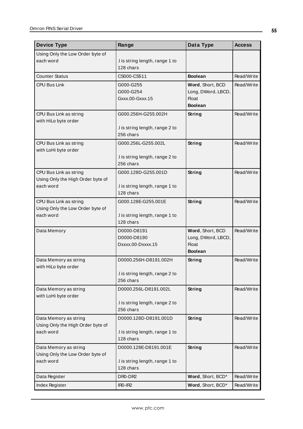| <b>Device Type</b>                                                       | Range                                                                 | Data Type                                                                | <b>Access</b> |
|--------------------------------------------------------------------------|-----------------------------------------------------------------------|--------------------------------------------------------------------------|---------------|
| Using Only the Low Order byte of<br>each word                            | .I is string length, range 1 to<br>128 chars                          |                                                                          |               |
| <b>Counter Status</b>                                                    | CS000-CS511                                                           | <b>Boolean</b>                                                           | Read/Write    |
| <b>CPU Bus Link</b>                                                      | G000-G255<br>G000-G254<br>Gxxx.00-Gxxx.15                             | Word, Short, BCD<br>Long, DWord, LBCD,<br><b>Float</b><br><b>Boolean</b> | Read/Write    |
| CPU Bus Link as string<br>with HiLo byte order                           | G000.256H-G255.002H<br>.I is string length, range 2 to<br>256 chars   | <b>String</b>                                                            | Read/Write    |
| CPU Bus Link as string<br>with LoHi byte order                           | G000.256L-G255.002L<br>.I is string length, range 2 to<br>256 chars   | <b>String</b>                                                            | Read/Write    |
| CPU Bus Link as string<br>Using Only the High Order byte of<br>each word | G000.128D-G255.001D<br>.I is string length, range 1 to<br>128 chars   | String                                                                   | Read/Write    |
| CPU Bus Link as string<br>Using Only the Low Order byte of<br>each word  | G000.128E-G255.001E<br>.I is string length, range 1 to<br>128 chars   | String                                                                   | Read/Write    |
| Data Memory                                                              | D0000-D8191<br>D0000-D8190<br>Dxxxx.00-Dxxxx.15                       | Word, Short, BCD<br>Long, DWord, LBCD,<br>Float<br><b>Boolean</b>        | Read/Write    |
| Data Memory as string<br>with HiLo byte order                            | D0000.256H-D8191.002H<br>.I is string length, range 2 to<br>256 chars | <b>String</b>                                                            | Read/Write    |
| Data Memory as string<br>with LoHi byte order                            | D0000.256L-D8191.002L<br>.I is string length, range 2 to<br>256 chars | <b>String</b>                                                            | Read/Write    |
| Data Memory as string<br>Using Only the High Order byte of<br>each word  | D0000.128D-D8191.001D<br>I is string length, range 1 to<br>128 chars  | <b>String</b>                                                            | Read/Write    |
| Data Memory as string<br>Using Only the Low Order byte of<br>each word   | D0000.128E-D8191.001E<br>.I is string length, range 1 to<br>128 chars | String                                                                   | Read/Write    |
| Data Register                                                            | DR0-DR2                                                               | Word, Short, BCD*                                                        | Read/Write    |
| Index Register                                                           | $IRO-IR2$                                                             | Word, Short, BCD*                                                        | Read/Write    |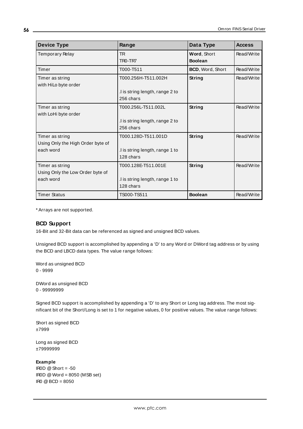| <b>Device Type</b>                | Range                            | Data Type        | <b>Access</b> |
|-----------------------------------|----------------------------------|------------------|---------------|
| Temporary Relay                   | <b>TR</b>                        | Word, Short      | Read/Write    |
|                                   | TR <sub>0</sub> -TR <sub>7</sub> | <b>Boolean</b>   |               |
| Timer                             | T000-T511                        | BCD, Word, Short | Read/Write    |
| Timer as string                   | T000.256H-T511.002H              | String           | Read/Write    |
| with HiLo byte order              |                                  |                  |               |
|                                   | .I is string length, range 2 to  |                  |               |
|                                   | 256 chars                        |                  |               |
| Timer as string                   | T000.256L-T511.002L              | <b>String</b>    | Read/Write    |
| with LoHi byte order              |                                  |                  |               |
|                                   | .I is string length, range 2 to  |                  |               |
|                                   | 256 chars                        |                  |               |
| Timer as string                   | T000.128D-T511.001D              | String           | Read/Write    |
| Using Only the High Order byte of |                                  |                  |               |
| each word                         | .I is string length, range 1 to  |                  |               |
|                                   | 128 chars                        |                  |               |
| Timer as string                   | T000.128E-T511.001E              | <b>String</b>    | Read/Write    |
| Using Only the Low Order byte of  |                                  |                  |               |
| each word                         | I is string length, range 1 to   |                  |               |
|                                   | 128 chars                        |                  |               |
| <b>Timer Status</b>               | TS000-TS511                      | <b>Boolean</b>   | Read/Write    |

### <span id="page-55-0"></span>**BCD Support**

16-Bit and 32-Bit data can be referenced as signed and unsigned BCD values.

Unsigned BCD support is accomplished by appending a 'D' to any Word or DWord tag address or by using the BCD and LBCD data types. The value range follows:

Word as unsigned BCD 0 - 9999

DWord as unsigned BCD 0 - 99999999

Signed BCD support is accomplished by appending a 'D' to any Short or Long tag address. The most significant bit of the Short/Long is set to 1 for negative values, 0 for positive values. The value range follows:

Short as signed BCD ±7999

Long as signed BCD ±79999999

#### **Example**

IROD  $@$  Short = -50 IR0D @Word = 8050 (MSB set) IR0 @BCD = 8050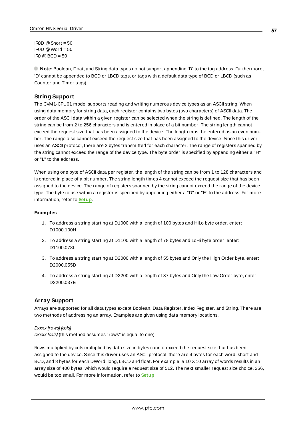$IBOD @ Short = 50$  $IROD @Word = 50$  $\text{IRO} \text{ @ } \text{BCD} = 50$ 

<span id="page-56-0"></span>**Note:** Boolean, Float, and String data types do not support appending 'D' to the tag address. Furthermore, 'D' cannot be appended to BCD or LBCD tags, or tags with a default data type of BCD or LBCD (such as Counter and Timer tags).

### **String Support**

The CVM1-CPU01 model supports reading and writing numerous device types as an ASCII string. When using data memory for string data, each register contains two bytes (two characters) of ASCII data. The order of the ASCII data within a given register can be selected when the string is defined. The length of the string can be from 2 to 256 characters and is entered in place of a bit number. The string length cannot exceed the request size that has been assigned to the device. The length must be entered as an even number. The range also cannot exceed the request size that has been assigned to the device. Since this driver uses an ASCII protocol, there are 2 bytes transmitted for each character. The range of registers spanned by the string cannot exceed the range of the device type. The byte order is specified by appending either a "H" or "L" to the address.

When using one byte of ASCII data per register, the length of the string can be from 1 to 128 characters and is entered in place of a bit number. The string length times 4 cannot exceed the request size that has been assigned to the device. The range of registers spanned by the string cannot exceed the range of the device type. The byte to use within a register is specified by appending either a "D" or "E" to the address. For more information, refer to **[Setup](#page-3-0)**.

#### **Examples**

- 1. To address a string starting at D1000 with a length of 100 bytes and HiLo byte order, enter: D1000.100H
- 2. To address a string starting at D1100 with a length of 78 bytes and LoHi byte order, enter: D1100.078L
- 3. To address a string starting at D2000 with a length of 55 bytes and Only the High Order byte, enter: D2000.055D
- <span id="page-56-1"></span>4. To address a string starting at D2200 with a length of 37 bytes and Only the Low Order byte, enter: D2200.037E

### **Array Support**

Arrays are supported for all data types except Boolean, Data Register, Index Register, and String. There are two methods of addressing an array. Examples are given using data memory locations.

#### Dxxxx [rows] [cols]

 $Dxxxx$  [ $\infty$ Is] (this method assumes "rows" is equal to one)

Rows multiplied by cols multiplied by data size in bytes cannot exceed the request size that has been assigned to the device. Since this driver uses an ASCII protocol, there are 4 bytes for each word, short and BCD, and 8 bytes for each DWord, long, LBCD and float. For example, a 10 X10 array of words results in an array size of 400 bytes, which would require a request size of 512. The next smaller request size choice, 256, would be too small. For more information, refer to **[Setup](#page-3-0)**.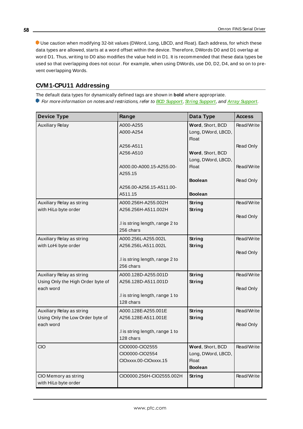Use caution when modifying 32-bit values (DWord, Long, LBCD, and Float). Each address, for which these data types are allowed, starts at a word offset within the device. Therefore, DWords D0 and D1 overlap at word D1. Thus, writing to D0 also modifies the value held in D1. It is recommended that these data types be used so that overlapping does not occur. For example, when using DWords, use D0, D2, D4, and so on to prevent overlapping Words.

## **CVM1-CPU11 Addressing**

The default data types for dynamically defined tags are shown in **bold** where appropriate. For more information on notes and restrictions, refer to **BCD [Support](#page-60-0)**, **String [Support](#page-60-1)**, and **Array [Support](#page-61-0)**.

| <b>Device Type</b>                                | Range                                      | Data Type                              | <b>Access</b> |
|---------------------------------------------------|--------------------------------------------|----------------------------------------|---------------|
| <b>Auxiliary Relay</b>                            | A000-A255                                  | Word, Short, BCD                       | Read/Write    |
|                                                   | A000-A254                                  | Long, DWord, LBCD,                     |               |
|                                                   | A256-A511                                  | <b>Float</b>                           | Read Only     |
|                                                   | A256-A510                                  | Word, Short, BCD                       |               |
|                                                   |                                            | Long, DWord, LBCD,                     |               |
|                                                   | A000.00-A000.15-A255.00-                   | <b>Float</b>                           | Read/Write    |
|                                                   | A255.15                                    |                                        |               |
|                                                   | A256.00-A256.15-A511.00-                   | <b>Boolean</b>                         | Read Only     |
|                                                   | A511.15                                    | <b>Boolean</b>                         |               |
| Auxiliary Relay as string                         | A000.256H-A255.002H                        | <b>String</b>                          | Read/Write    |
| with HiLo byte order                              | A256.256H-A511.002H                        | <b>String</b>                          |               |
|                                                   |                                            |                                        | Read Only     |
|                                                   | .I is string length, range 2 to            |                                        |               |
|                                                   | 256 chars                                  |                                        |               |
| Auxiliary Relay as string<br>with LoHi byte order | A000.256L-A255.002L<br>A256.256L-A511.002L | String<br>String                       | Read/Write    |
|                                                   |                                            |                                        | Read Only     |
|                                                   | I is string length, range 2 to             |                                        |               |
|                                                   | 256 chars                                  |                                        |               |
| Auxiliary Relay as string                         | A000.128D-A255.001D                        | String                                 | Read/Write    |
| Using Only the High Order byte of                 | A256.128D-A511.001D                        | String                                 |               |
| each word                                         | .I is string length, range 1 to            |                                        | Read Only     |
|                                                   | 128 chars                                  |                                        |               |
| Auxiliary Relay as string                         | A000.128E-A255.001E                        | String                                 | Read/Write    |
| Using Only the Low Order byte of                  | A256.128E-A511.001E                        | String                                 |               |
| each word                                         |                                            |                                        | Read Only     |
|                                                   | I is string length, range 1 to             |                                        |               |
|                                                   | 128 chars                                  |                                        |               |
| <b>CIO</b>                                        | CIO0000-CIO2555                            | Word, Short, BCD<br>Long, DWord, LBCD, | Read/Write    |
|                                                   | CIO0000-CIO2554<br>CIOxxxx.00-CIOxxxx.15   | <b>Float</b>                           |               |
|                                                   |                                            | <b>Boolean</b>                         |               |
| CIO Memory as string                              | CIO0000.256H-CIO2555.002H                  | String                                 | Read/Write    |
| with HiLo byte order                              |                                            |                                        |               |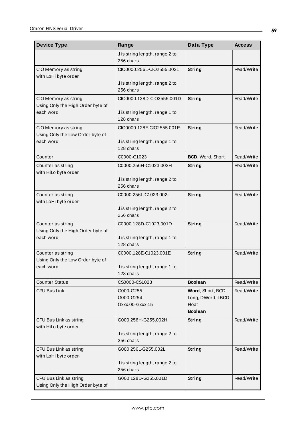| <b>Device Type</b>                                          | Range                                        | Data Type                              | <b>Access</b> |
|-------------------------------------------------------------|----------------------------------------------|----------------------------------------|---------------|
|                                                             | .I is string length, range 2 to<br>256 chars |                                        |               |
| CIO Memory as string<br>with LoHi byte order                | CIO0000.256L-CIO2555.002L                    | <b>String</b>                          | Read/Write    |
|                                                             | .I is string length, range 2 to<br>256 chars |                                        |               |
| CIO Memory as string<br>Using Only the High Order byte of   | CIO0000.128D-CIO2555.001D                    | String                                 | Read/Write    |
| each word                                                   | .I is string length, range 1 to<br>128 chars |                                        |               |
| CIO Memory as string<br>Using Only the Low Order byte of    | CIO0000.128E-CIO2555.001E                    | String                                 | Read/Write    |
| each word                                                   | .I is string length, range 1 to<br>128 chars |                                        |               |
| Counter                                                     | C0000-C1023                                  | BCD, Word, Short                       | Read/Write    |
| Counter as string<br>with HiLo byte order                   | C0000.256H-C1023.002H                        | <b>String</b>                          | Read/Write    |
|                                                             | I is string length, range 2 to<br>256 chars  |                                        |               |
| Counter as string<br>with LoHi byte order                   | C0000.256L-C1023.002L                        | String                                 | Read/Write    |
|                                                             | .I is string length, range 2 to<br>256 chars |                                        |               |
| Counter as string<br>Using Only the High Order byte of      | C0000.128D-C1023.001D                        | <b>String</b>                          | Read/Write    |
| each word                                                   | .I is string length, range 1 to<br>128 chars |                                        |               |
| Counter as string<br>Using Only the Low Order byte of       | C0000.128E-C1023.001E                        | String                                 | Read/Write    |
| each word                                                   | .I is string length, range 1 to<br>128 chars |                                        |               |
| <b>Counter Status</b>                                       | CS0000-CS1023                                | <b>Boolean</b>                         | Read/Write    |
| CPU Bus Link                                                | G000-G255<br>G000-G254                       | Word, Short, BCD<br>Long, DWord, LBCD, | Read/Write    |
|                                                             | Gxxx.00-Gxxx.15                              | Float<br><b>Boolean</b>                |               |
| CPU Bus Link as string<br>with HiLo byte order              | G000.256H-G255.002H                          | <b>String</b>                          | Read/Write    |
|                                                             | .I is string length, range 2 to<br>256 chars |                                        |               |
| CPU Bus Link as string<br>with LoHi byte order              | G000.256L-G255.002L                          | <b>String</b>                          | Read/Write    |
|                                                             | .I is string length, range 2 to<br>256 chars |                                        |               |
| CPU Bus Link as string<br>Using Only the High Order byte of | G000.128D-G255.001D                          | String                                 | Read/Write    |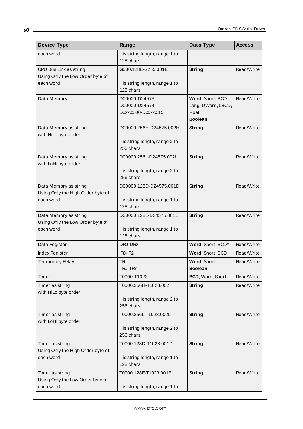| <b>Device Type</b>                                   | Range                                        | Data Type               | <b>Access</b> |
|------------------------------------------------------|----------------------------------------------|-------------------------|---------------|
| each word                                            | .I is string length, range 1 to              |                         |               |
|                                                      | 128 chars                                    |                         |               |
| CPU Bus Link as string                               | G000.128E-G255.001E                          | String                  | Read/Write    |
| Using Only the Low Order byte of                     |                                              |                         |               |
| each word                                            | .I is string length, range 1 to<br>128 chars |                         |               |
| Data Memory                                          | D00000-D24575                                | Word, Short, BCD        | Read/Write    |
|                                                      | D00000-D24574                                | Long, DWord, LBCD,      |               |
|                                                      | Dxxxxx.00-Dxxxxx.15                          | Float                   |               |
|                                                      |                                              | <b>Boolean</b>          |               |
| Data Memory as string                                | D00000.256H-D24575.002H                      | String                  | Read/Write    |
| with HiLo byte order                                 |                                              |                         |               |
|                                                      | .I is string length, range 2 to              |                         |               |
|                                                      | 256 chars                                    |                         |               |
| Data Memory as string<br>with LoHi byte order        | D00000.256L-D24575.002L                      | String                  | Read/Write    |
|                                                      | .I is string length, range 2 to              |                         |               |
|                                                      | 256 chars                                    |                         |               |
| Data Memory as string                                | D00000.128D-D24575.001D                      | String                  | Read/Write    |
| Using Only the High Order byte of                    |                                              |                         |               |
| each word                                            | .I is string length, range 1 to              |                         |               |
|                                                      | 128 chars                                    |                         |               |
| Data Memory as string                                | D00000.128E-D24575.001E                      | <b>String</b>           | Read/Write    |
| Using Only the Low Order byte of<br>each word        |                                              |                         |               |
|                                                      | .I is string length, range 1 to<br>128 chars |                         |               |
| Data Register                                        | DR0-DR2                                      | Word, Short, BCD*       | Read/Write    |
| Index Register                                       | $IRO-IR2$                                    | Word, Short, BCD*       | Read/Write    |
| Temporary Relay                                      | TR.                                          | Word, Short             | Read/Write    |
|                                                      | TRO-TR7                                      | <b>Boolean</b>          |               |
| Timer                                                | T0000-T1023                                  | <b>BCD, Word, Short</b> | Read/Write    |
| Timer as string                                      | T0000.256H-T1023.002H                        | <b>String</b>           | Read/Write    |
| with HiLo byte order                                 |                                              |                         |               |
|                                                      | I is string length, range 2 to               |                         |               |
|                                                      | 256 chars                                    |                         |               |
| Timer as string                                      | T0000.256L-T1023.002L                        | String                  | Read/Write    |
| with LoHi byte order                                 |                                              |                         |               |
|                                                      | .I is string length, range 2 to<br>256 chars |                         |               |
|                                                      |                                              | <b>String</b>           | Read/Write    |
| Timer as string<br>Using Only the High Order byte of | T0000.128D-T1023.001D                        |                         |               |
| each word                                            | .I is string length, range 1 to              |                         |               |
|                                                      | 128 chars                                    |                         |               |
| Timer as string                                      | T0000.128E-T1023.001E                        | <b>String</b>           | Read/Write    |
| Using Only the Low Order byte of                     |                                              |                         |               |
| each word                                            | .I is string length, range 1 to              |                         |               |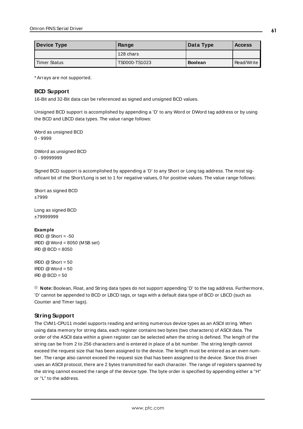| Device Type  | Range         | Data Type      | <b>Access</b> |
|--------------|---------------|----------------|---------------|
|              | 128 chars     |                |               |
| Timer Status | TS0000-TS1023 | <b>Boolean</b> | Read/Write    |

### <span id="page-60-0"></span>**BCD Support**

16-Bit and 32-Bit data can be referenced as signed and unsigned BCD values.

Unsigned BCD support is accomplished by appending a 'D' to any Word or DWord tag address or by using the BCD and LBCD data types. The value range follows:

Word as unsigned BCD 0 - 9999

DWord as unsigned BCD 0 - 99999999

Signed BCD support is accomplished by appending a 'D' to any Short or Long tag address. The most significant bit of the Short/Long is set to 1 for negative values, 0 for positive values. The value range follows:

Short as signed BCD ±7999

Long as signed BCD ±79999999

#### **Example**

 $\text{I} \text{ROD} \text{ @ Short} = -50$ IR0D @Word = 8050 (MSB set) IR0 @BCD = 8050

 $IBOD @ Short = 50$  $IROD @Word = 50$  $\text{IRO} \quad \text{Q} \text{BCD} = 50$ 

<span id="page-60-1"></span>**Note:** Boolean, Float, and String data types do not support appending 'D' to the tag address. Furthermore, 'D' cannot be appended to BCD or LBCD tags, or tags with a default data type of BCD or LBCD (such as Counter and Timer tags).

### **String Support**

The CVM1-CPU11 model supports reading and writing numerous device types as an ASCII string. When using data memory for string data, each register contains two bytes (two characters) of ASCII data. The order of the ASCII data within a given register can be selected when the string is defined. The length of the string can be from 2 to 256 characters and is entered in place of a bit number. The string length cannot exceed the request size that has been assigned to the device. The length must be entered as an even number. The range also cannot exceed the request size that has been assigned to the device. Since this driver uses an ASCII protocol, there are 2 bytes transmitted for each character. The range of registers spanned by the string cannot exceed the range of the device type. The byte order is specified by appending either a "H" or "L" to the address.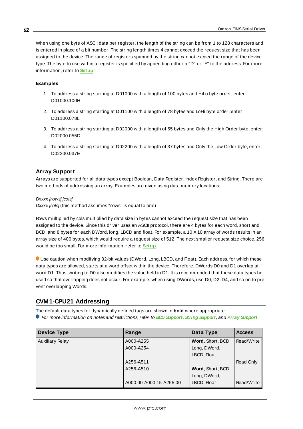When using one byte of ASCII data per register, the length of the string can be from 1 to 128 characters and is entered in place of a bit number. The string length times 4 cannot exceed the request size that has been assigned to the device. The range of registers spanned by the string cannot exceed the range of the device type. The byte to use within a register is specified by appending either a "D" or "E" to the address. For more information, refer to **[Setup](#page-3-0)**.

#### **Examples**

- 1. To address a string starting at D01000 with a length of 100 bytes and HiLo byte order, enter: D01000.100H
- 2. To address a string starting at D01100 with a length of 78 bytes and LoHi byte order, enter: D01100.078L
- 3. To address a string starting at D02000 with a length of 55 bytes and Only the High Order byte, enter: D02000.055D
- <span id="page-61-0"></span>4. To address a string starting at D02200 with a length of 37 bytes and Only the Low Order byte, enter: D02200.037E

### **Array Support**

Arrays are supported for all data types except Boolean, Data Register, Index Register, and String. There are two methods of addressing an array. Examples are given using data memory locations.

Dxxxx [rows] [cols]

 $Dxxxx$  [ $\infty$ Is] (this method assumes "rows" is equal to one)

Rows multiplied by cols multiplied by data size in bytes cannot exceed the request size that has been assigned to the device. Since this driver uses an ASCII protocol, there are 4 bytes for each word, short and BCD, and 8 bytes for each DWord, long, LBCD and float. For example, a 10 X10 array of words results in an array size of 400 bytes, which would require a request size of 512. The next smaller request size choice, 256, would be too small. For more information, refer to **[Setup](#page-3-0)**.

Use caution when modifying 32-bit values (DWord, Long, LBCD, and Float). Each address, for which these data types are allowed, starts at a word offset within the device. Therefore, DWords D0 and D1 overlap at word D1. Thus, writing to D0 also modifies the value held in D1. It is recommended that these data types be used so that overlapping does not occur. For example, when using DWords, use D0, D2, D4, and so on to prevent overlapping Words.

## **CVM1-CPU21 Addressing**

The default data types for dynamically defined tags are shown in **bold** where appropriate.

For more information on notes and restrictions, refer to **BCD [Support](#page-65-0)**, **String [Support](#page-66-0)**, and **Array [Support](#page-66-1)**.

| <b>Device Type</b>     | Range                    | Data Type        | <b>Access</b> |
|------------------------|--------------------------|------------------|---------------|
| <b>Auxiliary Relay</b> | A000-A255                | Word, Short, BCD | Read/Write    |
|                        | A000-A254                | Long, DWord,     |               |
|                        |                          | LBCD, Float      |               |
|                        | A256-A511                |                  | Read Only     |
|                        | A256-A510                | Word, Short, BCD |               |
|                        |                          | Long, DWord,     |               |
|                        | A000.00-A000.15-A255.00- | LBCD, Float      | Read/Write    |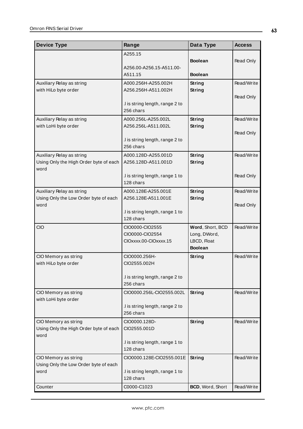| <b>Device Type</b>                                             | Range                               | Data Type        | <b>Access</b> |
|----------------------------------------------------------------|-------------------------------------|------------------|---------------|
|                                                                | A255.15                             |                  |               |
|                                                                |                                     | <b>Boolean</b>   | Read Only     |
|                                                                | A256.00-A256.15-A511.00-<br>A511.15 | <b>Boolean</b>   |               |
|                                                                | A000.256H-A255.002H                 | String           | Read/Write    |
| Auxiliary Relay as string<br>with HiLo byte order              | A256.256H-A511.002H                 | String           |               |
|                                                                |                                     |                  | Read Only     |
|                                                                | .I is string length, range 2 to     |                  |               |
|                                                                | 256 chars                           |                  |               |
| Auxiliary Relay as string                                      | A000.256L-A255.002L                 | <b>String</b>    | Read/Write    |
| with LoHi byte order                                           | A256.256L-A511.002L                 | String           |               |
|                                                                | .I is string length, range 2 to     |                  | Read Only     |
|                                                                | 256 chars                           |                  |               |
| Auxiliary Relay as string                                      | A000.128D-A255.001D                 | String           | Read/Write    |
| Using Only the High Order byte of each                         | A256.128D-A511.001D                 | String           |               |
| word                                                           |                                     |                  |               |
|                                                                | I is string length, range 1 to      |                  | Read Only     |
|                                                                | 128 chars                           |                  |               |
| Auxiliary Relay as string                                      | A000.128E-A255.001E                 | String           | Read/Write    |
| Using Only the Low Order byte of each<br>word                  | A256.128E-A511.001E                 | String           | Read Only     |
|                                                                | .I is string length, range 1 to     |                  |               |
|                                                                | 128 chars                           |                  |               |
| <b>CIO</b>                                                     | CIO0000-CIO2555                     | Word, Short, BCD | Read/Write    |
|                                                                | CIO0000-CIO2554                     | Long, DWord,     |               |
|                                                                | CIOxxxx.00-CIOxxxx.15               | LBCD, Float      |               |
|                                                                |                                     | <b>Boolean</b>   |               |
| CIO Memory as string                                           | CIO0000.256H-                       | String           | Read/Write    |
| with HiLo byte order                                           | CIO2555.002H                        |                  |               |
|                                                                | .I is string length, range 2 to     |                  |               |
|                                                                | 256 chars                           |                  |               |
| CIO Memory as string                                           | CIO0000.256L-CIO2555.002L           | String           | Read/Write    |
| with LoHi byte order                                           |                                     |                  |               |
|                                                                | .I is string length, range 2 to     |                  |               |
|                                                                | 256 chars                           |                  |               |
| CIO Memory as string<br>Using Only the High Order byte of each | CIO0000.128D-<br>CIO2555.001D       | String           | Read/Write    |
| word                                                           |                                     |                  |               |
|                                                                | .I is string length, range 1 to     |                  |               |
|                                                                | 128 chars                           |                  |               |
| CIO Memory as string                                           | CIO0000.128E-CIO2555.001E           | <b>String</b>    | Read/Write    |
| Using Only the Low Order byte of each                          |                                     |                  |               |
| word                                                           | I is string length, range 1 to      |                  |               |
|                                                                | 128 chars                           |                  |               |
| Counter                                                        | C0000-C1023                         | BCD, Word, Short | Read/Write    |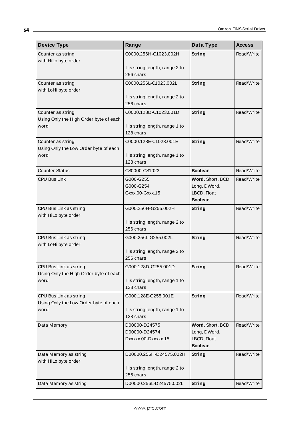| <b>Device Type</b>                             | Range                                        | Data Type                     | <b>Access</b> |
|------------------------------------------------|----------------------------------------------|-------------------------------|---------------|
| Counter as string                              | C0000.256H-C1023.002H                        | <b>String</b>                 | Read/Write    |
| with HiLo byte order                           |                                              |                               |               |
|                                                | .I is string length, range 2 to<br>256 chars |                               |               |
| Counter as string                              | C0000.256L-C1023.002L                        | String                        | Read/Write    |
| with LoHi byte order                           |                                              |                               |               |
|                                                | I is string length, range 2 to               |                               |               |
|                                                | 256 chars                                    |                               |               |
| Counter as string                              | C0000.128D-C1023.001D                        | String                        | Read/Write    |
| Using Only the High Order byte of each<br>word | .I is string length, range 1 to              |                               |               |
|                                                | 128 chars                                    |                               |               |
| Counter as string                              | C0000.128E-C1023.001E                        | String                        | Read/Write    |
| Using Only the Low Order byte of each          |                                              |                               |               |
| word                                           | .I is string length, range 1 to<br>128 chars |                               |               |
| <b>Counter Status</b>                          | CS0000-CS1023                                | <b>Boolean</b>                | Read/Write    |
| <b>CPU Bus Link</b>                            | G000-G255                                    | Word, Short, BCD              | Read/Write    |
|                                                | G000-G254                                    | Long, DWord,                  |               |
|                                                | Gxxx.00-Gxxx.15                              | LBCD, Float                   |               |
|                                                |                                              | <b>Boolean</b>                |               |
| CPU Bus Link as string                         | G000.256H-G255.002H                          | String                        | Read/Write    |
| with HiLo byte order                           | .I is string length, range 2 to              |                               |               |
|                                                | 256 chars                                    |                               |               |
| CPU Bus Link as string                         | G000.256L-G255.002L                          | String                        | Read/Write    |
| with LoHi byte order                           |                                              |                               |               |
|                                                | .I is string length, range 2 to<br>256 chars |                               |               |
| CPU Bus Link as string                         | G000.128D-G255.001D                          | String                        | Read/Write    |
| Using Only the High Order byte of each         |                                              |                               |               |
| word                                           | .I is string length, range 1 to              |                               |               |
|                                                | 128 chars                                    |                               |               |
| CPU Bus Link as string                         | G000.128E-G255.001E                          | <b>String</b>                 | Read/Write    |
| Using Only the Low Order byte of each<br>word  | .I is string length, range 1 to              |                               |               |
|                                                | 128 chars                                    |                               |               |
| Data Memory                                    | D00000-D24575                                | Word, Short, BCD              | Read/Write    |
|                                                | D00000-D24574                                | Long, DWord,                  |               |
|                                                | Dxxxxx.00-Dxxxxx.15                          | LBCD, Float<br><b>Boolean</b> |               |
| Data Memory as string                          | D00000.256H-D24575.002H                      | <b>String</b>                 | Read/Write    |
| with HiLo byte order                           |                                              |                               |               |
|                                                | .I is string length, range 2 to              |                               |               |
|                                                | 256 chars                                    |                               |               |
| Data Memory as string                          | D00000.256L-D24575.002L                      | <b>String</b>                 | Read/Write    |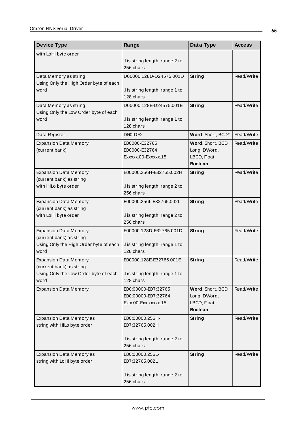| <b>Device Type</b>                                                                                         | Range                                                                             | Data Type                                                         | <b>Access</b> |
|------------------------------------------------------------------------------------------------------------|-----------------------------------------------------------------------------------|-------------------------------------------------------------------|---------------|
| with LoHi byte order                                                                                       | .I is string length, range 2 to<br>256 chars                                      |                                                                   |               |
| Data Memory as string<br>Using Only the High Order byte of each<br>word                                    | D00000.128D-D24575.001D<br>.I is string length, range 1 to<br>128 chars           | String                                                            | Read/Write    |
| Data Memory as string<br>Using Only the Low Order byte of each<br>word                                     | D00000.128E-D24575.001E<br>.I is string length, range 1 to<br>128 chars           | String                                                            | Read/Write    |
| Data Register                                                                                              | DR0-DR2                                                                           | Word, Short, BCD*                                                 | Read/Write    |
| <b>Expansion Data Memory</b><br>(current bank)                                                             | E00000-E32765<br>E00000-E32764<br>Exxxxx.00-Exxxxx.15                             | Word, Short, BCD<br>Long, DWord,<br>LBCD, Float<br><b>Boolean</b> | Read/Write    |
| <b>Expansion Data Memory</b><br>(current bank) as string<br>with HiLo byte order                           | E00000.256H-E32765.002H<br>.I is string length, range 2 to<br>256 chars           | String                                                            | Read/Write    |
| <b>Expansion Data Memory</b><br>(current bank) as string<br>with LoHi byte order                           | E00000.256L-E32765.002L<br>.I is string length, range 2 to<br>256 chars           | <b>String</b>                                                     | Read/Write    |
| <b>Expansion Data Memory</b><br>(current bank) as string<br>Using Only the High Order byte of each<br>word | E00000.128D-E32765.001D<br>.I is string length, range 1 to<br>128 chars           | String                                                            | Read/Write    |
| <b>Expansion Data Memory</b><br>(current bank) as string<br>Using Only the Low Order byte of each<br>word  | E00000.128E-E32765.001E<br>I is string length, range 1 to<br>128 chars            | String                                                            | Read/Write    |
| <b>Expansion Data Memory</b>                                                                               | E00:00000-E07:32765<br>E00:00000-E07:32764<br>Ex:x.00-Exx:xxxxx.15                | Word, Short, BCD<br>Long, DWord,<br>LBCD, Float<br><b>Boolean</b> | Read/Write    |
| Expansion Data Memory as<br>string with HiLo byte order                                                    | E00:00000.256H-<br>E07:32765.002H<br>.I is string length, range 2 to<br>256 chars | <b>String</b>                                                     | Read/Write    |
| Expansion Data Memory as<br>string with LoHi byte order                                                    | E00:00000.256L-<br>E07:32765.002L<br>.I is string length, range 2 to<br>256 chars | <b>String</b>                                                     | Read/Write    |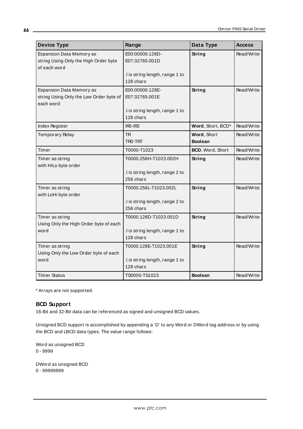| <b>Device Type</b>                                                       | Range                                        | Data Type         | <b>Access</b> |
|--------------------------------------------------------------------------|----------------------------------------------|-------------------|---------------|
| <b>Expansion Data Memory as</b><br>string Using Only the High Order byte | E00:00000.128D-<br>E07:32765.001D            | String            | Read/Write    |
| of each word                                                             |                                              |                   |               |
|                                                                          | .I is string length, range 1 to              |                   |               |
|                                                                          | 128 chars                                    |                   |               |
| <b>Expansion Data Memory as</b>                                          | E00:00000.128E-                              | String            | Read/Write    |
| string Using Only the Low Order byte of                                  | E07:32765.001E                               |                   |               |
| each word                                                                |                                              |                   |               |
|                                                                          | I is string length, range 1 to<br>128 chars  |                   |               |
| Index Register                                                           | $IRO-IR2$                                    | Word, Short, BCD* | Read/Write    |
| <b>Temporary Relay</b>                                                   | <b>TR</b>                                    | Word, Short       | Read/Write    |
|                                                                          | TRO-TR7                                      | <b>Boolean</b>    |               |
| Timer                                                                    | T0000-T1023                                  | BCD, Word, Short  | Read/Write    |
| Timer as string                                                          | T0000.256H-T1023.002H                        | String            | Read/Write    |
| with HiLo byte order                                                     |                                              |                   |               |
|                                                                          | I is string length, range 2 to               |                   |               |
|                                                                          | 256 chars                                    |                   |               |
| Timer as string                                                          | T0000.256L-T1023.002L                        | String            | Read/Write    |
| with LoHi byte order                                                     |                                              |                   |               |
|                                                                          | .I is string length, range 2 to<br>256 chars |                   |               |
|                                                                          |                                              |                   |               |
| Timer as string                                                          | T0000.128D-T1023.001D                        | String            | Read/Write    |
| Using Only the High Order byte of each<br>word                           | I is string length, range 1 to               |                   |               |
|                                                                          | 128 chars                                    |                   |               |
| Timer as string                                                          | T0000.128E-T1023.001E                        | String            | Read/Write    |
| Using Only the Low Order byte of each                                    |                                              |                   |               |
| word                                                                     | .I is string length, range 1 to<br>128 chars |                   |               |
| <b>Timer Status</b>                                                      | TS0000-TS1023                                | <b>Boolean</b>    | Read/Write    |

## <span id="page-65-0"></span>**BCD Support**

16-Bit and 32-Bit data can be referenced as signed and unsigned BCD values.

Unsigned BCD support is accomplished by appending a 'D' to any Word or DWord tag address or by using the BCD and LBCD data types. The value range follows:

Word as unsigned BCD 0 - 9999

DWord as unsigned BCD 0 - 99999999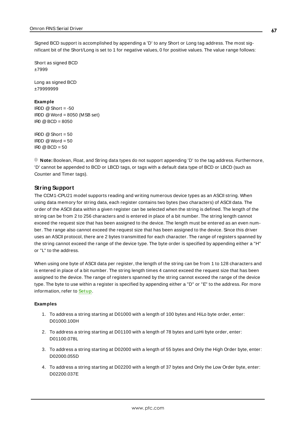Signed BCD support is accomplished by appending a 'D' to any Short or Long tag address. The most significant bit of the Short/Long is set to 1 for negative values, 0 for positive values. The value range follows:

Short as signed BCD ±7999

Long as signed BCD ±79999999

#### **Example**

IROD  $@$  Short = -50 IR0D @Word = 8050 (MSB set)  $IR0 @ BCD = 8050$ 

 $IROD @ Short = 50$  $IROD @Word = 50$  $\text{IRO} \ @ \text{BCD} = 50$ 

<span id="page-66-0"></span>**Note:** Boolean, Float, and String data types do not support appending 'D' to the tag address. Furthermore, 'D' cannot be appended to BCD or LBCD tags, or tags with a default data type of BCD or LBCD (such as Counter and Timer tags).

### **String Support**

The CCM1-CPU21 model supports reading and writing numerous device types as an ASCII string. When using data memory for string data, each register contains two bytes (two characters) of ASCII data. The order of the ASCII data within a given register can be selected when the string is defined. The length of the string can be from 2 to 256 characters and is entered in place of a bit number. The string length cannot exceed the request size that has been assigned to the device. The length must be entered as an even number. The range also cannot exceed the request size that has been assigned to the device. Since this driver uses an ASCII protocol, there are 2 bytes transmitted for each character. The range of registers spanned by the string cannot exceed the range of the device type. The byte order is specified by appending either a "H" or "L" to the address.

When using one byte of ASCII data per register, the length of the string can be from 1 to 128 characters and is entered in place of a bit number. The string length times 4 cannot exceed the request size that has been assigned to the device. The range of registers spanned by the string cannot exceed the range of the device type. The byte to use within a register is specified by appending either a "D" or "E" to the address. For more information, refer to **[Setup](#page-3-0)**.

#### **Examples**

- 1. To address a string starting at D01000 with a length of 100 bytes and HiLo byte order, enter: D01000.100H
- 2. To address a string starting at D01100 with a length of 78 bytes and LoHi byte order, enter: D01100.078L
- 3. To address a string starting at D02000 with a length of 55 bytes and Only the High Order byte, enter: D02000.055D
- <span id="page-66-1"></span>4. To address a string starting at D02200 with a length of 37 bytes and Only the Low Order byte, enter: D02200.037E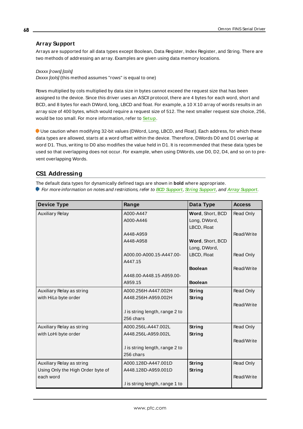## **Array Support**

Arrays are supported for all data types except Boolean, Data Register, Index Register, and String. There are two methods of addressing an array. Examples are given using data memory locations.

Dxxxx [rows] [cols]  $Dxxxx$  [ $\infty$ Is] (this method assumes "rows" is equal to one)

Rows multiplied by cols multiplied by data size in bytes cannot exceed the request size that has been assigned to the device. Since this driver uses an ASCII protocol, there are 4 bytes for each word, short and BCD, and 8 bytes for each DWord, long, LBCD and float. For example, a 10 X10 array of words results in an array size of 400 bytes, which would require a request size of 512. The next smaller request size choice, 256, would be too small. For more information, refer to **[Setup](#page-3-0)**.

Use caution when modifying 32-bit values (DWord, Long, LBCD, and Float). Each address, for which these data types are allowed, starts at a word offset within the device. Therefore, DWords D0 and D1 overlap at word D1. Thus, writing to D0 also modifies the value held in D1. It is recommended that these data types be used so that overlapping does not occur. For example, when using DWords, use D0, D2, D4, and so on to prevent overlapping Words.

## **CS1 Addressing**

The default data types for dynamically defined tags are shown in **bold** where appropriate.

For more information on notes and restrictions, refer to **BCD [Support](#page-71-0)**, **String [Support](#page-72-0)**, and **Array [Support](#page-73-0)**.

| <b>Device Type</b>                | Range                           | Data Type        | <b>Access</b>    |
|-----------------------------------|---------------------------------|------------------|------------------|
| <b>Auxiliary Relay</b>            | A000-A447                       | Word, Short, BCD | Read Only        |
|                                   | A000-A446                       | Long, DWord,     |                  |
|                                   |                                 | LBCD, Float      |                  |
|                                   | A448-A959                       |                  | Read/Write       |
|                                   | A448-A958                       | Word, Short, BCD |                  |
|                                   |                                 | Long, DWord,     |                  |
|                                   | A000.00-A000.15-A447.00-        | LBCD, Float      | <b>Read Only</b> |
|                                   | A447.15                         |                  |                  |
|                                   |                                 | <b>Boolean</b>   | Read/Write       |
|                                   | A448.00-A448.15-A959.00-        |                  |                  |
|                                   | A959.15                         | <b>Boolean</b>   |                  |
| Auxiliary Relay as string         | A000.256H-A447.002H             | String           | Read Only        |
| with HiLo byte order              | A448.256H-A959.002H             | String           |                  |
|                                   |                                 |                  | Read/Write       |
|                                   | I is string length, range 2 to  |                  |                  |
|                                   | 256 chars                       |                  |                  |
| Auxiliary Relay as string         | A000.256L-A447.002L             | String           | Read Only        |
| with LoHi byte order              | A448.256L-A959.002L             | String           |                  |
|                                   |                                 |                  | Read/Write       |
|                                   | I is string length, range 2 to  |                  |                  |
|                                   | 256 chars                       |                  |                  |
| Auxiliary Relay as string         | A000.128D-A447.001D             | <b>String</b>    | Read Only        |
| Using Only the High Order byte of | A448.128D-A959.001D             | <b>String</b>    |                  |
| each word                         |                                 |                  | Read/Write       |
|                                   | .I is string length, range 1 to |                  |                  |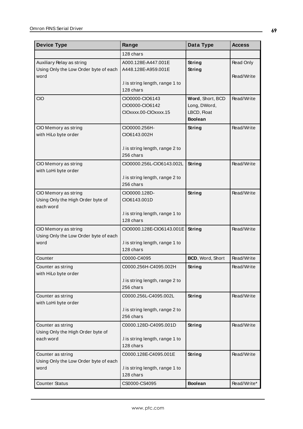| <b>Device Type</b>                                                         | Range                                                        | Data Type                                                         | <b>Access</b>           |
|----------------------------------------------------------------------------|--------------------------------------------------------------|-------------------------------------------------------------------|-------------------------|
|                                                                            | 128 chars                                                    |                                                                   |                         |
| Auxiliary Relay as string<br>Using Only the Low Order byte of each<br>word | A000.128E-A447.001E<br>A448.128E-A959.001E                   | String<br><b>String</b>                                           | Read Only<br>Read/Write |
|                                                                            | .I is string length, range 1 to<br>128 chars                 |                                                                   |                         |
| <b>CIO</b>                                                                 | CIO0000-CIO6143<br>CIO0000-CIO6142<br>CIOxxxx.00-CIOxxxx.15  | Word, Short, BCD<br>Long, DWord,<br>LBCD, Float<br><b>Boolean</b> | Read/Write              |
| CIO Memory as string<br>with HiLo byte order                               | CIO0000.256H-<br>CIO6143.002H                                | <b>String</b>                                                     | Read/Write              |
|                                                                            | I is string length, range 2 to<br>256 chars                  |                                                                   |                         |
| CIO Memory as string<br>with LoHi byte order                               | CIO0000.256L-CIO6143.002L                                    | String                                                            | Read/Write              |
|                                                                            | .I is string length, range 2 to<br>256 chars                 |                                                                   |                         |
| CIO Memory as string<br>Using Only the High Order byte of<br>each word     | CIO0000.128D-<br>CIO6143.001D                                | <b>String</b>                                                     | Read/Write              |
|                                                                            | I is string length, range 1 to<br>128 chars                  |                                                                   |                         |
| CIO Memory as string<br>Using Only the Low Order byte of each<br>word      | CIO0000.128E-CIO6143.001E<br>.I is string length, range 1 to | String                                                            | Read/Write              |
|                                                                            | 128 chars                                                    |                                                                   |                         |
| Counter                                                                    | C0000-C4095                                                  | BCD, Word, Short                                                  | Read/Write              |
| Counter as string<br>with HiLo byte order                                  | C0000.256H-C4095.002H                                        | <b>String</b>                                                     | Read/Write              |
|                                                                            | .I is string length, range 2 to<br>256 chars                 |                                                                   |                         |
| Counter as string<br>with LoHi byte order                                  | C0000.256L-C4095.002L                                        | <b>String</b>                                                     | Read/Write              |
|                                                                            | .I is string length, range 2 to<br>256 chars                 |                                                                   |                         |
| Counter as string<br>Using Only the High Order byte of                     | C0000.128D-C4095.001D                                        | <b>String</b>                                                     | Read/Write              |
| each word                                                                  | I is string length, range 1 to<br>128 chars                  |                                                                   |                         |
| Counter as string<br>Using Only the Low Order byte of each                 | C0000.128E-C4095.001E                                        | <b>String</b>                                                     | Read/Write              |
| word                                                                       | I is string length, range 1 to<br>128 chars                  |                                                                   |                         |
| <b>Counter Status</b>                                                      | CS0000-CS4095                                                | <b>Boolean</b>                                                    | Read/Write*             |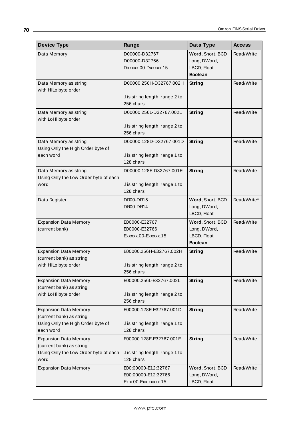| <b>Device Type</b>                    | Range                                        | Data Type        | <b>Access</b> |
|---------------------------------------|----------------------------------------------|------------------|---------------|
| Data Memory                           | D00000-D32767                                | Word, Short, BCD | Read/Write    |
|                                       | D00000-D32766                                | Long, DWord,     |               |
|                                       | Dxxxxx.00-Dxxxxx.15                          | LBCD, Float      |               |
|                                       |                                              | <b>Boolean</b>   |               |
| Data Memory as string                 | D00000.256H-D32767.002H                      | <b>String</b>    | Read/Write    |
| with HiLo byte order                  |                                              |                  |               |
|                                       | .I is string length, range 2 to              |                  |               |
|                                       | 256 chars                                    |                  |               |
| Data Memory as string                 | D00000.256L-D32767.002L                      | String           | Read/Write    |
| with LoHi byte order                  |                                              |                  |               |
|                                       | .I is string length, range 2 to              |                  |               |
|                                       | 256 chars                                    |                  |               |
| Data Memory as string                 | D00000.128D-D32767.001D                      | String           | Read/Write    |
| Using Only the High Order byte of     |                                              |                  |               |
| each word                             | I is string length, range 1 to               |                  |               |
|                                       | 128 chars                                    |                  |               |
| Data Memory as string                 | D00000.128E-D32767.001E                      | String           | Read/Write    |
| Using Only the Low Order byte of each |                                              |                  |               |
| word                                  | I is string length, range 1 to               |                  |               |
|                                       | 128 chars                                    |                  |               |
| Data Register                         | DR00-DR15                                    | Word, Short, BCD | Read/Write*   |
|                                       | DR00-DR14                                    | Long, DWord,     |               |
|                                       |                                              | LBCD, Float      |               |
| <b>Expansion Data Memory</b>          | E00000-E32767                                | Word, Short, BCD | Read/Write    |
| (current bank)                        | E00000-E32766                                | Long, DWord,     |               |
|                                       | Exxxxx.00-Exxxxx.15                          | LBCD, Float      |               |
|                                       |                                              | <b>Boolean</b>   |               |
| <b>Expansion Data Memory</b>          | E00000.256H-E32767.002H                      | String           | Read/Write    |
| (current bank) as string              |                                              |                  |               |
| with HiLo byte order                  | .I is string length, range 2 to              |                  |               |
|                                       | 256 chars                                    |                  |               |
| <b>Expansion Data Memory</b>          | E00000.256L-E32767.002L                      | <b>String</b>    | Read/Write    |
| (current bank) as string              |                                              |                  |               |
| with LoHi byte order                  | .I is string length, range 2 to              |                  |               |
|                                       | 256 chars                                    |                  |               |
| <b>Expansion Data Memory</b>          | E00000.128E-E32767.001D                      | String           | Read/Write    |
| (current bank) as string              |                                              |                  |               |
| Using Only the High Order byte of     | .I is string length, range 1 to              |                  |               |
| each word                             | 128 chars                                    |                  |               |
| <b>Expansion Data Memory</b>          | E00000.128E-E32767.001E                      | String           | Read/Write    |
| (current bank) as string              |                                              |                  |               |
| Using Only the Low Order byte of each | .I is string length, range 1 to<br>128 chars |                  |               |
| word                                  |                                              |                  |               |
| <b>Expansion Data Memory</b>          | E00:00000-E12:32767                          | Word, Short, BCD | Read/Write    |
|                                       | E00:00000-E12:32766                          | Long, DWord,     |               |
|                                       | Ex:x.00-Exx:xxxxx.15                         | LBCD, Float      |               |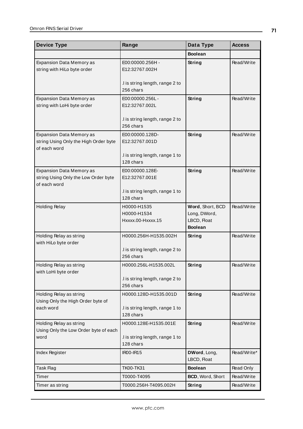| <b>Device Type</b>                                                                      | Range                                                                 | Data Type                                                         | <b>Access</b> |
|-----------------------------------------------------------------------------------------|-----------------------------------------------------------------------|-------------------------------------------------------------------|---------------|
|                                                                                         |                                                                       | <b>Boolean</b>                                                    |               |
| Expansion Data Memory as<br>string with HiLo byte order                                 | E00:00000.256H -<br>E12:32767.002H                                    | String                                                            | Read/Write    |
|                                                                                         | .I is string length, range 2 to<br>256 chars                          |                                                                   |               |
| Expansion Data Memory as<br>string with LoHi byte order                                 | E00:00000.256L-<br>E12:32767.002L                                     | String                                                            | Read/Write    |
|                                                                                         | .I is string length, range 2 to<br>256 chars                          |                                                                   |               |
| Expansion Data Memory as<br>string Using Only the High Order byte<br>of each word       | E00:00000.128D-<br>E12:32767.001D                                     | String                                                            | Read/Write    |
|                                                                                         | .I is string length, range 1 to<br>128 chars                          |                                                                   |               |
| <b>Expansion Data Memory as</b><br>string Using Only the Low Order byte<br>of each word | E00:00000.128E-<br>E12:32767.001E                                     | String                                                            | Read/Write    |
|                                                                                         | I is string length, range 1 to<br>128 chars                           |                                                                   |               |
| <b>Holding Relay</b>                                                                    | H0000-H1535<br>H0000-H1534<br>Hxxxx.00-Hxxxx.15                       | Word, Short, BCD<br>Long, DWord,<br>LBCD, Float<br><b>Boolean</b> | Read/Write    |
| Holding Relay as string<br>with HiLo byte order                                         | H0000.256H-H1535.002H<br>I is string length, range 2 to<br>256 chars  | <b>String</b>                                                     | Read/Write    |
| Holding Relay as string<br>with LoHi byte order                                         | H0000.256L-H1535.002L<br>I is string length, range 2 to<br>256 chars  | String                                                            | Read/Write    |
| Holding Relay as string<br>Using Only the High Order byte of<br>each word               | H0000.128D-H1535.001D<br>I is string length, range 1 to<br>128 chars  | <b>String</b>                                                     | Read/Write    |
| Holding Relay as string<br>Using Only the Low Order byte of each<br>word                | H0000.128E-H1535.001E<br>.I is string length, range 1 to<br>128 chars | String                                                            | Read/Write    |
| Index Register                                                                          | <b>IR00-IR15</b>                                                      | DWord, Long,<br>LBCD, Float                                       | Read/Write*   |
| Task Flag                                                                               | <b>TK00-TK31</b>                                                      | <b>Boolean</b>                                                    | Read Only     |
| Timer                                                                                   | T0000-T4095                                                           | BCD, Word, Short                                                  | Read/Write    |
| Timer as string                                                                         | T0000.256H-T4095.002H                                                 | <b>String</b>                                                     | Read/Write    |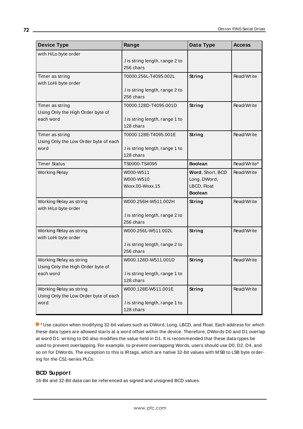| <b>Device Type</b>                                                        | Range                                                                 | Data Type                                                         | <b>Access</b> |
|---------------------------------------------------------------------------|-----------------------------------------------------------------------|-------------------------------------------------------------------|---------------|
| with HiLo byte order                                                      | I is string length, range 2 to<br>256 chars                           |                                                                   |               |
| Timer as string<br>with LoHi byte order                                   | T0000.256L-T4095.002L<br>I is string length, range 2 to<br>256 chars  | String                                                            | Read/Write    |
| Timer as string<br>Using Only the High Order byte of<br>each word         | T0000.128D-T4095.001D<br>.I is string length, range 1 to<br>128 chars | String                                                            | Read/Write    |
| Timer as string<br>Using Only the Low Order byte of each<br>word          | T0000.128E-T4095.001E<br>I is string length, range 1 to<br>128 chars  | <b>String</b>                                                     | Read/Write    |
| <b>Timer Status</b>                                                       | TS0000-TS4095                                                         | <b>Boolean</b>                                                    | Read/Write*   |
| <b>Working Relay</b>                                                      | W000-W511<br>W000-W510<br>Wxxx.00-Wxxx.15                             | Word, Short, BCD<br>Long, DWord,<br>LBCD, Float<br><b>Boolean</b> | Read/Write    |
| Working Relay as string<br>with HiLo byte order                           | W000.256H-W511.002H<br>.I is string length, range 2 to<br>256 chars   | String                                                            | Read/Write    |
| Working Relay as string<br>with LoHi byte order                           | W000.256L-W511.002L<br>I is string length, range 2 to<br>256 chars    | String                                                            | Read/Write    |
| Working Relay as string<br>Using Only the High Order byte of<br>each word | W000.128D-W511.001D<br>.I is string length, range 1 to<br>128 chars   | <b>String</b>                                                     | Read/Write    |
| Working Relay as string<br>Using Only the Low Order byte of each<br>word  | W000.128E-W511.001E<br>.I is string length, range 1 to<br>128 chars   | String                                                            | Read/Write    |

\* Use caution when modifying 32-bit values such as DWord, Long, LBCD, and Float. Each address for which these data types are allowed starts at a word offset within the device. Therefore, DWords D0 and D1 overlap at word D1: writing to D0 also modifies the value held in D1. It is recommended that these data types be used to prevent overlapping. For example, to prevent overlapping Words, users should use D0, D2, D4, and so on for DWords. The exception to this is IRtags, which are native 32-bit values with MSB to LSB byte ordering for the CS1-series PLCs.

## <span id="page-71-0"></span>**BCD Support**

16-Bit and 32-Bit data can be referenced as signed and unsigned BCD values.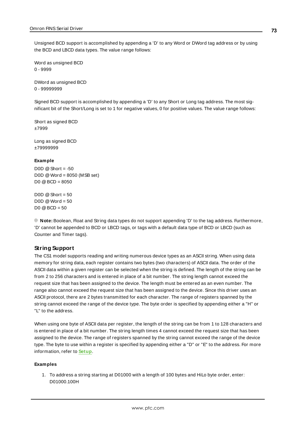Unsigned BCD support is accomplished by appending a 'D' to any Word or DWord tag address or by using the BCD and LBCD data types. The value range follows:

Word as unsigned BCD 0 - 9999

DWord as unsigned BCD 0 - 99999999

Signed BCD support is accomplished by appending a 'D' to any Short or Long tag address. The most significant bit of the Short/Long is set to 1 for negative values, 0 for positive values. The value range follows:

Short as signed BCD ±7999

Long as signed BCD ±79999999

#### **Example**

 $DOD @ Short = -50$ D0D @Word = 8050 (MSB set) D0 @BCD = 8050

D0D  $@$  Short = 50  $DOD @Word = 50$  $D0 @ BCD = 50$ 

**Note:** Boolean, Float and String data types do not support appending 'D' to the tag address. Furthermore, 'D' cannot be appended to BCD or LBCD tags, or tags with a default data type of BCD or LBCD (such as Counter and Timer tags).

#### **String Support**

The CS1 model supports reading and writing numerous device types as an ASCII string. When using data memory for string data, each register contains two bytes (two characters) of ASCII data. The order of the ASCII data within a given register can be selected when the string is defined. The length of the string can be from 2 to 256 characters and is entered in place of a bit number. The string length cannot exceed the request size that has been assigned to the device. The length must be entered as an even number. The range also cannot exceed the request size that has been assigned to the device. Since this driver uses an ASCII protocol, there are 2 bytes transmitted for each character. The range of registers spanned by the string cannot exceed the range of the device type. The byte order is specified by appending either a "H" or "L" to the address.

When using one byte of ASCII data per register, the length of the string can be from 1 to 128 characters and is entered in place of a bit number. The string length times 4 cannot exceed the request size that has been assigned to the device. The range of registers spanned by the string cannot exceed the range of the device type. The byte to use within a register is specified by appending either a "D" or "E" to the address. For more information, refer to **[Setup](#page-3-0)**.

#### **Examples**

1. To address a string starting at D01000 with a length of 100 bytes and HiLo byte order, enter: D01000.100H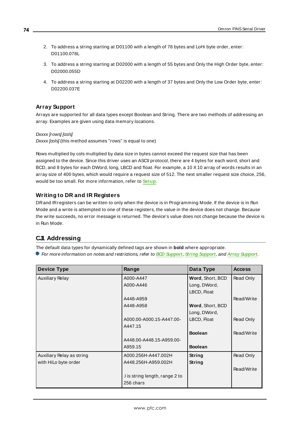- 2. To address a string starting at D01100 with a length of 78 bytes and LoHi byte order, enter: D01100.078L
- 3. To address a string starting at D02000 with a length of 55 bytes and Only the High Order byte, enter: D02000.055D
- 4. To address a string starting at D02200 with a length of 37 bytes and Only the Low Order byte, enter: D02200.037E

### **Array Support**

Arrays are supported for all data types except Boolean and String. There are two methods of addressing an array. Examples are given using data memory locations.

Dxxxx [rows] [cols]

 $Dxxxx$  [ $\infty$ Is] (this method assumes "rows" is equal to one)

Rows multiplied by cols multiplied by data size in bytes cannot exceed the request size that has been assigned to the device. Since this driver uses an ASCII protocol, there are 4 bytes for each word, short and BCD, and 8 bytes for each DWord, long, LBCD and float. For example, a 10 X10 array of words results in an array size of 400 bytes, which would require a request size of 512. The next smaller request size choice, 256, would be too small. For more information, refer to **[Setup](#page-3-0)**.

### **Writing to DR and IR Registers**

DRand IRregisters can be written to only when the device is in Programming Mode. If the device is in Run Mode and a write is attempted to one of these registers, the value in the device does not change. Because the write succeeds, no error message is returned. The device's value does not change because the device is in Run Mode.

### <span id="page-73-0"></span>**CJ1 Addressing**

The default data types for dynamically defined tags are shown in **bold** where appropriate.

For more information on notes and restrictions, refer to **BCD [Support](#page-76-0)**, **String [Support](#page-77-0)**, and **Array [Support](#page-77-0)**.

| <b>Device Type</b>        | Range                          | Data Type        | <b>Access</b> |
|---------------------------|--------------------------------|------------------|---------------|
| <b>Auxiliary Relay</b>    | A000-A447                      | Word, Short, BCD | Read Only     |
|                           | A000-A446                      | Long, DWord,     |               |
|                           |                                | LBCD, Float      |               |
|                           | A448-A959                      |                  | Read/Write    |
|                           | A448-A958                      | Word, Short, BCD |               |
|                           |                                | Long, DWord,     |               |
|                           | A000.00-A000.15-A447.00-       | LBCD, Float      | Read Only     |
|                           | A447.15                        |                  |               |
|                           |                                | <b>Boolean</b>   | Read/Write    |
|                           | A448.00-A448.15-A959.00-       |                  |               |
|                           | A959.15                        | <b>Boolean</b>   |               |
| Auxiliary Relay as string | A000.256H-A447.002H            | String           | Read Only     |
| with HiLo byte order      | String<br>A448.256H-A959.002H  |                  |               |
|                           |                                |                  | Read/Write    |
|                           | I is string length, range 2 to |                  |               |
|                           | 256 chars                      |                  |               |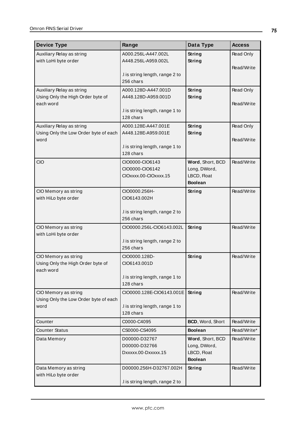| <b>Device Type</b>                            | Range                                        | Data Type                     | <b>Access</b> |
|-----------------------------------------------|----------------------------------------------|-------------------------------|---------------|
| Auxiliary Relay as string                     | A000.256L-A447.002L                          | String                        | Read Only     |
| with LoHi byte order                          | A448.256L-A959.002L                          | String                        |               |
|                                               |                                              |                               | Read/Write    |
|                                               | I is string length, range 2 to<br>256 chars  |                               |               |
| Auxiliary Relay as string                     | A000.128D-A447.001D                          | String                        | Read Only     |
| Using Only the High Order byte of             | A448.128D-A959.001D                          | String                        |               |
| each word                                     |                                              |                               | Read/Write    |
|                                               | I is string length, range 1 to               |                               |               |
|                                               | 128 chars                                    |                               |               |
| Auxiliary Relay as string                     | A000.128E-A447.001E                          | String                        | Read Only     |
| Using Only the Low Order byte of each<br>word | A448.128E-A959.001E                          | String                        | Read/Write    |
|                                               | I is string length, range 1 to               |                               |               |
|                                               | 128 chars                                    |                               |               |
| CIO                                           | CIO0000-CIO6143                              | Word, Short, BCD              | Read/Write    |
|                                               | CIO0000-CIO6142                              | Long, DWord,                  |               |
|                                               | CIOxxxx.00-CIOxxxx.15                        | LBCD, Float<br><b>Boolean</b> |               |
| CIO Memory as string                          | CIO0000.256H-                                | <b>String</b>                 | Read/Write    |
| with HiLo byte order                          | CIO6143.002H                                 |                               |               |
|                                               |                                              |                               |               |
|                                               | .I is string length, range 2 to              |                               |               |
|                                               | 256 chars                                    |                               |               |
| CIO Memory as string                          | CIO0000.256L-CIO6143.002L                    | String                        | Read/Write    |
| with LoHi byte order                          | .I is string length, range 2 to              |                               |               |
|                                               | 256 chars                                    |                               |               |
| CIO Memory as string                          | CIO0000.128D-                                | String                        | Read/Write    |
| Using Only the High Order byte of             | CIO6143.001D                                 |                               |               |
| each word                                     |                                              |                               |               |
|                                               | .I is string length, range 1 to<br>128 chars |                               |               |
| CIO Memory as string                          | CIO0000.128E-CIO6143.001E                    | String                        | Read/Write    |
| Using Only the Low Order byte of each         |                                              |                               |               |
| word                                          | .I is string length, range 1 to              |                               |               |
|                                               | 128 chars                                    |                               |               |
| Counter                                       | C0000-C4095                                  | BCD, Word, Short              | Read/Write    |
| <b>Counter Status</b>                         | CS0000-CS4095                                | <b>Boolean</b>                | Read/Write*   |
| Data Memory                                   | D00000-D32767                                | Word, Short, BCD              | Read/Write    |
|                                               | D00000-D32766<br>Dxxxxx.00-Dxxxxx.15         | Long, DWord,<br>LBCD, Float   |               |
|                                               |                                              | <b>Boolean</b>                |               |
| Data Memory as string                         | D00000.256H-D32767.002H                      | <b>String</b>                 | Read/Write    |
| with HiLo byte order                          |                                              |                               |               |
|                                               | .I is string length, range 2 to              |                               |               |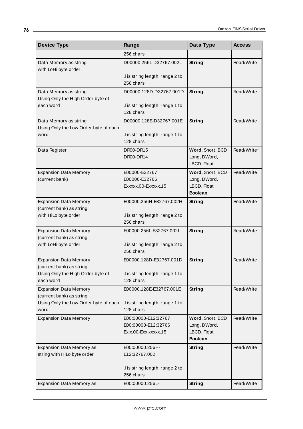| <b>Device Type</b>                                             | Range                                                                     | Data Type                                                         | <b>Access</b> |  |
|----------------------------------------------------------------|---------------------------------------------------------------------------|-------------------------------------------------------------------|---------------|--|
|                                                                | 256 chars                                                                 |                                                                   |               |  |
| Data Memory as string<br>with LoHi byte order                  | D00000.256L-D32767.002L                                                   | String                                                            | Read/Write    |  |
|                                                                | I is string length, range 2 to<br>256 chars                               |                                                                   |               |  |
| Data Memory as string<br>Using Only the High Order byte of     | D00000.128D-D32767.001D                                                   | <b>String</b>                                                     | Read/Write    |  |
| each word                                                      | I is string length, range 1 to<br>128 chars                               |                                                                   |               |  |
| Data Memory as string<br>Using Only the Low Order byte of each | D00000.128E-D32767.001E                                                   | String                                                            | Read/Write    |  |
| word                                                           | I is string length, range 1 to<br>128 chars                               |                                                                   |               |  |
| Data Register                                                  | Word, Short, BCD<br>DR00-DR15<br>DR00-DR14<br>Long, DWord,<br>LBCD, Float |                                                                   | Read/Write*   |  |
| <b>Expansion Data Memory</b><br>(current bank)                 | E00000-E32767<br>E00000-E32766<br>Exxxxx.00-Exxxxx.15                     | Word, Short, BCD<br>Long, DWord,<br>LBCD, Float<br><b>Boolean</b> | Read/Write    |  |
| <b>Expansion Data Memory</b><br>(current bank) as string       | E00000.256H-E32767.002H                                                   | <b>String</b>                                                     | Read/Write    |  |
| with HiLo byte order                                           | .I is string length, range 2 to<br>256 chars                              |                                                                   |               |  |
| <b>Expansion Data Memory</b><br>(current bank) as string       | E00000.256L-E32767.002L                                                   | String                                                            | Read/Write    |  |
| with LoHi byte order                                           | .I is string length, range 2 to<br>256 chars                              |                                                                   |               |  |
| <b>Expansion Data Memory</b><br>(current bank) as string       | E00000.128D-E32767.001D                                                   | <b>String</b>                                                     | Read/Write    |  |
| Using Only the High Order byte of<br>each word                 | I is string length, range 1 to<br>128 chars                               |                                                                   |               |  |
| <b>Expansion Data Memory</b><br>(current bank) as string       | E00000.128E-E32767.001E                                                   | <b>String</b>                                                     | Read/Write    |  |
| Using Only the Low Order byte of each<br>word                  | .I is string length, range 1 to<br>128 chars                              |                                                                   |               |  |
| <b>Expansion Data Memory</b>                                   | E00:00000-E12:32767<br>E00:00000-E12:32766<br>Ex:x.00-Exx:xxxxx.15        | Word, Short, BCD<br>Long, DWord,<br>LBCD, Float                   | Read/Write    |  |
|                                                                |                                                                           | <b>Boolean</b>                                                    |               |  |
| Expansion Data Memory as<br>string with HiLo byte order        | E00:00000.256H-<br>E12:32767.002H                                         | <b>String</b>                                                     | Read/Write    |  |
|                                                                | .I is string length, range 2 to<br>256 chars                              |                                                                   |               |  |
| <b>Expansion Data Memory as</b>                                | E00:00000.256L-                                                           | <b>String</b>                                                     | Read/Write    |  |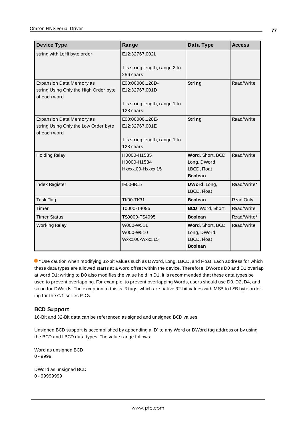| <b>Device Type</b>                    | Range                           | Data Type        | <b>Access</b> |
|---------------------------------------|---------------------------------|------------------|---------------|
| string with LoHi byte order           | E12:32767.002L                  |                  |               |
|                                       |                                 |                  |               |
|                                       | I is string length, range 2 to  |                  |               |
|                                       | 256 chars                       |                  |               |
| <b>Expansion Data Memory as</b>       | E00:00000.128D-                 | String           | Read/Write    |
| string Using Only the High Order byte | E12:32767.001D                  |                  |               |
| of each word                          |                                 |                  |               |
|                                       | .I is string length, range 1 to |                  |               |
|                                       | 128 chars                       |                  |               |
| <b>Expansion Data Memory as</b>       | E00:00000.128E-                 | String           | Read/Write    |
| string Using Only the Low Order byte  | E12:32767.001E                  |                  |               |
| of each word                          |                                 |                  |               |
|                                       | I is string length, range 1 to  |                  |               |
|                                       | 128 chars                       |                  |               |
| <b>Holding Relay</b>                  | H0000-H1535                     | Word, Short, BCD | Read/Write    |
|                                       | H0000-H1534                     | Long, DWord,     |               |
|                                       | Hxxxx.00-Hxxxx.15               | LBCD, Float      |               |
|                                       |                                 | <b>Boolean</b>   |               |
| <b>Index Register</b>                 | IR00-IR15                       | DWord, Long,     | Read/Write*   |
|                                       |                                 | LBCD, Float      |               |
| Task Flag                             | <b>TK00-TK31</b>                | <b>Boolean</b>   | Read Only     |
| Timer                                 | T0000-T4095                     | BCD, Word, Short | Read/Write    |
| <b>Timer Status</b>                   | TS0000-TS4095                   | <b>Boolean</b>   | Read/Write*   |
| <b>Working Relay</b>                  | W000-W511                       | Word, Short, BCD |               |
|                                       | W000-W510                       | Long, DWord,     |               |
|                                       | Wxxx.00-Wxxx.15                 | LBCD, Float      |               |
|                                       |                                 | <b>Boolean</b>   |               |

\* Use caution when modifying 32-bit values such as DWord, Long, LBCD, and Float. Each address for which these data types are allowed starts at a word offset within the device. Therefore, DWords D0 and D1 overlap at word D1: writing to D0 also modifies the value held in D1. It is recommended that these data types be used to prevent overlapping. For example, to prevent overlapping Words, users should use D0, D2, D4, and so on for DWords. The exception to this is IRtags, which are native 32-bit values with MSB to LSB byte ordering for the CJ1-series PLCs.

### <span id="page-76-0"></span>**BCD Support**

16-Bit and 32-Bit data can be referenced as signed and unsigned BCD values.

Unsigned BCD support is accomplished by appending a 'D' to any Word or DWord tag address or by using the BCD and LBCD data types. The value range follows:

Word as unsigned BCD 0 - 9999

DWord as unsigned BCD 0 - 99999999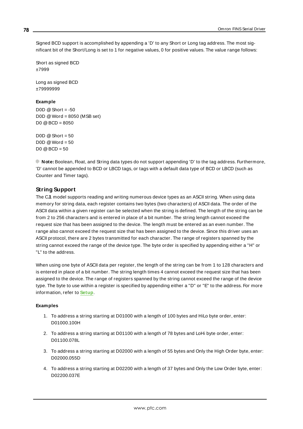Signed BCD support is accomplished by appending a 'D' to any Short or Long tag address. The most significant bit of the Short/Long is set to 1 for negative values, 0 for positive values. The value range follows:

Short as signed BCD ±7999

Long as signed BCD ±79999999

#### **Example**

D0D  $@$  Short = -50 D0D @Word = 8050 (MSB set)  $D0 @ BCD = 8050$ 

 $D0D \ @$  Short = 50  $DOD @Word = 50$  $D0 @ BCD = 50$ 

<span id="page-77-0"></span>**Note:** Boolean, Float, and String data types do not support appending 'D' to the tag address. Furthermore, 'D' cannot be appended to BCD or LBCD tags, or tags with a default data type of BCD or LBCD (such as Counter and Timer tags).

### **String Support**

The CJ1 model supports reading and writing numerous device types as an ASCII string. When using data memory for string data, each register contains two bytes (two characters) of ASCII data. The order of the ASCII data within a given register can be selected when the string is defined. The length of the string can be from 2 to 256 characters and is entered in place of a bit number. The string length cannot exceed the request size that has been assigned to the device. The length must be entered as an even number. The range also cannot exceed the request size that has been assigned to the device. Since this driver uses an ASCII protocol, there are 2 bytes transmitted for each character. The range of registers spanned by the string cannot exceed the range of the device type. The byte order is specified by appending either a "H" or "L" to the address.

When using one byte of ASCII data per register, the length of the string can be from 1 to 128 characters and is entered in place of a bit number. The string length times 4 cannot exceed the request size that has been assigned to the device. The range of registers spanned by the string cannot exceed the range of the device type. The byte to use within a register is specified by appending either a "D" or "E" to the address. For more information, refer to **[Setup](#page-3-0)**.

#### **Examples**

- 1. To address a string starting at D01000 with a length of 100 bytes and HiLo byte order, enter: D01000.100H
- 2. To address a string starting at D01100 with a length of 78 bytes and LoHi byte order, enter: D01100.078L
- 3. To address a string starting at D02000 with a length of 55 bytes and Only the High Order byte, enter: D02000.055D
- 4. To address a string starting at D02200 with a length of 37 bytes and Only the Low Order byte, enter: D02200.037E

**78**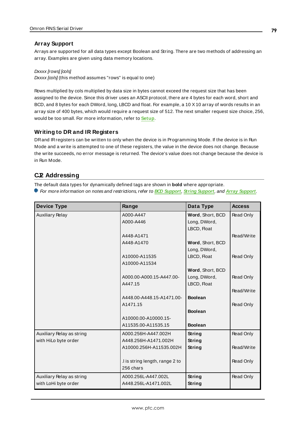### **Array Support**

Arrays are supported for all data types except Boolean and String. There are two methods of addressing an array. Examples are given using data memory locations.

Dxxxx [rows] [cols]  $Dxxxx$  [ $\infty$ Is] (this method assumes "rows" is equal to one)

Rows multiplied by cols multiplied by data size in bytes cannot exceed the request size that has been assigned to the device. Since this driver uses an ASCII protocol, there are 4 bytes for each word, short and BCD, and 8 bytes for each DWord, long, LBCD and float. For example, a 10 X10 array of words results in an array size of 400 bytes, which would require a request size of 512. The next smaller request size choice, 256, would be too small. For more information, refer to **[Setup](#page-3-0)**.

### **Writing to DR and IR Registers**

DRand IRregisters can be written to only when the device is in Programming Mode. If the device is in Run Mode and a write is attempted to one of these registers, the value in the device does not change. Because the write succeeds, no error message is returned. The device's value does not change because the device is in Run Mode.

### <span id="page-78-0"></span>**CJ2 Addressing**

The default data types for dynamically defined tags are shown in **bold** where appropriate.

For more information on notes and restrictions, refer to **BCD [Support](#page-81-0)**, **String [Support](#page-82-0)**, and **Array [Support](#page-82-0)**.

| <b>Device Type</b>        | Range                          | Data Type        | <b>Access</b> |
|---------------------------|--------------------------------|------------------|---------------|
| <b>Auxiliary Relay</b>    | A000-A447                      | Word, Short, BCD | Read Only     |
|                           | A000-A446                      | Long, DWord,     |               |
|                           |                                | LBCD, Float      |               |
|                           | A448-A1471                     |                  | Read/Write    |
|                           | A448-A1470                     | Word, Short, BCD |               |
|                           |                                | Long, DWord,     |               |
|                           | A10000-A11535                  | LBCD, Float      | Read Only     |
|                           | A10000-A11534                  |                  |               |
|                           |                                | Word, Short, BCD |               |
|                           | A000.00-A000.15-A447.00-       | Long, DWord,     | Read Only     |
|                           | A447.15                        | LBCD, Float      |               |
|                           |                                |                  | Read/Write    |
|                           | A448.00-A448.15-A1471.00-      | <b>Boolean</b>   |               |
|                           | A1471.15                       |                  | Read Only     |
|                           |                                | <b>Boolean</b>   |               |
|                           | A10000.00-A10000.15-           |                  |               |
|                           | A11535.00-A11535.15            | <b>Boolean</b>   |               |
| Auxiliary Relay as string | A000.256H-A447.002H            | String           | Read Only     |
| with HiLo byte order      | A448.256H-A1471.002H           | <b>String</b>    |               |
|                           | A10000.256H-A11535.002H        | <b>String</b>    | Read/Write    |
|                           |                                |                  |               |
|                           | I is string length, range 2 to |                  | Read Only     |
|                           | 256 chars                      |                  |               |
| Auxiliary Relay as string | A000.256L-A447.002L            | <b>String</b>    | Read Only     |
| with LoHi byte order      | A448.256L-A1471.002L           | <b>String</b>    |               |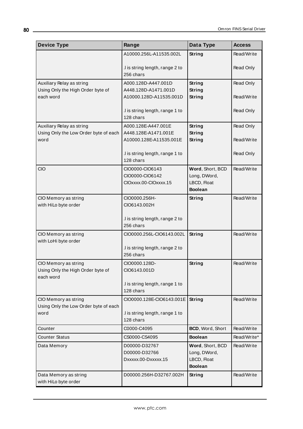| <b>Device Type</b>                                                     | Range                                                       | Data Type                                                         | <b>Access</b> |
|------------------------------------------------------------------------|-------------------------------------------------------------|-------------------------------------------------------------------|---------------|
|                                                                        | A10000.256L-A11535.002L                                     | String                                                            | Read/Write    |
|                                                                        | .I is string length, range 2 to<br>256 chars                |                                                                   | Read Only     |
| Auxiliary Relay as string                                              | A000.128D-A447.001D                                         | String                                                            | Read Only     |
| Using Only the High Order byte of<br>each word                         | A448.128D-A1471.001D<br>A10000.128D-A11535.001D             | String<br>String                                                  | Read/Write    |
|                                                                        | .I is string length, range 1 to<br>128 chars                |                                                                   | Read Only     |
| Auxiliary Relay as string                                              | A000.128E-A447.001E                                         | String                                                            | Read Only     |
| Using Only the Low Order byte of each<br>word                          | A448.128E-A1471.001E<br>A10000.128E-A11535.001E             | <b>String</b><br>String                                           | Read/Write    |
|                                                                        | I is string length, range 1 to<br>128 chars                 |                                                                   | Read Only     |
| <b>CIO</b>                                                             | CIO0000-CIO6143<br>CIO0000-CIO6142<br>CIOxxxx.00-CIOxxxx.15 | Word, Short, BCD<br>Long, DWord,<br>LBCD, Float<br><b>Boolean</b> | Read/Write    |
| CIO Memory as string                                                   | CIO0000.256H-                                               | <b>String</b>                                                     | Read/Write    |
| with HiLo byte order                                                   | CIO6143.002H                                                |                                                                   |               |
|                                                                        | .I is string length, range 2 to<br>256 chars                |                                                                   |               |
| CIO Memory as string                                                   | CIO0000.256L-CIO6143.002L                                   | String                                                            | Read/Write    |
| with LoHi byte order                                                   | I is string length, range 2 to<br>256 chars                 |                                                                   |               |
| CIO Memory as string<br>Using Only the High Order byte of<br>each word | CIO0000.128D-<br>CIO6143.001D                               | String                                                            | Read/Write    |
|                                                                        | I is string length, range 1 to<br>128 chars                 |                                                                   |               |
| CIO Memory as string                                                   | CIO0000.128E-CIO6143.001E                                   | <b>String</b>                                                     | Read/Write    |
| Using Only the Low Order byte of each<br>word                          | .I is string length, range 1 to<br>128 chars                |                                                                   |               |
| Counter                                                                | C0000-C4095                                                 | BCD, Word, Short                                                  | Read/Write    |
| <b>Counter Status</b>                                                  | CS0000-CS4095                                               | <b>Boolean</b>                                                    | Read/Write*   |
| Data Memory                                                            | D00000-D32767<br>D00000-D32766<br>Dxxxxx.00-Dxxxxx.15       | Word, Short, BCD<br>Long, DWord,<br>LBCD, Float<br><b>Boolean</b> | Read/Write    |
| Data Memory as string<br>with HiLo byte order                          | D00000.256H-D32767.002H                                     | String                                                            | Read/Write    |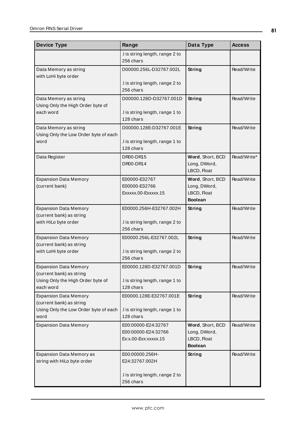| <b>Device Type</b>                                             | Range                                                              | Data Type                                                         | <b>Access</b> |
|----------------------------------------------------------------|--------------------------------------------------------------------|-------------------------------------------------------------------|---------------|
|                                                                | I is string length, range 2 to<br>256 chars                        |                                                                   |               |
| Data Memory as string<br>with LoHi byte order                  | D00000.256L-D32767.002L                                            | String                                                            | Read/Write    |
|                                                                | .I is string length, range 2 to<br>256 chars                       |                                                                   |               |
| Data Memory as string<br>Using Only the High Order byte of     | D00000.128D-D32767.001D                                            | String                                                            | Read/Write    |
| each word                                                      | I is string length, range 1 to<br>128 chars                        |                                                                   |               |
| Data Memory as string<br>Using Only the Low Order byte of each | D00000.128E-D32767.001E                                            | String                                                            | Read/Write    |
| word                                                           | I is string length, range 1 to<br>128 chars                        |                                                                   |               |
| Data Register                                                  | <b>DR00-DR15</b><br>DR00-DR14                                      | Word, Short, BCD<br>Long, DWord,<br>LBCD, Float                   | Read/Write*   |
| <b>Expansion Data Memory</b><br>(current bank)                 | E00000-E32767<br>E00000-E32766<br>Exxxxx.00-Exxxxx.15              | Word, Short, BCD<br>Long, DWord,<br>LBCD, Float<br><b>Boolean</b> | Read/Write    |
| <b>Expansion Data Memory</b><br>(current bank) as string       | E00000.256H-E32767.002H                                            | <b>String</b>                                                     | Read/Write    |
| with HiLo byte order                                           | .I is string length, range 2 to<br>256 chars                       |                                                                   |               |
| <b>Expansion Data Memory</b><br>(current bank) as string       | E00000.256L-E32767.002L                                            | String                                                            | Read/Write    |
| with LoHi byte order                                           | .I is string length, range 2 to<br>256 chars                       |                                                                   |               |
| <b>Expansion Data Memory</b><br>(current bank) as string       | E00000.128D-E32767.001D                                            | <b>String</b>                                                     | Read/Write    |
| Using Only the High Order byte of<br>each word                 | .I is string length, range 1 to<br>128 chars                       |                                                                   |               |
| <b>Expansion Data Memory</b><br>(current bank) as string       | E00000.128E-E32767.001E                                            | <b>String</b>                                                     | Read/Write    |
| Using Only the Low Order byte of each<br>word                  | I is string length, range 1 to<br>128 chars                        |                                                                   |               |
| <b>Expansion Data Memory</b>                                   | E00:00000-E24:32767<br>E00:00000-E24:32766<br>Ex:x.00-Exx:xxxxx.15 | Word, Short, BCD<br>Long, DWord,<br>LBCD, Float<br><b>Boolean</b> | Read/Write    |
| Expansion Data Memory as<br>string with HiLo byte order        | E00:00000.256H-<br>E24:32767.002H                                  | <b>String</b>                                                     | Read/Write    |
|                                                                | .I is string length, range 2 to<br>256 chars                       |                                                                   |               |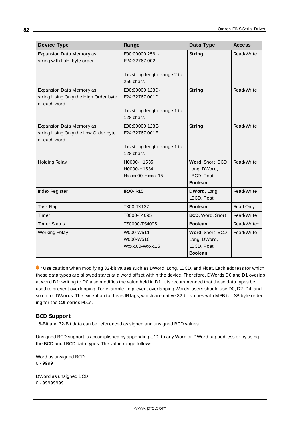| <b>Device Type</b>                    | Range                           | Data Type               | <b>Access</b> |
|---------------------------------------|---------------------------------|-------------------------|---------------|
| Expansion Data Memory as              | E00:00000.256L-                 | <b>String</b>           | Read/Write    |
| string with LoHi byte order           | E24:32767.002L                  |                         |               |
|                                       | I is string length, range 2 to  |                         |               |
|                                       | 256 chars                       |                         |               |
| <b>Expansion Data Memory as</b>       | E00:00000.128D-                 | String                  | Read/Write    |
| string Using Only the High Order byte | E24:32767.001D                  |                         |               |
| of each word                          |                                 |                         |               |
|                                       | .I is string length, range 1 to |                         |               |
|                                       | 128 chars                       |                         |               |
| <b>Expansion Data Memory as</b>       | E00:00000.128E-                 | String                  | Read/Write    |
| string Using Only the Low Order byte  | E24:32767.001E                  |                         |               |
| of each word                          |                                 |                         |               |
|                                       | I is string length, range 1 to  |                         |               |
|                                       | 128 chars                       |                         |               |
| <b>Holding Relay</b>                  | H0000-H1535                     | Word, Short, BCD        | Read/Write    |
|                                       | H0000-H1534                     | Long, DWord,            |               |
|                                       | Hxxxx.00-Hxxxx.15               | LBCD, Float             |               |
|                                       |                                 | <b>Boolean</b>          |               |
| Index Register                        | <b>IR00-IR15</b>                | DWord, Long,            | Read/Write*   |
|                                       |                                 | LBCD, Float             |               |
| <b>Task Flag</b>                      | TK00-TK127                      | <b>Boolean</b>          | Read Only     |
| Timer                                 | T0000-T4095                     | <b>BCD, Word, Short</b> | Read/Write    |
| <b>Timer Status</b>                   | TS0000-TS4095                   | <b>Boolean</b>          | Read/Write*   |
| <b>Working Relay</b>                  | W000-W511                       | Word, Short, BCD        | Read/Write    |
|                                       | W000-W510                       | Long, DWord,            |               |
|                                       | Wxxx.00-Wxxx.15                 | LBCD, Float             |               |
|                                       |                                 | <b>Boolean</b>          |               |

\* Use caution when modifying 32-bit values such as DWord, Long, LBCD, and Float. Each address for which these data types are allowed starts at a word offset within the device. Therefore, DWords D0 and D1 overlap at word D1: writing to D0 also modifies the value held in D1. It is recommended that these data types be used to prevent overlapping. For example, to prevent overlapping Words, users should use D0, D2, D4, and so on for DWords. The exception to this is IRtags, which are native 32-bit values with MSB to LSB byte ordering for the CJ1-series PLCs.

### <span id="page-81-0"></span>**BCD Support**

16-Bit and 32-Bit data can be referenced as signed and unsigned BCD values.

Unsigned BCD support is accomplished by appending a 'D' to any Word or DWord tag address or by using the BCD and LBCD data types. The value range follows:

Word as unsigned BCD 0 - 9999

DWord as unsigned BCD 0 - 99999999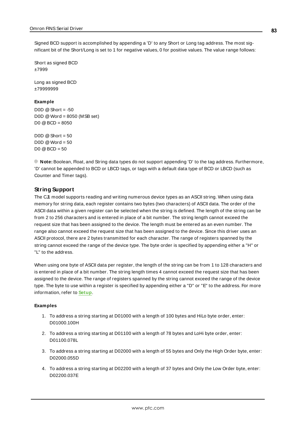Signed BCD support is accomplished by appending a 'D' to any Short or Long tag address. The most significant bit of the Short/Long is set to 1 for negative values, 0 for positive values. The value range follows:

Short as signed BCD ±7999

Long as signed BCD ±79999999

#### **Example**

 $DOD @ Short = -50$ D0D @Word = 8050 (MSB set)  $D0 @ BCD = 8050$ 

 $DOD @ Short = 50$ D0D  $@$  Word = 50  $D0 @ BCD = 50$ 

<span id="page-82-0"></span>**Note:** Boolean, Float, and String data types do not support appending 'D' to the tag address. Furthermore, 'D' cannot be appended to BCD or LBCD tags, or tags with a default data type of BCD or LBCD (such as Counter and Timer tags).

### **String Support**

The CJ1 model supports reading and writing numerous device types as an ASCII string. When using data memory for string data, each register contains two bytes (two characters) of ASCII data. The order of the ASCII data within a given register can be selected when the string is defined. The length of the string can be from 2 to 256 characters and is entered in place of a bit number. The string length cannot exceed the request size that has been assigned to the device. The length must be entered as an even number. The range also cannot exceed the request size that has been assigned to the device. Since this driver uses an ASCII protocol, there are 2 bytes transmitted for each character. The range of registers spanned by the string cannot exceed the range of the device type. The byte order is specified by appending either a "H" or "L" to the address.

When using one byte of ASCII data per register, the length of the string can be from 1 to 128 characters and is entered in place of a bit number. The string length times 4 cannot exceed the request size that has been assigned to the device. The range of registers spanned by the string cannot exceed the range of the device type. The byte to use within a register is specified by appending either a "D" or "E" to the address. For more information, refer to **[Setup](#page-3-0)**.

#### **Examples**

- 1. To address a string starting at D01000 with a length of 100 bytes and HiLo byte order, enter: D01000.100H
- 2. To address a string starting at D01100 with a length of 78 bytes and LoHi byte order, enter: D01100.078L
- 3. To address a string starting at D02000 with a length of 55 bytes and Only the High Order byte, enter: D02000.055D
- 4. To address a string starting at D02200 with a length of 37 bytes and Only the Low Order byte, enter: D02200.037E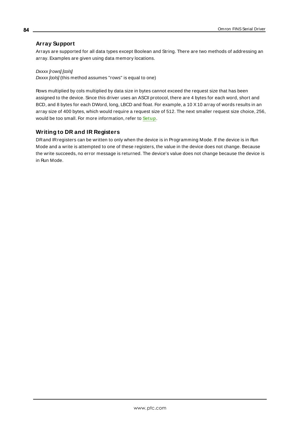### **Array Support**

Arrays are supported for all data types except Boolean and String. There are two methods of addressing an array. Examples are given using data memory locations.

Dxxxx [rows] [cols]  $Dxxxx$   $[cols]$  (this method assumes "rows" is equal to one)

Rows multiplied by cols multiplied by data size in bytes cannot exceed the request size that has been assigned to the device. Since this driver uses an ASCII protocol, there are 4 bytes for each word, short and BCD, and 8 bytes for each DWord, long, LBCD and float. For example, a 10 X10 array of words results in an array size of 400 bytes, which would require a request size of 512. The next smaller request size choice, 256, would be too small. For more information, refer to **[Setup](#page-3-0)**.

### **Writing to DR and IR Registers**

DRand IRregisters can be written to only when the device is in Programming Mode. If the device is in Run Mode and a write is attempted to one of these registers, the value in the device does not change. Because the write succeeds, no error message is returned. The device's value does not change because the device is in Run Mode.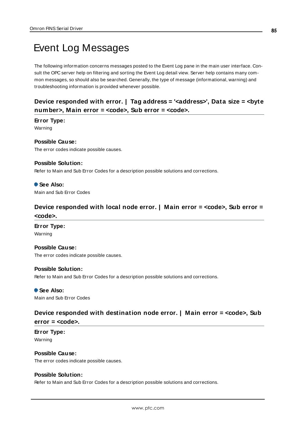# <span id="page-84-3"></span>Event Log Messages

The following information concerns messages posted to the Event Log pane in the main user interface. Consult the OPC server help on filtering and sorting the Event Log detail view. Server help contains many common messages, so should also be searched. Generally, the type of message (informational, warning) and troubleshooting information is provided whenever possible.

# <span id="page-84-1"></span>**Device responded with error. | Tag address = '<address>', Data size = <byte number>, Main error = <code>, Sub error = <code>.**

**Error Type:**

Warning

#### **Possible Cause:**

The error codes indicate possible causes.

#### **Possible Solution:**

Refer to Main and Sub Error Codes for a description possible solutions and corrections.

### **See Also:**

<span id="page-84-2"></span>Main and Sub Error Codes

## **Device responded with local node error. | Main error = <code>, Sub error = <code>.**

#### **Error Type:** Warning

**Possible Cause:**

The error codes indicate possible causes.

#### **Possible Solution:**

Refer to Main and Sub Error Codes for a description possible solutions and corrections.

 **See Also:** Main and Sub Error Codes

## <span id="page-84-0"></span>**Device responded with destination node error. | Main error = <code>, Sub error = <code>.**

**Error Type:** Warning

**Possible Cause:** The error codes indicate possible causes.

### **Possible Solution:**

Refer to Main and Sub Error Codes for a description possible solutions and corrections.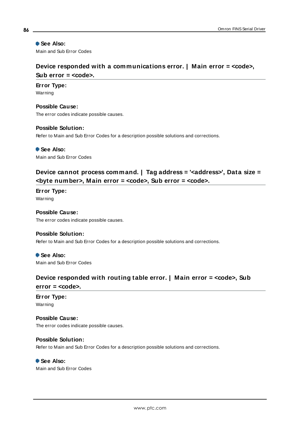### **See Also:**

<span id="page-85-1"></span>Main and Sub Error Codes

# **Device responded with a communications error. | Main error = <code>, Sub error = <code>.**

### **Error Type:**

Warning

**Possible Cause:** The error codes indicate possible causes.

#### **Possible Solution:**

Refer to Main and Sub Error Codes for a description possible solutions and corrections.

 **See Also:** Main and Sub Error Codes

# <span id="page-85-0"></span>**Device cannot process command. | Tag address = '<address>', Data size = <byte number>, Main error = <code>, Sub error = <code>.**

**Error Type:** Warning

# **Possible Cause:**

The error codes indicate possible causes.

### **Possible Solution:**

Refer to Main and Sub Error Codes for a description possible solutions and corrections.

 **See Also:** Main and Sub Error Codes

# <span id="page-85-2"></span>**Device responded with routing table error. | Main error = <code>, Sub**

**error = <code>.**

#### **Error Type:** Warning

**Possible Cause:**

## The error codes indicate possible causes.

### **Possible Solution:**

Refer to Main and Sub Error Codes for a description possible solutions and corrections.

### **See Also:**

Main and Sub Error Codes

**86**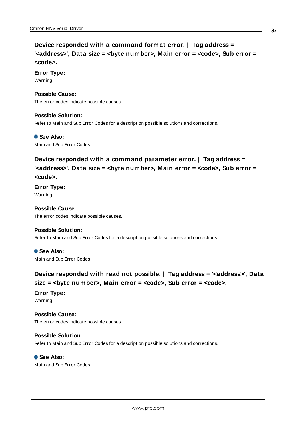# <span id="page-86-0"></span>**Device responded with a command format error. | Tag address = '<address>', Data size = <byte number>, Main error = <code>, Sub error = <code>.**

#### **Error Type:**

Warning

#### **Possible Cause:**

The error codes indicate possible causes.

#### **Possible Solution:**

Refer to Main and Sub Error Codes for a description possible solutions and corrections.

 **See Also:**

<span id="page-86-1"></span>Main and Sub Error Codes

# **Device responded with a command parameter error. | Tag address = '<address>', Data size = <byte number>, Main error = <code>, Sub error = <code>.**

**Error Type:** Warning

**Possible Cause:** The error codes indicate possible causes.

#### **Possible Solution:**

Refer to Main and Sub Error Codes for a description possible solutions and corrections.

 **See Also:** Main and Sub Error Codes

# <span id="page-86-2"></span>**Device responded with read not possible. | Tag address = '<address>', Data size = <byte number>, Main error = <code>, Sub error = <code>.**

**Error Type:** Warning

**Possible Cause:** The error codes indicate possible causes.

#### **Possible Solution:**

Refer to Main and Sub Error Codes for a description possible solutions and corrections.

 **See Also:** Main and Sub Error Codes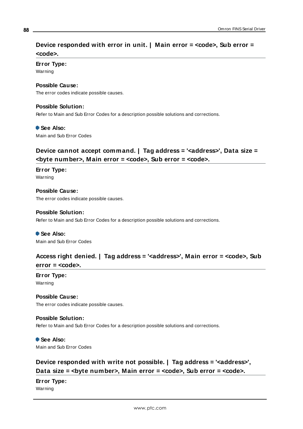# <span id="page-87-2"></span>**Device responded with error in unit. | Main error = <code>, Sub error = <code>.**

### **Error Type:**

Warning

#### **Possible Cause:**

The error codes indicate possible causes.

#### **Possible Solution:**

Refer to Main and Sub Error Codes for a description possible solutions and corrections.

#### **See Also:**

<span id="page-87-1"></span>Main and Sub Error Codes

# **Device cannot accept command. | Tag address = '<address>', Data size = <byte number>, Main error = <code>, Sub error = <code>.**

**Error Type:** Warning

**Possible Cause:** The error codes indicate possible causes.

#### **Possible Solution:**

Refer to Main and Sub Error Codes for a description possible solutions and corrections.

 **See Also:** Main and Sub Error Codes

### <span id="page-87-0"></span>**Access right denied. | Tag address = '<address>', Main error = <code>, Sub error = <code>.**

# **Error Type:**

Warning

### **Possible Cause:**

The error codes indicate possible causes.

#### **Possible Solution:**

Refer to Main and Sub Error Codes for a description possible solutions and corrections.

# **See Also:**

<span id="page-87-3"></span>Main and Sub Error Codes

# **Device responded with write not possible. | Tag address = '<address>', Data** size = *<br>*byte number>, Main error = *<code>*, Sub error = *<code>*.

### **Error Type:**

Warning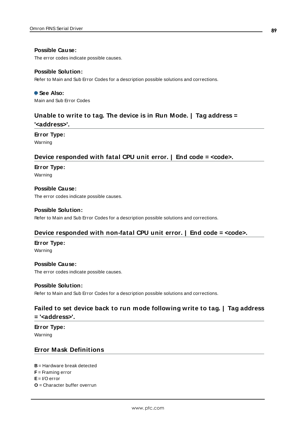#### **Possible Cause:**

The error codes indicate possible causes.

#### **Possible Solution:**

Refer to Main and Sub Error Codes for a description possible solutions and corrections.

 **See Also:** Main and Sub Error Codes

# <span id="page-88-8"></span>**Unable to write to tag. The device is in Run Mode. | Tag address =**

**'<address>'.**

#### **Error Type:**

<span id="page-88-0"></span>Warning

### **Device responded with fatal CPU unit error. | End code = <code>.**

#### **Error Type:**

Warning

#### **Possible Cause:**

The error codes indicate possible causes.

#### **Possible Solution:**

<span id="page-88-1"></span>Refer to Main and Sub Error Codes for a description possible solutions and corrections.

### **Device responded with non-fatal CPU unit error. | End code = <code>.**

#### **Error Type:**

Warning

#### **Possible Cause:**

The error codes indicate possible causes.

#### **Possible Solution:**

<span id="page-88-3"></span>Refer to Main and Sub Error Codes for a description possible solutions and corrections.

## **Failed to set device back to run mode following write to tag. | Tag address = '<address>'.**

**Error Type:**

<span id="page-88-2"></span>Warning

### **Error Mask Definitions**

<span id="page-88-5"></span><span id="page-88-4"></span>**B** = Hardware break detected

<span id="page-88-6"></span>**F** = Framing error

- <span id="page-88-7"></span>**E**= I/O error
- **O** = Character buffer overrun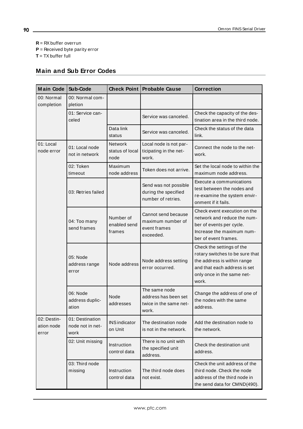<span id="page-89-2"></span><span id="page-89-1"></span>**R** = RXbuffer overrun

<span id="page-89-3"></span>**P** = Received byte parity error

<span id="page-89-0"></span>**T** = TXbuffer full

# **Main and Sub Error Codes**

| <b>Main Code</b>                   | Sub-Code                                    |                                     | <b>Check Point Probable Cause</b>                                        | <b>Correction</b>                                                                                                                                                  |
|------------------------------------|---------------------------------------------|-------------------------------------|--------------------------------------------------------------------------|--------------------------------------------------------------------------------------------------------------------------------------------------------------------|
| 00: Normal<br>completion           | 00: Normal com-<br>pletion                  |                                     |                                                                          |                                                                                                                                                                    |
|                                    | 01: Service can-<br>celed                   |                                     | Service was canceled.                                                    | Check the capacity of the des-<br>tination area in the third node.                                                                                                 |
|                                    |                                             | Data link<br>status                 | Service was canceled.                                                    | Check the status of the data<br>link.                                                                                                                              |
| 01: Local<br>node error            | 01: Local node<br>not in network            | Network<br>status of local<br>node  | Local node is not par-<br>ticipating in the net-<br>work.                | Connect the node to the net-<br>work.                                                                                                                              |
|                                    | 02: Token<br>timeout                        | Maximum<br>node address             | Token does not arrive.                                                   | Set the local node to within the<br>maximum node address.                                                                                                          |
|                                    | 03: Retries failed                          |                                     | Send was not possible<br>during the specified<br>number of retries.      | Execute a communications<br>test between the nodes and<br>re-examine the system envir-<br>onment if it fails.                                                      |
|                                    | 04: Too many<br>send frames                 | Number of<br>enabled send<br>frames | Cannot send because<br>maximum number of<br>event frames<br>exceeded.    | Check event execution on the<br>network and reduce the num-<br>ber of events per cycle.<br>Increase the maximum num-<br>ber of event frames.                       |
|                                    | 05: Node<br>address range<br>error          | Node address                        | Node address setting<br>error occurred.                                  | Check the settings of the<br>rotary switches to be sure that<br>the address is within range<br>and that each address is set<br>only once in the same net-<br>work. |
|                                    | 06: Node<br>address duplic-<br>ation        | Node<br>addresses                   | The same node<br>address has been set<br>twice in the same net-<br>work. | Change the address of one of<br>the nodes with the same<br>address.                                                                                                |
| 02: Destin-<br>ation node<br>error | 01: Destination<br>node not in net-<br>work | <b>INS</b> indicator<br>on Unit     | The destination node<br>is not in the network.                           | Add the destination node to<br>the network.                                                                                                                        |
|                                    | 02: Unit missing                            | Instruction<br>control data         | There is no unit with<br>the specified unit<br>address.                  | Check the destination unit<br>address.                                                                                                                             |
|                                    | 03: Third node<br>missing                   | Instruction<br>control data         | The third node does<br>not exist.                                        | Check the unit address of the<br>third node. Check the node<br>address of the third node in<br>the send data for CMND(490).                                        |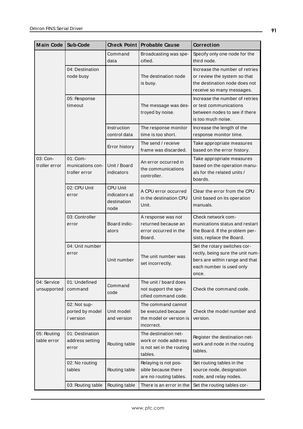| <b>Main Code</b>           | Sub-Code                                      | <b>Check Point</b>                                      | <b>Probable Cause</b>                                                                | <b>Correction</b>                                                                                                                       |
|----------------------------|-----------------------------------------------|---------------------------------------------------------|--------------------------------------------------------------------------------------|-----------------------------------------------------------------------------------------------------------------------------------------|
|                            |                                               | Command<br>data                                         | Broadcasting was spe-<br>cified.                                                     | Specify only one node for the<br>third node.                                                                                            |
|                            | 04: Destination<br>node busy                  |                                                         | The destination node<br>is busy.                                                     | Increase the number of retries<br>or review the system so that<br>the destination node does not<br>receive so many messages.            |
|                            | 05: Response<br>timeout                       |                                                         | The message was des-<br>troyed by noise.                                             | Increase the number of retries<br>or test communications<br>between nodes to see if there<br>is too much noise.                         |
|                            |                                               | Instruction<br>control data                             | The response monitor<br>time is too short.                                           | Increase the length of the<br>response monitor time.                                                                                    |
|                            |                                               | Error history                                           | The send / receive<br>frame was discarded.                                           | Take appropriate measures<br>based on the error history.                                                                                |
| 03: Con-<br>troller error  | 01: Com-<br>munications con-<br>troller error | Unit / Board<br>indicators                              | An error occurred in<br>the communications<br>controller.                            | Take appropriate measures<br>based on the operation manu-<br>als for the related units /<br>boards.                                     |
|                            | 02: CPU Unit<br>error                         | <b>CPU Unit</b><br>indicators at<br>destination<br>node | A CPU error occurred<br>in the destination CPU<br>Unit.                              | Clear the error from the CPU<br>Unit based on its operation<br>manuals.                                                                 |
|                            | 03: Controller<br>error                       | Board indic-<br>ators                                   | A response was not<br>returned because an<br>error occurred in the<br>Board.         | Check network com-<br>munications status and restart<br>the Board. If the problem per-<br>sists, replace the Board.                     |
|                            | 04: Unit number<br>error                      | Unit number                                             | The unit number was<br>set incorrectly.                                              | Set the rotary switches cor-<br>rectly, being sure the unit num-<br>bers are within range and that<br>each number is used only<br>once. |
| 04: Service<br>unsupported | 01: Undefined<br>command                      | Command<br>code                                         | The unit / board does<br>not support the spe-<br>cified command code.                | Check the command code.                                                                                                                 |
|                            | 02: Not sup-<br>ported by model<br>/ version  | Unit model<br>and version                               | The command cannot<br>be executed because<br>the model or version is<br>incorrect.   | Check the model number and<br>version.                                                                                                  |
| 05: Routing<br>table error | 01: Destination<br>address setting<br>error   | Routing table                                           | The destination net-<br>work or node address<br>is not set in the routing<br>tables. | Register the destination net-<br>work and node in the routing<br>tables.                                                                |
|                            | 02: No routing<br>tables                      | Routing table                                           | Relaying is not pos-<br>sible because there<br>are no routing tables.                | Set routing tables in the<br>source node, designation<br>node, and relay nodes.                                                         |
|                            | 03: Routing table                             | Routing table                                           | There is an error in the                                                             | Set the routing tables cor-                                                                                                             |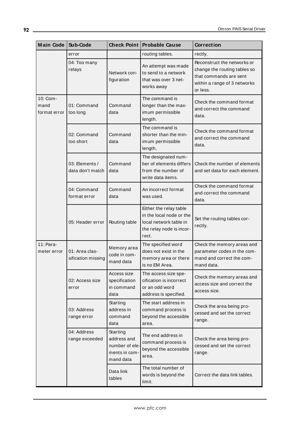| <b>Main Code</b>                 | Sub-Code                             | <b>Check Point</b>                                                      | <b>Probable Cause</b>                                                                                             | <b>Correction</b>                                                                                                                 |
|----------------------------------|--------------------------------------|-------------------------------------------------------------------------|-------------------------------------------------------------------------------------------------------------------|-----------------------------------------------------------------------------------------------------------------------------------|
|                                  | error                                |                                                                         | routing tables.                                                                                                   | rectly.                                                                                                                           |
|                                  | 04: Too many<br>relays               | Network con-<br>figuration                                              | An attempt was made<br>to send to a network<br>that was over 3 net-<br>works away                                 | Reconstruct the networks or<br>change the routing tables so<br>that commands are sent<br>within a range of 3 networks<br>or less. |
| 10: Com-<br>mand<br>format error | 01: Command<br>too long              | Command<br>data                                                         | The command is<br>longer than the max-<br>imum permissible<br>length.                                             | Check the command format<br>and correct the command<br>data.                                                                      |
|                                  | 02: Command<br>too short             | Command<br>data                                                         | The command is<br>shorter than the min-<br>imum permissible<br>length.                                            | Check the command format<br>and correct the command<br>data.                                                                      |
|                                  | 03: Elements /<br>data don't match   | Command<br>data                                                         | The designated num-<br>ber of elements differs<br>from the number of<br>write data items.                         | Check the number of elements<br>and set data for each element.                                                                    |
|                                  | 04: Command<br>format error          | Command<br>data                                                         | An incorrect format<br>was used.                                                                                  | Check the command format<br>and correct the command<br>data.                                                                      |
|                                  | 05: Header error                     | Routing table                                                           | Either the relay table<br>in the local node or the<br>local network table in<br>the relay node is incor-<br>rect. | Set the routing tables cor-<br>rectly.                                                                                            |
| 11: Para-<br>meter error         | 01: Area clas-<br>sification missing | Memory area<br>code in com-<br>mand data                                | The specified word<br>does not exist in the<br>memory area or there<br>is no EM Area.                             | Check the memory areas and<br>parameter codes in the com-<br>mand and correct the com-<br>mand data.                              |
|                                  | 02: Access size<br>error             | Access size<br>specification<br>in command<br>data                      | The access size spe-<br>cification is incorrect<br>or an odd word<br>address is specified.                        | Check the memory areas and<br>access size and correct the<br>access size.                                                         |
|                                  | 03: Address<br>range error           | Starting<br>address in<br>command<br>data                               | The start address in<br>command process is<br>beyond the accessible<br>area.                                      | Check the area being pro-<br>cessed and set the correct<br>range.                                                                 |
|                                  | 04: Address<br>range exceeded        | Starting<br>address and<br>number of ele-<br>ments in com-<br>mand data | The end address in<br>command process is<br>beyond the accessible<br>area.                                        | Check the area being pro-<br>cessed and set the correct<br>range.                                                                 |
|                                  |                                      | Data link<br>tables                                                     | The total number of<br>words is beyond the<br>limit.                                                              | Correct the data link tables.                                                                                                     |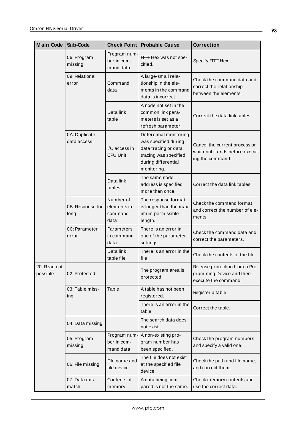| <b>Main Code</b>         | Sub-Code                     | <b>Check Point</b>                          | <b>Probable Cause</b>                                                                                                                  | <b>Correction</b>                                                                      |
|--------------------------|------------------------------|---------------------------------------------|----------------------------------------------------------------------------------------------------------------------------------------|----------------------------------------------------------------------------------------|
|                          | 06: Program<br>missing       | Program num-<br>ber in com-<br>mand data    | FFFF Hex was not spe-<br>cified.                                                                                                       | Specify FFFF Hex.                                                                      |
|                          | 09: Relational<br>error      | Command<br>data                             | A large-small rela-<br>tionship in the ele-<br>ments in the command<br>data is incorrect.                                              | Check the command data and<br>correct the relationship<br>between the elements.        |
|                          |                              | Data link<br>table                          | A node not set in the<br>common link para-<br>meters is set as a<br>refresh parameter.                                                 | Correct the data link tables.                                                          |
|                          | 0A: Duplicate<br>data access | I/O access in<br><b>CPU Unit</b>            | Differential monitoring<br>was specified during<br>data tracing or data<br>tracing was specified<br>during differential<br>monitoring. | Cancel the current process or<br>wait until it ends before execut-<br>ing the command. |
|                          |                              | Data link<br>tables                         | The same node<br>address is specified<br>more than once.                                                                               | Correct the data link tables.                                                          |
|                          | 0B: Response too<br>long     | Number of<br>elements in<br>command<br>data | The response format<br>is longer than the max-<br>imum permissible<br>length.                                                          | Check the command format<br>and correct the number of ele-<br>ments.                   |
|                          | 0C: Parameter<br>error       | Parameters<br>in command<br>data            | There is an error in<br>one of the parameter<br>settings.                                                                              | Check the command data and<br>correct the parameters.                                  |
|                          |                              | Data link<br>table file                     | There is an error in the<br>file.                                                                                                      | Check the contents of the file.                                                        |
| 20: Read not<br>possible | 02: Protected                |                                             | The program area is<br>protected.                                                                                                      | Release protection from a Pro-<br>gramming Device and then<br>execute the command.     |
|                          | 03: Table miss-<br>ing       | Table                                       | A table has not been<br>registered.                                                                                                    | Register a table.                                                                      |
|                          |                              |                                             | There is an error in the<br>table.                                                                                                     | Correct the table.                                                                     |
|                          | 04: Data missing             |                                             | The search data does<br>not exist.                                                                                                     |                                                                                        |
|                          | 05: Program<br>missing       | Program num-<br>ber in com-<br>mand data    | A non-existing pro-<br>gram number has<br>been specified.                                                                              | Check the program numbers<br>and specify a valid one.                                  |
|                          | 06: File missing             | File name and<br>file device                | The file does not exist<br>at the specified file<br>device.                                                                            | Check the path and file name,<br>and correct them.                                     |
|                          | 07: Data mis-<br>match       | Contents of<br>memory                       | A data being com-<br>pared is not the same.                                                                                            | Check memory contents and<br>use the correct data.                                     |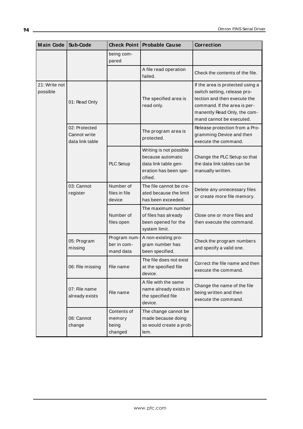| <b>Main Code</b>          | Sub-Code                                         | <b>Check Point</b>                        | <b>Probable Cause</b>                                                                                    | <b>Correction</b>                                                                                                                                                                            |
|---------------------------|--------------------------------------------------|-------------------------------------------|----------------------------------------------------------------------------------------------------------|----------------------------------------------------------------------------------------------------------------------------------------------------------------------------------------------|
|                           |                                                  | being com-<br>pared                       |                                                                                                          |                                                                                                                                                                                              |
|                           |                                                  |                                           | A file read operation<br>failed.                                                                         | Check the contents of the file.                                                                                                                                                              |
| 21: Write not<br>possible | 01: Read Only                                    |                                           | The specified area is<br>read only.                                                                      | If the area is protected using a<br>switch setting, release pro-<br>tection and then execute the<br>command. If the area is per-<br>manently Read Only, the com-<br>mand cannot be executed. |
|                           | 02: Protected<br>Cannot write<br>data link table |                                           | The program area is<br>protected.                                                                        | Release protection from a Pro-<br>gramming Device and then<br>execute the command.                                                                                                           |
|                           |                                                  | PLC Setup                                 | Writing is not possible<br>because automatic<br>data link table gen-<br>eration has been spe-<br>cified. | Change the PLC Setup so that<br>the data link tables can be<br>manually written.                                                                                                             |
|                           | 03: Cannot<br>register                           | Number of<br>files in file<br>device      | The file cannot be cre-<br>ated because the limit<br>has been exceeded.                                  | Delete any unnecessary files<br>or create more file memory.                                                                                                                                  |
|                           |                                                  | Number of<br>files open                   | The maximum number<br>of files has already<br>been opened for the<br>system limit.                       | Close one or more files and<br>then execute the command.                                                                                                                                     |
|                           | 05: Program<br>missing                           | Program num-<br>ber in com-<br>mand data  | A non-existing pro-<br>gram number has<br>been specified.                                                | Check the program numbers<br>and specify a valid one.                                                                                                                                        |
|                           | 06: File missing                                 | File name                                 | The file does not exist<br>at the specified file<br>device.                                              | Correct the file name and then<br>execute the command.                                                                                                                                       |
|                           | 07: File name<br>already exists                  | File name                                 | A file with the same<br>name already exists in<br>the specified file<br>device.                          | Change the name of the file<br>being written and then<br>execute the command.                                                                                                                |
|                           | 08: Cannot<br>change                             | Contents of<br>memory<br>being<br>changed | The change cannot be<br>made because doing<br>so would create a prob-<br>lem.                            |                                                                                                                                                                                              |

<u> 1980 - Johann Barn, mars an t-Amerikaansk politiker (</u>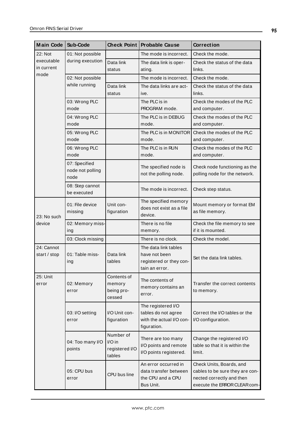| <b>Main Code</b>           | Sub-Code                                  |                                                 | Check Point Probable Cause                                                           | <b>Correction</b>                                                                                                        |
|----------------------------|-------------------------------------------|-------------------------------------------------|--------------------------------------------------------------------------------------|--------------------------------------------------------------------------------------------------------------------------|
| 22: Not                    | 01: Not possible                          |                                                 | The mode is incorrect.                                                               | Check the mode.                                                                                                          |
| executable<br>in current   | during execution                          | Data link<br>status                             | The data link is oper-<br>ating.                                                     | Check the status of the data<br>links.                                                                                   |
| mode                       | 02: Not possible                          |                                                 | The mode is incorrect.                                                               | Check the mode.                                                                                                          |
|                            | while running                             | Data link<br>status                             | The data links are act-<br>ive.                                                      | Check the status of the data<br>links.                                                                                   |
|                            | 03: Wrong PLC<br>mode                     |                                                 | The PLC is in<br>PROGRAM mode.                                                       | Check the modes of the PLC<br>and computer.                                                                              |
|                            | 04: Wrong PLC<br>mode                     |                                                 | The PLC is in DEBUG<br>mode.                                                         | Check the modes of the PLC<br>and computer.                                                                              |
|                            | 05: Wrong PLC<br>mode                     |                                                 | The PLC is in MONITOR<br>mode.                                                       | Check the modes of the PLC<br>and computer.                                                                              |
|                            | 06: Wrong PLC<br>mode                     |                                                 | The PLC is in RUN<br>mode.                                                           | Check the modes of the PLC<br>and computer.                                                                              |
|                            | 07: Specified<br>node not polling<br>node |                                                 | The specified node is<br>not the polling node.                                       | Check node functioning as the<br>polling node for the network.                                                           |
|                            | 08: Step cannot<br>be executed            |                                                 | The mode is incorrect.                                                               | Check step status.                                                                                                       |
| 23: No such<br>device      | 01: File device<br>missing                | Unit con-<br>figuration                         | The specified memory<br>does not exist as a file<br>device.                          | Mount memory or format EM<br>as file memory.                                                                             |
|                            | 02: Memory miss-<br>ing                   |                                                 | There is no file<br>memory.                                                          | Check the file memory to see<br>if it is mounted.                                                                        |
|                            | 03: Clock missing                         |                                                 | There is no clock.                                                                   | Check the model.                                                                                                         |
| 24: Cannot<br>start / stop | 01: Table miss-<br>ing                    | Data link<br>tables                             | The data link tables<br>have not been<br>registered or they con-<br>tain an error.   | Set the data link tables.                                                                                                |
| 25: Unit<br>error          | 02: Memory<br>error                       | Contents of<br>memory<br>being pro-<br>cessed   | The contents of<br>memory contains an<br>error.                                      | Transfer the correct contents<br>to memory.                                                                              |
|                            | 03: I/O setting<br>error                  | I/O Unit con-<br>figuration                     | The registered I/O<br>tables do not agree<br>with the actual I/O con-<br>figuration. | Correct the I/O tables or the<br>I/O configuration.                                                                      |
|                            | 04: Too many I/O<br>points                | Number of<br>I/O in<br>registered I/O<br>tables | There are too many<br>I/O points and remote<br>I/O points registered.                | Change the registered I/O<br>table so that it is within the<br>limit.                                                    |
|                            | 05: CPU bus<br>error                      | CPU bus line                                    | An error occurred in<br>data transfer between<br>the CPU and a CPU<br>Bus Unit.      | Check Units, Boards, and<br>cables to be sure they are con-<br>nected correctly and then<br>execute the ERROR CLEAR com- |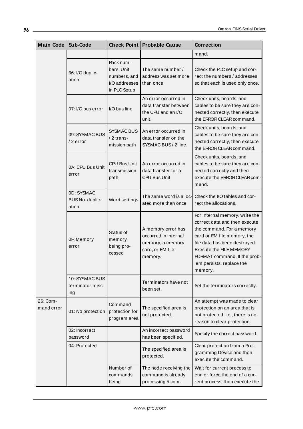| <b>Main Code</b>       | Sub-Code                                  | Check Point                                                              | <b>Probable Cause</b>                                                                         | <b>Correction</b>                                                                                                                                                                                                                                               |
|------------------------|-------------------------------------------|--------------------------------------------------------------------------|-----------------------------------------------------------------------------------------------|-----------------------------------------------------------------------------------------------------------------------------------------------------------------------------------------------------------------------------------------------------------------|
|                        |                                           |                                                                          |                                                                                               | mand.                                                                                                                                                                                                                                                           |
| 26: Com-<br>mand error | 06: I/O duplic-<br>ation                  | Rack num-<br>bers, Unit<br>numbers, and<br>I/O addresses<br>in PLC Setup | The same number /<br>address was set more<br>than once.                                       | Check the PLC setup and cor-<br>rect the numbers / addresses<br>so that each is used only once.                                                                                                                                                                 |
|                        | 07: I/O bus error                         | I/O bus line                                                             | An error occurred in<br>data transfer between<br>the CPU and an I/O<br>unit.                  | Check units, boards, and<br>cables to be sure they are con-<br>nected correctly, then execute<br>the ERROR CLEAR command.                                                                                                                                       |
|                        | 09: SYSMAC BUS<br>/2 error                | <b>SYSMAC BUS</b><br>/ 2 trans-<br>mission path                          | An error occurred in<br>data transfer on the<br>SYSMAC BUS / 2 line.                          | Check units, boards, and<br>cables to be sure they are con-<br>nected correctly, then execute<br>the ERROR CLEAR command.                                                                                                                                       |
|                        | 0A: CPU Bus Unit<br>error                 | <b>CPU Bus Unit</b><br>transmission<br>path                              | An error occurred in<br>data transfer for a<br>CPU Bus Unit.                                  | Check units, boards, and<br>cables to be sure they are con-<br>nected correctly and then<br>execute the ERROR CLEAR com-<br>mand.                                                                                                                               |
|                        | 0D: SYSMAC<br>BUS No. duplic-<br>ation    | Word settings                                                            | The same word is alloc- <b>l</b><br>ated more than once.                                      | Check the I/O tables and cor-<br>rect the allocations.                                                                                                                                                                                                          |
|                        | OF: Memory<br>error                       | Status of<br>memory<br>being pro-<br>cessed                              | A memory error has<br>occurred in internal<br>memory, a memory<br>card, or EM file<br>memory. | For internal memory, write the<br>correct data and then execute<br>the command. For a memory<br>card or EM file memory, the<br>file data has been destroyed.<br>Execute the FILE MEMORY<br>FORMAT command. If the prob-<br>lem persists, replace the<br>memory. |
|                        | 10: SYSMAC BUS<br>terminator miss-<br>ing |                                                                          | Terminators have not<br>been set.                                                             | Set the terminators correctly.                                                                                                                                                                                                                                  |
|                        | 01: No protection                         | Command<br>protection for<br>program area                                | The specified area is<br>not protected.                                                       | An attempt was made to clear<br>protection on an area that is<br>not protected, i.e., there is no<br>reason to clear protection.                                                                                                                                |
|                        | 02: Incorrect<br>password                 |                                                                          | An incorrect password<br>has been specified.                                                  | Specify the correct password.                                                                                                                                                                                                                                   |
|                        | 04: Protected                             |                                                                          | The specified area is<br>protected.                                                           | Clear protection from a Pro-<br>gramming Device and then<br>execute the command.                                                                                                                                                                                |
|                        |                                           | Number of<br>commands<br>being                                           | The node receiving the<br>command is already<br>processing 5 com-                             | Wait for current process to<br>end or force the end of a cur-<br>rent process, then execute the                                                                                                                                                                 |

<u> 1989 - Johann Barn, mars eta bainar eta bainar eta baina eta baina eta baina eta baina eta baina eta baina e</u>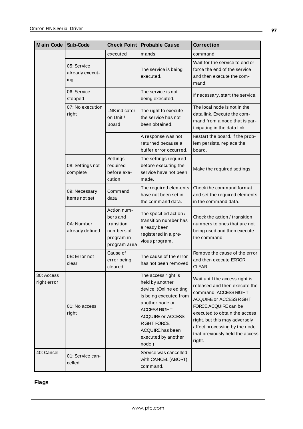| <b>Main Code</b>          | Sub-Code                              |                                                                                   | <b>Check Point Probable Cause</b>                                                                                                                                                                                                            | <b>Correction</b>                                                                                                                                                                                                                                                                           |
|---------------------------|---------------------------------------|-----------------------------------------------------------------------------------|----------------------------------------------------------------------------------------------------------------------------------------------------------------------------------------------------------------------------------------------|---------------------------------------------------------------------------------------------------------------------------------------------------------------------------------------------------------------------------------------------------------------------------------------------|
|                           |                                       | executed                                                                          | mands.                                                                                                                                                                                                                                       | command.                                                                                                                                                                                                                                                                                    |
|                           | 05: Service<br>already execut-<br>ing |                                                                                   | The service is being<br>executed.                                                                                                                                                                                                            | Wait for the service to end or<br>force the end of the service<br>and then execute the com-<br>mand.                                                                                                                                                                                        |
|                           | 06: Service<br>stopped                |                                                                                   | The service is not<br>being executed.                                                                                                                                                                                                        | If necessary, start the service.                                                                                                                                                                                                                                                            |
|                           | 07: No execution<br>right             | LNK indicator<br>on Unit /<br><b>Board</b>                                        | The right to execute<br>the service has not<br>been obtained.                                                                                                                                                                                | The local node is not in the<br>data link. Execute the com-<br>mand from a node that is par-<br>ticipating in the data link.                                                                                                                                                                |
|                           |                                       |                                                                                   | A response was not<br>returned because a<br>buffer error occurred.                                                                                                                                                                           | Restart the board. If the prob-<br>lem persists, replace the<br>board.                                                                                                                                                                                                                      |
|                           | 08: Settings not<br>complete          | Settings<br>required<br>before exe-<br>cution                                     | The settings required<br>before executing the<br>service have not been<br>made.                                                                                                                                                              | Make the required settings.                                                                                                                                                                                                                                                                 |
|                           | 09: Necessary<br>items not set        | Command<br>data                                                                   | The required elements<br>have not been set in<br>the command data.                                                                                                                                                                           | Check the command format<br>and set the required elements<br>in the command data.                                                                                                                                                                                                           |
|                           | 0A: Number<br>already defined         | Action num-<br>bers and<br>transition<br>numbers of<br>program in<br>program area | The specified action /<br>transition number has<br>already been<br>registered in a pre-<br>vious program.                                                                                                                                    | Check the action / transition<br>numbers to ones that are not<br>being used and then execute<br>the command.                                                                                                                                                                                |
|                           | 0B: Error not<br>clear                | Cause of<br>error being<br>cleared                                                | The cause of the error<br>has not been removed.                                                                                                                                                                                              | Remove the cause of the error<br>and then execute ERROR<br>CLEAR.                                                                                                                                                                                                                           |
| 30: Access<br>right error | 01: No access<br>right                |                                                                                   | The access right is<br>held by another<br>device. (Online editing<br>is being executed from<br>another node or<br><b>ACCESS RIGHT</b><br><b>ACQUIRE or ACCESS</b><br><b>RIGHT FORCE</b><br>ACQUIRE has been<br>executed by another<br>node.) | Wait until the access right is<br>released and then execute the<br>command. ACCESS RIGHT<br>ACQUIRE or ACCESS RIGHT<br>FORCE ACQUIRE can be<br>executed to obtain the access<br>right, but this may adversely<br>affect processing by the node<br>that previously held the access<br>right. |
| 40: Cancel                | 01: Service can-<br>celled            |                                                                                   | Service was cancelled<br>with CANCEL (ABORT)<br>command.                                                                                                                                                                                     |                                                                                                                                                                                                                                                                                             |

# <span id="page-96-0"></span>**Flags**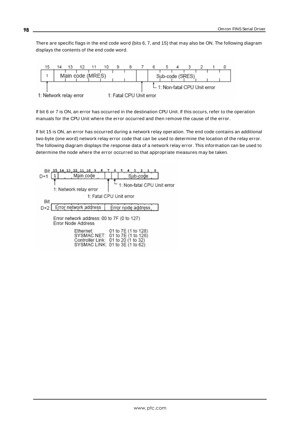There are specific flags in the end code word (bits 6, 7, and 15) that may also be ON. The following diagram displays the contents of the end code word.



If bit 6 or 7 is ON, an error has occurred in the destination CPU Unit. If this occurs, refer to the operation manuals for the CPU Unit where the error occurred and then remove the cause of the error.

If bit 15 is ON, an error has occurred during a network relay operation. The end code contains an additional two-byte (one word) network relay error code that can be used to determine the location of the relay error. The following diagram displays the response data of a network relay error. This information can be used to determine the node where the error occurred so that appropriate measures may be taken.

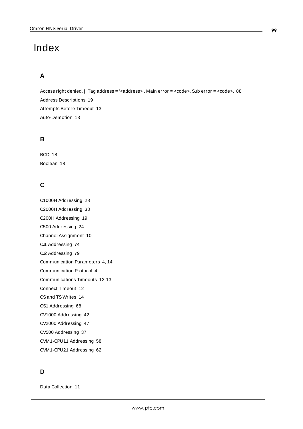# Index

# **A**

Access right denied. | Tag address = '<address>', Main error = <code>, Sub error = <code>. [88](#page-87-0) Address Descriptions [19](#page-18-0) Attempts Before Timeout [13](#page-12-0) Auto-Demotion [13](#page-12-1)

### **B**

BCD [18](#page-17-0) Boolean [18](#page-17-1)

## **C**

C1000H Addressing [28](#page-27-0) C2000H Addressing [33](#page-32-0) C200H Addressing [19](#page-18-1) C500 Addressing [24](#page-23-0) Channel Assignment [10](#page-9-0) CJI Addressing [74](#page-73-0) C.P. Addressing [79](#page-78-0) Communication Parameters [4](#page-3-1), [14](#page-13-0) Communication Protocol [4](#page-3-2) Communications Timeouts [12-13](#page-11-0) Connect Timeout [12](#page-11-1) CSand TS Writes [14](#page-13-1) CS1 Addressing [68](#page-67-0) CV1000 Addressing [42](#page-41-0) CV2000 Addressing [47](#page-46-0) CV500 Addressing [37](#page-36-0) CVM1-CPU11 Addressing [58](#page-57-0) CVM1-CPU21 Addressing [62](#page-61-0)

# **D**

Data Collection [11](#page-10-0)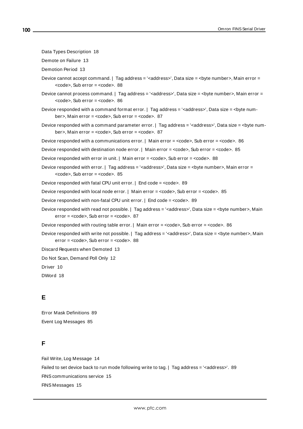```
Data Types Description 18
```
Demote on Failure [13](#page-12-2)

Demotion Period [13](#page-12-3)

- Device cannot accept command. | Tag address = '<address>', Data size = <br/> <br/> <br/> <br/> <br/>
Main error =  $<$ code>, Sub error =  $<$ code>. [88](#page-87-1)
- Device cannot process command. | Tag address = '<address>', Data size = <br/>byte number>, Main error =  $<$ code>, Sub error =  $<$ code>. [86](#page-85-0)
- Device responded with a command format error. | Tag address = '<address>', Data size = <br/>sbyte num-ber>, Main error = <code>, Sub error = <code>. [87](#page-86-0)</sup>
- Device responded with a command parameter error. | Tag address = '<address>', Data size = <br/>sbyte num-ber>, Main error = <code>, Sub error = <code>. [87](#page-86-1)</sup>

Device responded with a communications error. | Main error = <code>, Sub error = <code>. [86](#page-85-1)

Device responded with destination node error. | Main error = <code>, Sub error = <code>. [85](#page-84-0)

Device responded with error in unit. | Main error = <code>, Sub error = <code>. [88](#page-87-2)

Device responded with error. | Tag address = '<address>', Data size = <br/> <br/> <br/>stem metror =  $<$ code>, Sub error =  $<$ code>. [85](#page-84-1)

Device responded with fatal CPU unit error. | End code = <code>. [89](#page-88-0)</sup>

Device responded with local node error. | Main error = <code>, Sub error = <code>. [85](#page-84-2)

Device responded with non-fatal CPU unit error. | End code = <code>. [89](#page-88-1)</sup>

Device responded with read not possible. | Tag address = '<address>', Data size = <br/>byte number>, Main  $error = `code>`. Sub error = `code>`. 87$  $error = `code>`. Sub error = `code>`. 87$ 

Device responded with routing table error. | Main error = <code>, Sub error = <code>. [86](#page-85-2)

Device responded with write not possible. | Tag address = '<address>', Data size = <br/>sbyte number>, Main  $error = `code`$ . Sub  $error = `code`$ , [88](#page-87-3)

Discard Requests when Demoted [13](#page-12-4)

Do Not Scan, Demand Poll Only [12](#page-11-2)

Driver [10](#page-9-1)

DWord [18](#page-17-3)

### **E**

Error Mask Definitions [89](#page-88-2) Event Log Messages [85](#page-84-3)

## **F**

Fail Write, Log Message [14](#page-13-2) Failed to set device back to run mode following write to tag. | Tag address = '<address>'. [89](#page-88-3) FINScommunications service [15](#page-14-0) FINS Messages [15](#page-14-1)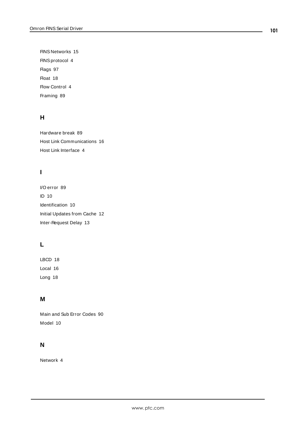FINS Networks [15](#page-14-2) FINSprotocol [4](#page-3-3) Flags [97](#page-96-0) Float [18](#page-17-4) Flow Control [4](#page-3-4) Framing [89](#page-88-4)

# **H**

Hardware break [89](#page-88-5) Host Link Communications [16](#page-15-0) Host Link Interface [4](#page-3-3)

# **I**

I/O error [89](#page-88-6) ID [10](#page-9-2) Identification [10](#page-9-3) Initial Updates from Cache [12](#page-11-3) Inter-Request Delay [13](#page-12-5)

# **L**

LBCD [18](#page-17-5) Local [16](#page-15-1) Long [18](#page-17-6)

# **M**

Main and Sub Error Codes [90](#page-89-0) Model [10](#page-9-4)

# **N**

Network [4](#page-3-5)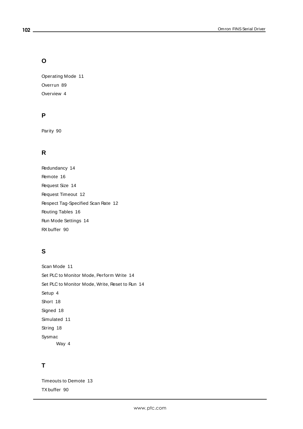## **O**

Operating Mode [11](#page-10-1) Overrun [89](#page-88-7) Overview [4](#page-3-6)

# **P**

Parity [90](#page-89-1)

# **R**

Redundancy [14](#page-13-3) Remote [16](#page-15-2) Request Size [14](#page-13-4) Request Timeout [12](#page-11-4) Respect Tag-Specified Scan Rate [12](#page-11-5) Routing Tables [16](#page-15-3) Run Mode Settings [14](#page-13-5) RXbuffer [90](#page-89-2)

# **S**

Scan Mode [11](#page-10-2) Set PLC to Monitor Mode, Perform Write [14](#page-13-6) Set PLC to Monitor Mode, Write, Reset to Run [14](#page-13-7) Setup [4](#page-3-0) Short [18](#page-17-7) Signed [18](#page-17-8) Simulated [11](#page-10-3) String [18](#page-17-9) Sysmac Way [4](#page-3-3)

# **T**

Timeouts to Demote [13](#page-12-6) TXbuffer [90](#page-89-3)